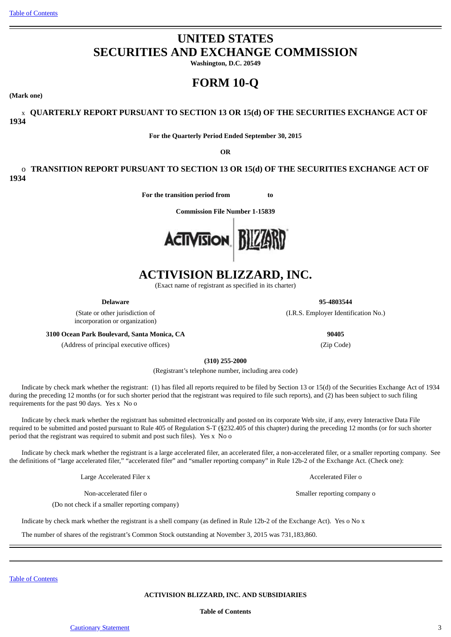# **UNITED STATES SECURITIES AND EXCHANGE COMMISSION**

**Washington, D.C. 20549**

# **FORM 10-Q**

**(Mark one)**

x **QUARTERLY REPORT PURSUANT TO SECTION 13 OR 15(d) OF THE SECURITIES EXCHANGE ACT OF 1934**

**For the Quarterly Period Ended September 30, 2015**

**OR**

o **TRANSITION REPORT PURSUANT TO SECTION 13 OR 15(d) OF THE SECURITIES EXCHANGE ACT OF 1934**

**For the transition period from to**

**Commission File Number 1-15839**



# **ACTIVISION BLIZZARD, INC.**

(Exact name of registrant as specified in its charter)

**Delaware 95-4803544**

(State or other jurisdiction of incorporation or organization)

**3100 Ocean Park Boulevard, Santa Monica, CA 90405**

(Address of principal executive offices) (Zip Code)

**(310) 255-2000**

(Registrant's telephone number, including area code)

Indicate by check mark whether the registrant: (1) has filed all reports required to be filed by Section 13 or 15(d) of the Securities Exchange Act of 1934 during the preceding 12 months (or for such shorter period that the registrant was required to file such reports), and (2) has been subject to such filing requirements for the past 90 days. Yes x No o

Indicate by check mark whether the registrant has submitted electronically and posted on its corporate Web site, if any, every Interactive Data File required to be submitted and posted pursuant to Rule 405 of Regulation S-T (§232.405 of this chapter) during the preceding 12 months (or for such shorter period that the registrant was required to submit and post such files). Yes x No o

Indicate by check mark whether the registrant is a large accelerated filer, an accelerated filer, a non-accelerated filer, or a smaller reporting company. See the definitions of "large accelerated filer," "accelerated filer" and "smaller reporting company" in Rule 12b-2 of the Exchange Act. (Check one):

Large Accelerated Filer x Accelerated Filer x Accelerated Filer of Accelerated Filer of Accelerated Filer of Accelerated Filer of Accelerated Filer of Accelerated Filer of Accelerated Filer of Accelerated Filer of Accelera

(Do not check if a smaller reporting company)

Indicate by check mark whether the registrant is a shell company (as defined in Rule 12b-2 of the Exchange Act). Yes o No x

The number of shares of the registrant's Common Stock outstanding at November 3, 2015 was 731,183,860.

Table of [Contents](#page-0-0)

#### **ACTIVISION BLIZZARD, INC. AND SUBSIDIARIES**

<span id="page-0-0"></span>**Table of Contents**

(I.R.S. Employer Identification No.)

Non-accelerated filer o Smaller reporting company o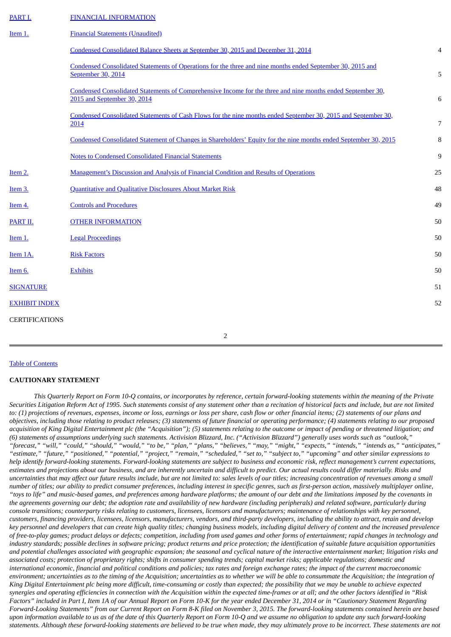| PART I.               | <b>FINANCIAL INFORMATION</b>                                                                                                               |    |
|-----------------------|--------------------------------------------------------------------------------------------------------------------------------------------|----|
| Item 1.               | <b>Financial Statements (Unaudited)</b>                                                                                                    |    |
|                       | Condensed Consolidated Balance Sheets at September 30, 2015 and December 31, 2014                                                          | 4  |
|                       | Condensed Consolidated Statements of Operations for the three and nine months ended September 30, 2015 and<br>September 30, 2014           | 5  |
|                       | Condensed Consolidated Statements of Comprehensive Income for the three and nine months ended September 30,<br>2015 and September 30, 2014 | 6  |
|                       | Condensed Consolidated Statements of Cash Flows for the nine months ended September 30, 2015 and September 30,<br>2014                     | 7  |
|                       | Condensed Consolidated Statement of Changes in Shareholders' Equity for the nine months ended September 30, 2015                           | 8  |
|                       | <b>Notes to Condensed Consolidated Financial Statements</b>                                                                                | 9  |
| Item 2.               | <u>Management's Discussion and Analysis of Financial Condition and Results of Operations</u>                                               | 25 |
| Item 3.               | <b>Quantitative and Qualitative Disclosures About Market Risk</b>                                                                          | 48 |
| Item 4.               | <b>Controls and Procedures</b>                                                                                                             | 49 |
| PART II.              | <b>OTHER INFORMATION</b>                                                                                                                   | 50 |
| Item 1.               | <b>Legal Proceedings</b>                                                                                                                   | 50 |
| Item 1A.              | <b>Risk Factors</b>                                                                                                                        | 50 |
| Item 6.               | <b>Exhibits</b>                                                                                                                            | 50 |
| <b>SIGNATURE</b>      |                                                                                                                                            | 51 |
| <b>EXHIBIT INDEX</b>  |                                                                                                                                            | 52 |
| <b>CERTIFICATIONS</b> |                                                                                                                                            |    |
|                       | 2                                                                                                                                          |    |

### Table of [Contents](#page-0-0)

#### <span id="page-1-0"></span>**CAUTIONARY STATEMENT**

This Quarterly Report on Form 10-Q contains, or incorporates by reference, certain forward-looking statements within the meaning of the Private Securities Litigation Reform Act of 1995. Such statements consist of any statement other than a recitation of historical facts and include, but are not limited to: (1) projections of revenues, expenses, income or loss, earnings or loss per share, cash flow or other financial items; (2) statements of our plans and objectives, including those relating to product releases; (3) statements of future financial or operating performance; (4) statements relating to our proposed acquisition of King Digital Entertainment plc (the "Acquisition"); (5) statements relating to the outcome or impact of pending or threatened litigation; and (6) statements of assumptions underlying such statements. Activision Blizzard, Inc. ("Activision Blizzard") generally uses words such as "outlook," "forecast," "will," "could," "should," "would," "to be," "plan," "plans," "believes," "may," "might," "expects," "intends," "intends as," "anticipates," "estimate," "future," "positioned," "potential," "project," "remain," "scheduled," "set to," "subject to," "upcoming" and other similar expressions to help identify forward-looking statements. Forward-looking statements are subject to business and economic risk, reflect management's current expectations, estimates and projections about our business, and are inherently uncertain and difficult to predict. Our actual results could differ materially. Risks and uncertainties that may affect our future results include, but are not limited to: sales levels of our titles; increasing concentration of revenues among a small number of titles: our ability to predict consumer preferences, includina interest in specific genres, such as first-person action, massively multiplayer online, "toys to life" and music-based games, and preferences among hardware platforms; the amount of our debt and the limitations imposed by the covenants in the agreements governing our debt; the adoption rate and availability of new hardware (including peripherals) and related software, particularly during console transitions; counterparty risks relating to customers, licensees, licensors and manufacturers; maintenance of relationships with key personnel, customers, financing providers, licensees, licensors, manufacturers, vendors, and third-party developers, including the ability to attract, retain and develop key personnel and developers that can create high quality titles; changing business models, including digital delivery of content and the increased prevalence of free-to-play games; product delays or defects; competition, including from used games and other forms of entertainment; rapid changes in technology and industry standards; possible declines in software pricina; product returns and price protection; the identification of suitable future acquisition opportunities and potential challenges associated with geographic expansion; the seasonal and cyclical nature of the interactive entertainment market; litigation risks and associated costs; protection of proprietary rights; shifts in consumer spending trends; capital market risks; applicable regulations; domestic and international economic, financial and political conditions and policies; tax rates and foreign exchange rates; the impact of the current macroeconomic environment; uncertainties as to the timing of the Acquisition; uncertainties as to whether we will be able to consummate the Acquisition; the integration of King Digital Entertainment plc being more difficult, time-consuming or costly than expected; the possibility that we may be unable to achieve expected synergies and operating efficiencies in connection with the Acquisition within the expected time-frames or at all; and the other factors identified in "Risk Factors" included in Part I, Item 1A of our Annual Report on Form 10-K for the year ended December 31, 2014 or in "Cautionary Statement Regarding Forward-Looking Statements" from our Current Report on Form 8-K filed on November 3, 2015. The forward-looking statements contained herein are based upon information available to us as of the date of this Quarterly Report on Form 10-Q and we assume no obligation to update any such forward-looking statements. Although these forward-looking statements are believed to be true when made, they may ultimately prove to be incorrect. These statements are not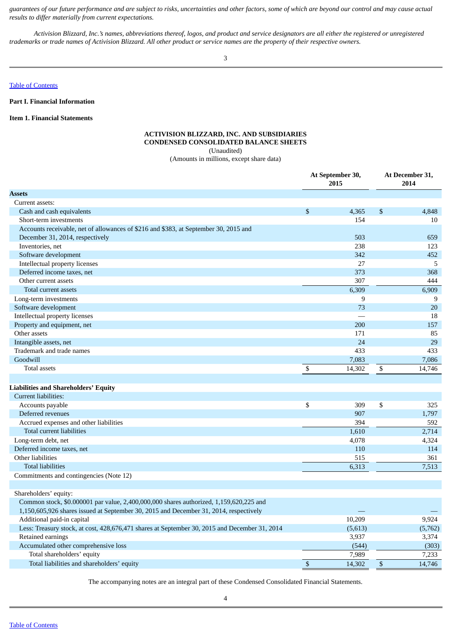guarantees of our future performance and are subject to risks, uncertainties and other factors, some of which are beyond our control and may cause actual *results to differ materially from current expectations.*

Activision Blizzard, Inc.'s names, abbreviations thereof, logos, and product and service designators are all either the registered or unregistered trademarks or trade names of Activision Blizzard. All other product or service names are the property of their respective owners.

<span id="page-2-2"></span>3

# Table of [Contents](#page-0-0)

#### **Part I. Financial Information**

# **Item 1. Financial Statements**

# <span id="page-2-1"></span><span id="page-2-0"></span>**ACTIVISION BLIZZARD, INC. AND SUBSIDIARIES CONDENSED CONSOLIDATED BALANCE SHEETS** (Unaudited)

(Amounts in millions, except share data)

|                                                                                               |                | At September 30,<br>2015 | At December 31,<br>2014 |
|-----------------------------------------------------------------------------------------------|----------------|--------------------------|-------------------------|
| <b>Assets</b>                                                                                 |                |                          |                         |
| Current assets:                                                                               |                |                          |                         |
| Cash and cash equivalents                                                                     | $\mathbb{S}$   | 4,365                    | \$<br>4,848             |
| Short-term investments                                                                        |                | 154                      | 10                      |
| Accounts receivable, net of allowances of \$216 and \$383, at September 30, 2015 and          |                |                          |                         |
| December 31, 2014, respectively                                                               |                | 503                      | 659                     |
| Inventories, net                                                                              |                | 238                      | 123                     |
| Software development                                                                          |                | 342                      | 452                     |
| Intellectual property licenses                                                                |                | 27                       | 5                       |
| Deferred income taxes, net                                                                    |                | 373                      | 368                     |
| Other current assets                                                                          |                | 307                      | 444                     |
| Total current assets                                                                          |                | 6,309                    | 6,909                   |
| Long-term investments                                                                         |                | 9                        | $9\,$                   |
| Software development                                                                          |                | 73                       | 20                      |
| Intellectual property licenses                                                                |                |                          | 18                      |
| Property and equipment, net                                                                   |                | 200                      | 157                     |
| Other assets                                                                                  |                | 171                      | 85                      |
| Intangible assets, net                                                                        |                | 24                       | 29                      |
| Trademark and trade names                                                                     |                | 433                      | 433                     |
| Goodwill                                                                                      |                | 7,083                    | 7,086                   |
| <b>Total assets</b>                                                                           | \$             | 14,302                   | \$<br>14,746            |
|                                                                                               |                |                          |                         |
| <b>Liabilities and Shareholders' Equity</b>                                                   |                |                          |                         |
| Current liabilities:                                                                          |                |                          |                         |
| Accounts payable                                                                              | \$             | 309                      | \$<br>325               |
| Deferred revenues                                                                             |                | 907                      | 1,797                   |
| Accrued expenses and other liabilities                                                        |                | 394                      | 592                     |
| Total current liabilities                                                                     |                | 1,610                    | 2,714                   |
| Long-term debt, net                                                                           |                | 4,078                    | 4,324                   |
| Deferred income taxes, net                                                                    |                | 110                      | 114                     |
| Other liabilities                                                                             |                | 515                      | 361                     |
| <b>Total liabilities</b>                                                                      |                | 6,313                    | 7.513                   |
| Commitments and contingencies (Note 12)                                                       |                |                          |                         |
|                                                                                               |                |                          |                         |
| Shareholders' equity:                                                                         |                |                          |                         |
| Common stock, \$0.000001 par value, 2,400,000,000 shares authorized, 1,159,620,225 and        |                |                          |                         |
| 1,150,605,926 shares issued at September 30, 2015 and December 31, 2014, respectively         |                |                          |                         |
| Additional paid-in capital                                                                    |                | 10,209                   | 9,924                   |
| Less: Treasury stock, at cost, 428,676,471 shares at September 30, 2015 and December 31, 2014 |                | (5,613)                  | (5,762)                 |
| Retained earnings                                                                             |                | 3,937                    | 3,374                   |
| Accumulated other comprehensive loss                                                          |                | (544)                    | (303)                   |
| Total shareholders' equity                                                                    |                | 7,989                    | 7,233                   |
| Total liabilities and shareholders' equity                                                    | $\mathfrak{S}$ | 14,302                   | \$<br>14,746            |
|                                                                                               |                |                          |                         |

The accompanying notes are an integral part of these Condensed Consolidated Financial Statements.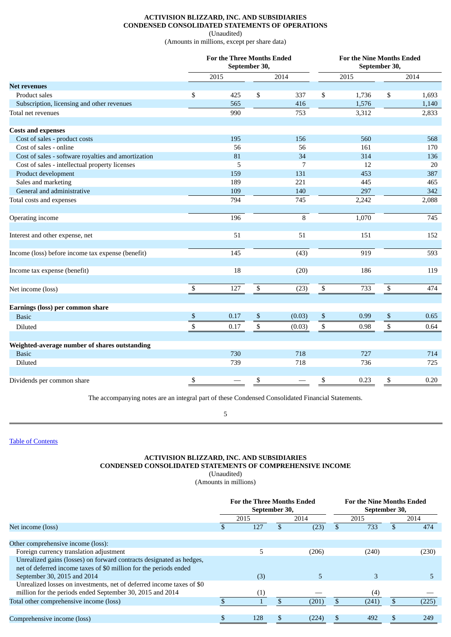### **ACTIVISION BLIZZARD, INC. AND SUBSIDIARIES CONDENSED CONSOLIDATED STATEMENTS OF OPERATIONS** (Unaudited)

<span id="page-3-0"></span>(Amounts in millions, except per share data)

|                                                     | <b>For the Three Months Ended</b><br>September 30, |      |    |        |                   | For the Nine Months Ended | September 30,             | 2014  |
|-----------------------------------------------------|----------------------------------------------------|------|----|--------|-------------------|---------------------------|---------------------------|-------|
|                                                     |                                                    | 2015 |    | 2014   |                   | 2015                      |                           |       |
| <b>Net revenues</b>                                 |                                                    |      |    |        |                   |                           |                           |       |
| Product sales                                       | \$                                                 | 425  | \$ | 337    | \$                | 1,736                     | \$                        | 1,693 |
| Subscription, licensing and other revenues          |                                                    | 565  |    | 416    |                   | 1,576                     |                           | 1,140 |
| Total net revenues                                  |                                                    | 990  |    | 753    |                   | 3,312                     |                           | 2,833 |
|                                                     |                                                    |      |    |        |                   |                           |                           |       |
| <b>Costs and expenses</b>                           |                                                    |      |    |        |                   |                           |                           |       |
| Cost of sales - product costs                       |                                                    | 195  |    | 156    |                   | 560                       |                           | 568   |
| Cost of sales - online                              |                                                    | 56   |    | 56     |                   | 161                       |                           | 170   |
| Cost of sales - software royalties and amortization |                                                    | 81   |    | 34     |                   | 314                       |                           | 136   |
| Cost of sales - intellectual property licenses      |                                                    | 5    |    | 7      |                   | 12                        |                           | 20    |
| Product development                                 |                                                    | 159  |    | 131    |                   | 453                       |                           | 387   |
| Sales and marketing                                 |                                                    | 189  |    | 221    |                   | 445                       |                           | 465   |
| General and administrative                          |                                                    | 109  |    | 140    |                   | 297                       |                           | 342   |
| Total costs and expenses                            |                                                    | 794  |    | 745    |                   | 2,242                     |                           | 2,088 |
| Operating income                                    |                                                    | 196  |    | 8      |                   | 1,070                     |                           | 745   |
| Interest and other expense, net                     |                                                    | 51   |    | 51     |                   | 151                       |                           | 152   |
| Income (loss) before income tax expense (benefit)   |                                                    | 145  |    | (43)   |                   | 919                       |                           | 593   |
| Income tax expense (benefit)                        |                                                    | 18   |    | (20)   |                   | 186                       |                           | 119   |
| Net income (loss)                                   | ${\mathbb S}$                                      | 127  | \$ | (23)   | \$                | 733                       | \$                        | 474   |
| Earnings (loss) per common share                    |                                                    |      |    |        |                   |                           |                           |       |
| <b>Basic</b>                                        | \$                                                 | 0.17 | \$ | (0.03) | $\boldsymbol{\$}$ | 0.99                      | $\boldsymbol{\mathsf{S}}$ | 0.65  |
| Diluted                                             |                                                    | 0.17 | \$ | (0.03) | $\mathbb{S}$      | 0.98                      | \$                        | 0.64  |
|                                                     |                                                    |      |    |        |                   |                           |                           |       |
| Weighted-average number of shares outstanding       |                                                    |      |    |        |                   |                           |                           |       |
| <b>Basic</b>                                        |                                                    | 730  |    | 718    |                   | 727                       |                           | 714   |
| Diluted                                             |                                                    | 739  |    | 718    |                   | 736                       |                           | 725   |
| Dividends per common share                          | \$                                                 |      | \$ |        | \$                | 0.23                      | \$                        | 0.20  |

The accompanying notes are an integral part of these Condensed Consolidated Financial Statements.

<span id="page-3-1"></span>5

Table of [Contents](#page-0-0)

# **ACTIVISION BLIZZARD, INC. AND SUBSIDIARIES CONDENSED CONSOLIDATED STATEMENTS OF COMPREHENSIVE INCOME**

(Unaudited)

(Amounts in millions)

|                                                                       | <b>For the Three Months Ended</b><br>September 30, |     |  |       |    | <b>For the Nine Months Ended</b><br>September 30, |  |       |  |
|-----------------------------------------------------------------------|----------------------------------------------------|-----|--|-------|----|---------------------------------------------------|--|-------|--|
|                                                                       | 2015                                               |     |  | 2014  |    | 2015                                              |  | 2014  |  |
| Net income (loss)                                                     |                                                    | 127 |  | (23)  |    | 733                                               |  | 474   |  |
|                                                                       |                                                    |     |  |       |    |                                                   |  |       |  |
| Other comprehensive income (loss):                                    |                                                    |     |  |       |    |                                                   |  |       |  |
| Foreign currency translation adjustment                               |                                                    | 5.  |  | (206) |    | (240)                                             |  | (230) |  |
| Unrealized gains (losses) on forward contracts designated as hedges,  |                                                    |     |  |       |    |                                                   |  |       |  |
| net of deferred income taxes of \$0 million for the periods ended     |                                                    |     |  |       |    |                                                   |  |       |  |
| September 30, 2015 and 2014                                           |                                                    | (3) |  | 5     |    | 3                                                 |  |       |  |
| Unrealized losses on investments, net of deferred income taxes of \$0 |                                                    |     |  |       |    |                                                   |  |       |  |
| million for the periods ended September 30, 2015 and 2014             |                                                    | (1) |  |       |    | (4)                                               |  |       |  |
| Total other comprehensive income (loss)                               |                                                    |     |  | (201) |    | (241)                                             |  | (225) |  |
|                                                                       |                                                    |     |  |       |    |                                                   |  |       |  |
| Comprehensive income (loss)                                           |                                                    | 128 |  | (224) | S. | 492                                               |  | 249   |  |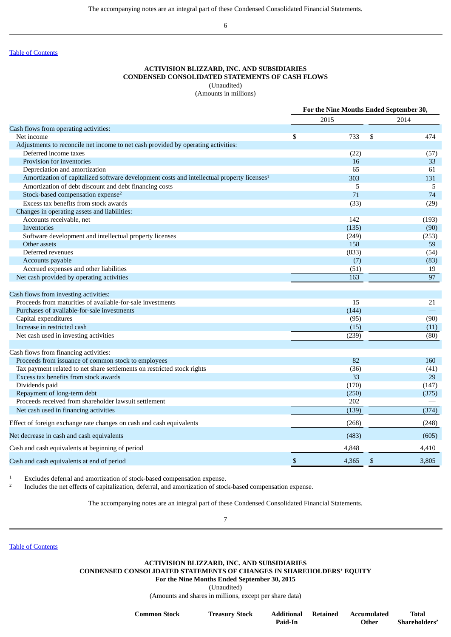<span id="page-4-0"></span>6

# Table of [Contents](#page-0-0)

# **ACTIVISION BLIZZARD, INC. AND SUBSIDIARIES CONDENSED CONSOLIDATED STATEMENTS OF CASH FLOWS** (Unaudited)

(Amounts in millions)

|                                                                                                        | For the Nine Months Ended September 30, |             |
|--------------------------------------------------------------------------------------------------------|-----------------------------------------|-------------|
|                                                                                                        | 2015                                    | 2014        |
| Cash flows from operating activities:                                                                  |                                         |             |
| Net income                                                                                             | \$<br>733                               | \$<br>474   |
| Adjustments to reconcile net income to net cash provided by operating activities:                      |                                         |             |
| Deferred income taxes                                                                                  | (22)                                    | (57)        |
| Provision for inventories                                                                              | 16                                      | 33          |
| Depreciation and amortization                                                                          | 65                                      | 61          |
| Amortization of capitalized software development costs and intellectual property licenses <sup>1</sup> | 303                                     | 131         |
| Amortization of debt discount and debt financing costs                                                 | 5                                       | 5           |
| Stock-based compensation expense <sup>2</sup>                                                          | 71                                      | 74          |
| Excess tax benefits from stock awards                                                                  | (33)                                    | (29)        |
| Changes in operating assets and liabilities:                                                           |                                         |             |
| Accounts receivable, net                                                                               | 142                                     | (193)       |
| Inventories                                                                                            | (135)                                   | (90)        |
| Software development and intellectual property licenses                                                | (249)                                   | (253)       |
| Other assets                                                                                           | 158                                     | 59          |
| Deferred revenues                                                                                      | (833)                                   | (54)        |
| Accounts payable                                                                                       | (7)                                     | (83)        |
| Accrued expenses and other liabilities                                                                 | (51)                                    | 19          |
| Net cash provided by operating activities                                                              | 163                                     | 97          |
| Cash flows from investing activities:                                                                  |                                         |             |
| Proceeds from maturities of available-for-sale investments                                             | 15                                      | 21          |
| Purchases of available-for-sale investments                                                            | (144)                                   |             |
| Capital expenditures                                                                                   | (95)                                    | (90)        |
| Increase in restricted cash                                                                            | (15)                                    | (11)        |
| Net cash used in investing activities                                                                  | (239)                                   | (80)        |
| Cash flows from financing activities:                                                                  |                                         |             |
| Proceeds from issuance of common stock to employees                                                    | 82                                      | 160         |
| Tax payment related to net share settlements on restricted stock rights                                | (36)                                    | (41)        |
| Excess tax benefits from stock awards                                                                  | 33                                      | 29          |
| Dividends paid                                                                                         | (170)                                   | (147)       |
| Repayment of long-term debt                                                                            | (250)                                   | (375)       |
| Proceeds received from shareholder lawsuit settlement                                                  | 202                                     |             |
| Net cash used in financing activities                                                                  | (139)                                   | (374)       |
| Effect of foreign exchange rate changes on cash and cash equivalents                                   | (268)                                   | (248)       |
| Net decrease in cash and cash equivalents                                                              | (483)                                   | (605)       |
| Cash and cash equivalents at beginning of period                                                       | 4,848                                   | 4,410       |
| Cash and cash equivalents at end of period                                                             | \$<br>4,365                             | \$<br>3,805 |

 Excludes deferral and amortization of stock-based compensation expense. 1 2

Includes the net effects of capitalization, deferral, and amortization of stock-based compensation expense.

The accompanying notes are an integral part of these Condensed Consolidated Financial Statements.

7

Table of [Contents](#page-0-0)

# **ACTIVISION BLIZZARD, INC. AND SUBSIDIARIES CONDENSED CONSOLIDATED STATEMENTS OF CHANGES IN SHAREHOLDERS' EQUITY**

**For the Nine Months Ended September 30, 2015** (Unaudited)

(Amounts and shares in millions, except per share data)

**Common Stock Treasury Stock Additional**

**Paid-In**

**Retained Accumulated Other**

<span id="page-4-1"></span>**Total Shareholders'**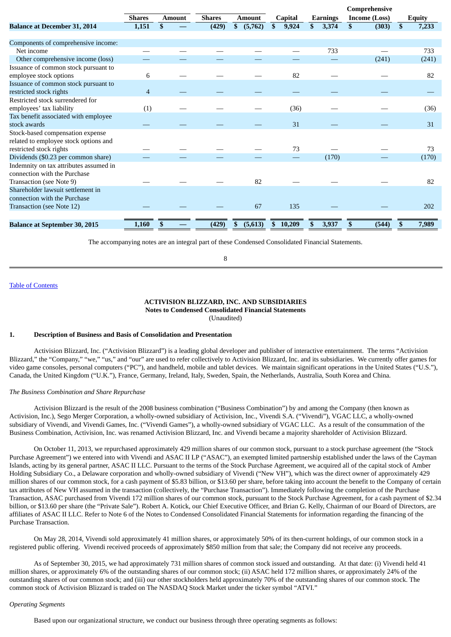|                                        |                |               |               |               |              |                 | Comprehensive |               |
|----------------------------------------|----------------|---------------|---------------|---------------|--------------|-----------------|---------------|---------------|
|                                        | <b>Shares</b>  | <b>Amount</b> | <b>Shares</b> | <b>Amount</b> | Capital      | <b>Earnings</b> | Income (Loss) | <b>Equity</b> |
| <b>Balance at December 31, 2014</b>    | 1,151          | \$            | (429)         | \$<br>(5,762) | \$<br>9,924  | 3,374<br>\$.    | (303)<br>\$   | 7,233<br>\$   |
|                                        |                |               |               |               |              |                 |               |               |
| Components of comprehensive income:    |                |               |               |               |              |                 |               |               |
| Net income                             |                |               |               |               |              | 733             |               | 733           |
| Other comprehensive income (loss)      |                |               |               |               |              |                 | (241)         | (241)         |
| Issuance of common stock pursuant to   |                |               |               |               |              |                 |               |               |
| employee stock options                 | 6              |               |               |               | 82           |                 |               | 82            |
| Issuance of common stock pursuant to   |                |               |               |               |              |                 |               |               |
| restricted stock rights                | $\overline{4}$ |               |               |               |              |                 |               |               |
| Restricted stock surrendered for       |                |               |               |               |              |                 |               |               |
| employees' tax liability               | (1)            |               |               |               | (36)         |                 |               | (36)          |
| Tax benefit associated with employee   |                |               |               |               |              |                 |               |               |
| stock awards                           |                |               |               |               | 31           |                 |               | 31            |
| Stock-based compensation expense       |                |               |               |               |              |                 |               |               |
| related to employee stock options and  |                |               |               |               |              |                 |               |               |
| restricted stock rights                |                |               |               |               | 73           |                 |               | 73            |
| Dividends (\$0.23 per common share)    |                |               |               |               |              | (170)           |               | (170)         |
| Indemnity on tax attributes assumed in |                |               |               |               |              |                 |               |               |
| connection with the Purchase           |                |               |               |               |              |                 |               |               |
| Transaction (see Note 9)               |                |               |               | 82            |              |                 |               | 82            |
| Shareholder lawsuit settlement in      |                |               |               |               |              |                 |               |               |
| connection with the Purchase           |                |               |               |               |              |                 |               |               |
| Transaction (see Note 12)              |                |               |               | 67            | 135          |                 |               | 202           |
|                                        |                |               |               |               |              |                 |               |               |
| <b>Balance at September 30, 2015</b>   | 1,160          | <b>S</b>      | (429)         | (5,613)<br>\$ | 10,209<br>\$ | 3,937<br>\$.    | S<br>(544)    | \$<br>7,989   |

The accompanying notes are an integral part of these Condensed Consolidated Financial Statements.

<span id="page-5-0"></span>8

# Table of [Contents](#page-0-0)

# **ACTIVISION BLIZZARD, INC. AND SUBSIDIARIES Notes to Condensed Consolidated Financial Statements** (Unaudited)

#### **1. Description of Business and Basis of Consolidation and Presentation**

Activision Blizzard, Inc. ("Activision Blizzard") is a leading global developer and publisher of interactive entertainment. The terms "Activision Blizzard," the "Company," "we," "us," and "our" are used to refer collectively to Activision Blizzard, Inc. and its subsidiaries. We currently offer games for video game consoles, personal computers ("PC"), and handheld, mobile and tablet devices. We maintain significant operations in the United States ("U.S."), Canada, the United Kingdom ("U.K."), France, Germany, Ireland, Italy, Sweden, Spain, the Netherlands, Australia, South Korea and China.

# *The Business Combination and Share Repurchase*

Activision Blizzard is the result of the 2008 business combination ("Business Combination") by and among the Company (then known as Activision, Inc.), Sego Merger Corporation, a wholly-owned subsidiary of Activision, Inc., Vivendi S.A. ("Vivendi"), VGAC LLC, a wholly-owned subsidiary of Vivendi, and Vivendi Games, Inc. ("Vivendi Games"), a wholly-owned subsidiary of VGAC LLC. As a result of the consummation of the Business Combination, Activision, Inc. was renamed Activision Blizzard, Inc. and Vivendi became a majority shareholder of Activision Blizzard.

On October 11, 2013, we repurchased approximately 429 million shares of our common stock, pursuant to a stock purchase agreement (the "Stock Purchase Agreement") we entered into with Vivendi and ASAC II LP ("ASAC"), an exempted limited partnership established under the laws of the Cayman Islands, acting by its general partner, ASAC II LLC. Pursuant to the terms of the Stock Purchase Agreement, we acquired all of the capital stock of Amber Holding Subsidiary Co., a Delaware corporation and wholly-owned subsidiary of Vivendi ("New VH"), which was the direct owner of approximately 429 million shares of our common stock, for a cash payment of \$5.83 billion, or \$13.60 per share, before taking into account the benefit to the Company of certain tax attributes of New VH assumed in the transaction (collectively, the "Purchase Transaction"). Immediately following the completion of the Purchase Transaction, ASAC purchased from Vivendi 172 million shares of our common stock, pursuant to the Stock Purchase Agreement, for a cash payment of \$2.34 billion, or \$13.60 per share (the "Private Sale"). Robert A. Kotick, our Chief Executive Officer, and Brian G. Kelly, Chairman of our Board of Directors, are affiliates of ASAC II LLC. Refer to Note 6 of the Notes to Condensed Consolidated Financial Statements for information regarding the financing of the Purchase Transaction.

On May 28, 2014, Vivendi sold approximately 41 million shares, or approximately 50% of its then-current holdings, of our common stock in a registered public offering. Vivendi received proceeds of approximately \$850 million from that sale; the Company did not receive any proceeds.

As of September 30, 2015, we had approximately 731 million shares of common stock issued and outstanding. At that date: (i) Vivendi held 41 million shares, or approximately 6% of the outstanding shares of our common stock; (ii) ASAC held 172 million shares, or approximately 24% of the outstanding shares of our common stock; and (iii) our other stockholders held approximately 70% of the outstanding shares of our common stock. The common stock of Activision Blizzard is traded on The NASDAQ Stock Market under the ticker symbol "ATVI."

#### *Operating Segments*

Based upon our organizational structure, we conduct our business through three operating segments as follows: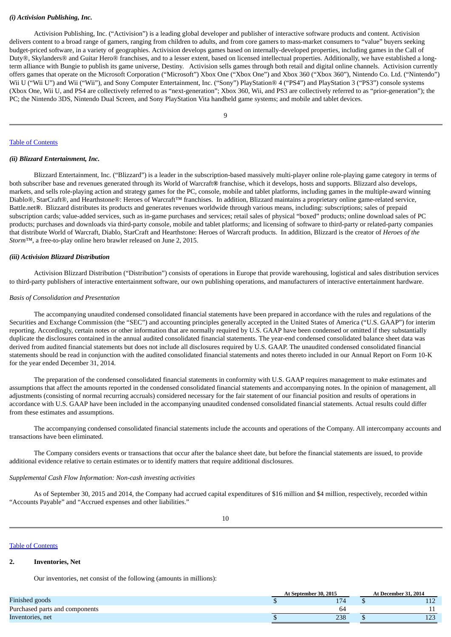# *(i) Activision Publishing, Inc.*

Activision Publishing, Inc. ("Activision") is a leading global developer and publisher of interactive software products and content. Activision delivers content to a broad range of gamers, ranging from children to adults, and from core gamers to mass-market consumers to "value" buyers seeking budget-priced software, in a variety of geographies. Activision develops games based on internally-developed properties, including games in the Call of Duty®, Skylanders® and Guitar Hero® franchises, and to a lesser extent, based on licensed intellectual properties. Additionally, we have established a longterm alliance with Bungie to publish its game universe, Destiny. Activision sells games through both retail and digital online channels. Activision currently offers games that operate on the Microsoft Corporation ("Microsoft") Xbox One ("Xbox One") and Xbox 360 ("Xbox 360"), Nintendo Co. Ltd. ("Nintendo") Wii U ("Wii U") and Wii ("Wii"), and Sony Computer Entertainment, Inc. ("Sony") PlayStation® 4 ("PS4") and PlayStation 3 ("PS3") console systems (Xbox One, Wii U, and PS4 are collectively referred to as "next-generation"; Xbox 360, Wii, and PS3 are collectively referred to as "prior-generation"); the PC; the Nintendo 3DS, Nintendo Dual Screen, and Sony PlayStation Vita handheld game systems; and mobile and tablet devices.

9

#### Table of [Contents](#page-0-0)

#### *(ii) Blizzard Entertainment, Inc.*

Blizzard Entertainment, Inc. ("Blizzard") is a leader in the subscription-based massively multi-player online role-playing game category in terms of both subscriber base and revenues generated through its World of Warcraft*®* franchise, which it develops, hosts and supports. Blizzard also develops, markets, and sells role-playing action and strategy games for the PC, console, mobile and tablet platforms, including games in the multiple-award winning Diablo®, StarCraft®, and Hearthstone®: Heroes of Warcraft™ franchises. In addition, Blizzard maintains a proprietary online game-related service, Battle.net*®*. Blizzard distributes its products and generates revenues worldwide through various means, including: subscriptions; sales of prepaid subscription cards; value-added services, such as in-game purchases and services; retail sales of physical "boxed" products; online download sales of PC products; purchases and downloads via third-party console, mobile and tablet platforms; and licensing of software to third-party or related-party companies that distribute World of Warcraft, Diablo, StarCraft and Hearthstone: Heroes of Warcraft products. In addition, Blizzard is the creator of *Heroes of the Storm™*, a free-to-play online hero brawler released on June 2, 2015.

# *(iii) Activision Blizzard Distribution*

Activision Blizzard Distribution ("Distribution") consists of operations in Europe that provide warehousing, logistical and sales distribution services to third-party publishers of interactive entertainment software, our own publishing operations, and manufacturers of interactive entertainment hardware.

#### *Basis of Consolidation and Presentation*

The accompanying unaudited condensed consolidated financial statements have been prepared in accordance with the rules and regulations of the Securities and Exchange Commission (the "SEC") and accounting principles generally accepted in the United States of America ("U.S. GAAP") for interim reporting. Accordingly, certain notes or other information that are normally required by U.S. GAAP have been condensed or omitted if they substantially duplicate the disclosures contained in the annual audited consolidated financial statements. The year-end condensed consolidated balance sheet data was derived from audited financial statements but does not include all disclosures required by U.S. GAAP. The unaudited condensed consolidated financial statements should be read in conjunction with the audited consolidated financial statements and notes thereto included in our Annual Report on Form 10-K for the year ended December 31, 2014.

The preparation of the condensed consolidated financial statements in conformity with U.S. GAAP requires management to make estimates and assumptions that affect the amounts reported in the condensed consolidated financial statements and accompanying notes. In the opinion of management, all adjustments (consisting of normal recurring accruals) considered necessary for the fair statement of our financial position and results of operations in accordance with U.S. GAAP have been included in the accompanying unaudited condensed consolidated financial statements. Actual results could differ from these estimates and assumptions.

The accompanying condensed consolidated financial statements include the accounts and operations of the Company. All intercompany accounts and transactions have been eliminated.

The Company considers events or transactions that occur after the balance sheet date, but before the financial statements are issued, to provide additional evidence relative to certain estimates or to identify matters that require additional disclosures.

# *Supplemental Cash Flow Information: Non-cash investing activities*

As of September 30, 2015 and 2014, the Company had accrued capital expenditures of \$16 million and \$4 million, respectively, recorded within "Accounts Payable" and "Accrued expenses and other liabilities."

#### Table of [Contents](#page-0-0)

# **2. Inventories, Net**

Our inventories, net consist of the following (amounts in millions):

|                                | At September 30, 2015 |     | At December 31, 2014 |
|--------------------------------|-----------------------|-----|----------------------|
| Finished goods                 |                       |     |                      |
| Purchased parts and components |                       |     | . .                  |
| Inventories, net               |                       | 238 | ---                  |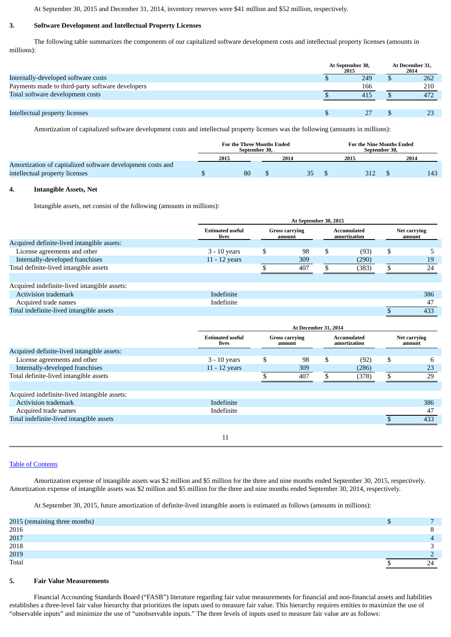At September 30, 2015 and December 31, 2014, inventory reserves were \$41 million and \$52 million, respectively.

# **3. Software Development and Intellectual Property Licenses**

The following table summarizes the components of our capitalized software development costs and intellectual property licenses (amounts in millions):

|                                                  | At September 30,<br>2015 | At December 31,<br>2014 |
|--------------------------------------------------|--------------------------|-------------------------|
| Internally-developed software costs              | 249                      | 262                     |
| Payments made to third-party software developers | 166                      | 210                     |
| Total software development costs                 | 415                      | 472                     |
|                                                  |                          |                         |
| Intellectual property licenses                   |                          |                         |

Amortization of capitalized software development costs and intellectual property licenses was the following (amounts in millions):

|                                                            | <b>For the Three Months Ended</b><br>September 30. |    |  |      |    |      | <b>For the Nine Months Ended</b><br>September 30. |  |      |     |
|------------------------------------------------------------|----------------------------------------------------|----|--|------|----|------|---------------------------------------------------|--|------|-----|
|                                                            | 2015                                               |    |  | 2014 |    | 2015 |                                                   |  | 2014 |     |
| Amortization of capitalized software development costs and |                                                    |    |  |      |    |      |                                                   |  |      |     |
| intellectual property licenses                             |                                                    | 80 |  |      | 35 |      | 312                                               |  |      | 143 |

# **4. Intangible Assets, Net**

Intangible assets, net consist of the following (amounts in millions):

|                                              |                                  | At September 30, 2015                                                 |                                 |                      |                                    |                        |                        |  |  |
|----------------------------------------------|----------------------------------|-----------------------------------------------------------------------|---------------------------------|----------------------|------------------------------------|------------------------|------------------------|--|--|
|                                              | <b>Estimated useful</b><br>lives |                                                                       | <b>Gross carrying</b><br>amount |                      | <b>Accumulated</b><br>amortization |                        | Net carrying<br>amount |  |  |
| Acquired definite-lived intangible assets:   |                                  |                                                                       |                                 |                      |                                    |                        |                        |  |  |
| License agreements and other                 | $3 - 10$ years                   | \$                                                                    | 98                              | \$                   | (93)                               | \$                     | 5                      |  |  |
| Internally-developed franchises              | $11 - 12$ years                  |                                                                       | 309                             |                      | (290)                              |                        | 19                     |  |  |
| Total definite-lived intangible assets       |                                  | \$.                                                                   | 407                             | \$.                  | (383)                              | \$                     | 24                     |  |  |
|                                              |                                  |                                                                       |                                 |                      |                                    |                        |                        |  |  |
| Acquired indefinite-lived intangible assets: |                                  |                                                                       |                                 |                      |                                    |                        |                        |  |  |
| Activision trademark                         | Indefinite                       |                                                                       |                                 |                      |                                    |                        | 386                    |  |  |
| Acquired trade names                         | Indefinite                       |                                                                       |                                 |                      |                                    |                        | 47                     |  |  |
| Total indefinite-lived intangible assets     |                                  |                                                                       |                                 |                      |                                    |                        | 433                    |  |  |
|                                              |                                  |                                                                       |                                 |                      |                                    |                        |                        |  |  |
|                                              |                                  |                                                                       |                                 | At December 31, 2014 |                                    |                        |                        |  |  |
|                                              | <b>Estimated useful</b><br>lives | <b>Accumulated</b><br><b>Gross carrying</b><br>amortization<br>amount |                                 |                      |                                    | Net carrying<br>amount |                        |  |  |
| Acquired definite-lived intangible assets:   |                                  |                                                                       |                                 |                      |                                    |                        |                        |  |  |
| License agreements and other                 | $3 - 10$ years                   | \$                                                                    | 98                              | \$                   | (92)                               | \$                     | 6                      |  |  |
| Internally-developed franchises              | 11 - 12 years                    |                                                                       | 309                             |                      | (286)                              |                        | 23                     |  |  |

| Acquired indefinite-lived intangible assets: |            |     |
|----------------------------------------------|------------|-----|
| <b>Activision trademark</b>                  | Indefinite | 386 |
| Acquired trade names                         | Indefinite | 47  |
| Total indefinite-lived intangible assets     |            | 433 |
|                                              |            |     |

11

Total definite-lived intangible assets  $\frac{1}{3}$   $\frac{407}{3}$   $\frac{1}{3}$   $\frac{378}{3}$   $\frac{378}{3}$   $\frac{3}{4}$   $\frac{29}{3}$ 

# Table of [Contents](#page-0-0)

Amortization expense of intangible assets was \$2 million and \$5 million for the three and nine months ended September 30, 2015, respectively. Amortization expense of intangible assets was \$2 million and \$5 million for the three and nine months ended September 30, 2014, respectively.

At September 30, 2015, future amortization of definite-lived intangible assets is estimated as follows (amounts in millions):

| 2015 (remaining three months) |  |
|-------------------------------|--|
| 2016                          |  |
| 2017                          |  |
| 2018                          |  |
| 2019                          |  |
| Total                         |  |

### **5. Fair Value Measurements**

Financial Accounting Standards Board ("FASB") literature regarding fair value measurements for financial and non-financial assets and liabilities establishes a three-level fair value hierarchy that prioritizes the inputs used to measure fair value. This hierarchy requires entities to maximize the use of "observable inputs" and minimize the use of "unobservable inputs." The three levels of inputs used to measure fair value are as follows: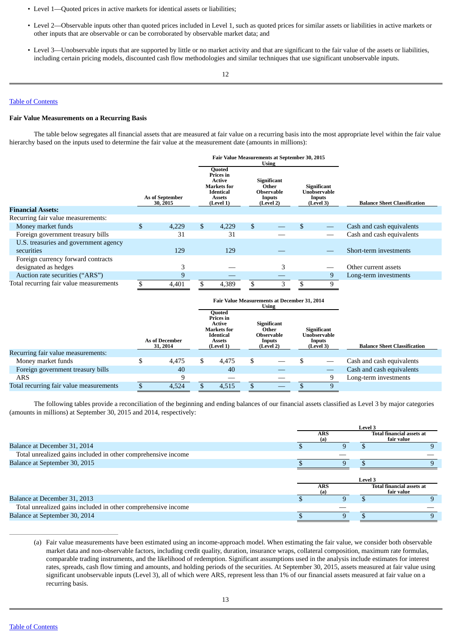- Level 1—Quoted prices in active markets for identical assets or liabilities;
- Level 2—Observable inputs other than quoted prices included in Level 1, such as quoted prices for similar assets or liabilities in active markets or other inputs that are observable or can be corroborated by observable market data; and
- Level 3—Unobservable inputs that are supported by little or no market activity and that are significant to the fair value of the assets or liabilities, including certain pricing models, discounted cash flow methodologies and similar techniques that use significant unobservable inputs.

### Table of [Contents](#page-0-0)

# **Fair Value Measurements on a Recurring Basis**

The table below segregates all financial assets that are measured at fair value on a recurring basis into the most appropriate level within the fair value hierarchy based on the inputs used to determine the fair value at the measurement date (amounts in millions):

|                                         |    |                             |    | Fair Value Measurements at September 30, 2015                                                         | Using                                                                                                                                |   |                                     |   |                           |
|-----------------------------------------|----|-----------------------------|----|-------------------------------------------------------------------------------------------------------|--------------------------------------------------------------------------------------------------------------------------------------|---|-------------------------------------|---|---------------------------|
|                                         |    | As of September<br>30, 2015 |    | <b>Ouoted</b><br>Prices in<br>Active<br><b>Markets</b> for<br><b>Identical</b><br>Assets<br>(Level 1) | <b>Significant</b><br>Other<br><b>Significant</b><br><b>Observable</b><br>Unobservable<br>Inputs<br>Inputs<br>(Level 2)<br>(Level 3) |   | <b>Balance Sheet Classification</b> |   |                           |
| <b>Financial Assets:</b>                |    |                             |    |                                                                                                       |                                                                                                                                      |   |                                     |   |                           |
| Recurring fair value measurements:      |    |                             |    |                                                                                                       |                                                                                                                                      |   |                                     |   |                           |
| Money market funds                      | S. | 4,229                       | \$ | 4,229                                                                                                 | \$                                                                                                                                   |   |                                     |   | Cash and cash equivalents |
| Foreign government treasury bills       |    | 31                          |    | 31                                                                                                    |                                                                                                                                      |   |                                     |   | Cash and cash equivalents |
| U.S. treasuries and government agency   |    |                             |    |                                                                                                       |                                                                                                                                      |   |                                     |   |                           |
| securities                              |    | 129                         |    | 129                                                                                                   |                                                                                                                                      |   |                                     |   | Short-term investments    |
| Foreign currency forward contracts      |    |                             |    |                                                                                                       |                                                                                                                                      |   |                                     |   |                           |
| designated as hedges                    |    | 3                           |    |                                                                                                       |                                                                                                                                      | 3 |                                     |   | Other current assets      |
| Auction rate securities ("ARS")         |    | 9                           |    |                                                                                                       |                                                                                                                                      |   |                                     | 9 | Long-term investments     |
| Total recurring fair value measurements |    | 4,401                       |    | 4,389                                                                                                 |                                                                                                                                      | 3 |                                     | 9 |                           |

|                                         |                                   | Fair Value Measurements at December 31, 2014                                                                 | <b>Using</b>                                                            |                                                    |                                     |
|-----------------------------------------|-----------------------------------|--------------------------------------------------------------------------------------------------------------|-------------------------------------------------------------------------|----------------------------------------------------|-------------------------------------|
|                                         | <b>As of December</b><br>31, 2014 | <b>Quoted</b><br>Prices in<br><b>Active</b><br><b>Markets</b> for<br><b>Identical</b><br>Assets<br>(Level 1) | <b>Significant</b><br>Other<br><b>Observable</b><br>Inputs<br>(Level 2) | Significant<br>Unobservable<br>Inputs<br>(Level 3) | <b>Balance Sheet Classification</b> |
| Recurring fair value measurements:      |                                   |                                                                                                              |                                                                         |                                                    |                                     |
| Money market funds                      | 4.475                             | 4.475                                                                                                        | \$                                                                      |                                                    | Cash and cash equivalents           |
| Foreign government treasury bills       | 40                                | 40                                                                                                           |                                                                         |                                                    | Cash and cash equivalents           |
| <b>ARS</b>                              | 9                                 |                                                                                                              |                                                                         | 9                                                  | Long-term investments               |
| Total recurring fair value measurements | 4.524                             | 4.515                                                                                                        |                                                                         | 9                                                  |                                     |

The following tables provide a reconciliation of the beginning and ending balances of our financial assets classified as Level 3 by major categories (amounts in millions) at September 30, 2015 and 2014, respectively:

|            | Level 3    |                                                |
|------------|------------|------------------------------------------------|
| ARS<br>(a) |            | <b>Total financial assets at</b><br>fair value |
|            |            |                                                |
|            |            |                                                |
|            |            |                                                |
|            | Level 3    |                                                |
| (a)        |            | <b>Total financial assets at</b><br>fair value |
|            |            |                                                |
|            |            |                                                |
|            |            |                                                |
|            | <b>ARS</b> |                                                |

<sup>(</sup>a) Fair value measurements have been estimated using an income-approach model. When estimating the fair value, we consider both observable market data and non-observable factors, including credit quality, duration, insurance wraps, collateral composition, maximum rate formulas, comparable trading instruments, and the likelihood of redemption. Significant assumptions used in the analysis include estimates for interest rates, spreads, cash flow timing and amounts, and holding periods of the securities. At September 30, 2015, assets measured at fair value using significant unobservable inputs (Level 3), all of which were ARS, represent less than 1% of our financial assets measured at fair value on a recurring basis.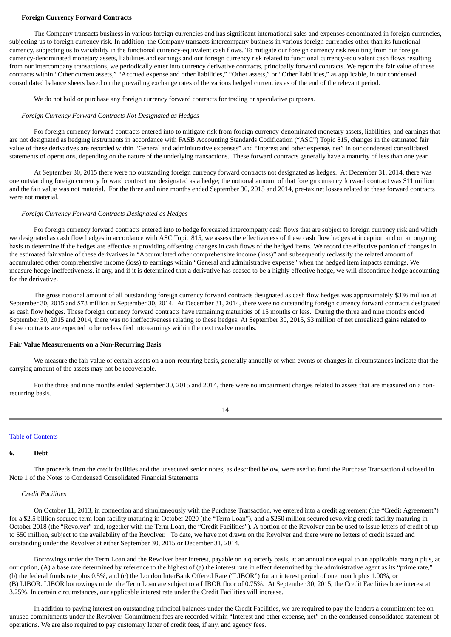#### **Foreign Currency Forward Contracts**

The Company transacts business in various foreign currencies and has significant international sales and expenses denominated in foreign currencies, subjecting us to foreign currency risk. In addition, the Company transacts intercompany business in various foreign currencies other than its functional currency, subjecting us to variability in the functional currency-equivalent cash flows. To mitigate our foreign currency risk resulting from our foreign currency-denominated monetary assets, liabilities and earnings and our foreign currency risk related to functional currency-equivalent cash flows resulting from our intercompany transactions, we periodically enter into currency derivative contracts, principally forward contracts. We report the fair value of these contracts within "Other current assets," "Accrued expense and other liabilities," "Other assets," or "Other liabilities," as applicable, in our condensed consolidated balance sheets based on the prevailing exchange rates of the various hedged currencies as of the end of the relevant period.

We do not hold or purchase any foreign currency forward contracts for trading or speculative purposes.

# *Foreign Currency Forward Contracts Not Designated as Hedges*

For foreign currency forward contracts entered into to mitigate risk from foreign currency-denominated monetary assets, liabilities, and earnings that are not designated as hedging instruments in accordance with FASB Accounting Standards Codification ("ASC") Topic 815, changes in the estimated fair value of these derivatives are recorded within "General and administrative expenses" and "Interest and other expense, net" in our condensed consolidated statements of operations, depending on the nature of the underlying transactions. These forward contracts generally have a maturity of less than one year.

At September 30, 2015 there were no outstanding foreign currency forward contracts not designated as hedges. At December 31, 2014, there was one outstanding foreign currency forward contract not designated as a hedge; the notional amount of that foreign currency forward contract was \$11 million and the fair value was not material. For the three and nine months ended September 30, 2015 and 2014, pre-tax net losses related to these forward contracts were not material.

# *Foreign Currency Forward Contracts Designated as Hedges*

For foreign currency forward contracts entered into to hedge forecasted intercompany cash flows that are subject to foreign currency risk and which we designated as cash flow hedges in accordance with ASC Topic 815, we assess the effectiveness of these cash flow hedges at inception and on an ongoing basis to determine if the hedges are effective at providing offsetting changes in cash flows of the hedged items. We record the effective portion of changes in the estimated fair value of these derivatives in "Accumulated other comprehensive income (loss)" and subsequently reclassify the related amount of accumulated other comprehensive income (loss) to earnings within "General and administrative expense" when the hedged item impacts earnings. We measure hedge ineffectiveness, if any, and if it is determined that a derivative has ceased to be a highly effective hedge, we will discontinue hedge accounting for the derivative.

The gross notional amount of all outstanding foreign currency forward contracts designated as cash flow hedges was approximately \$336 million at September 30, 2015 and \$78 million at September 30, 2014. At December 31, 2014, there were no outstanding foreign currency forward contracts designated as cash flow hedges. These foreign currency forward contracts have remaining maturities of 15 months or less. During the three and nine months ended September 30, 2015 and 2014, there was no ineffectiveness relating to these hedges. At September 30, 2015, \$3 million of net unrealized gains related to these contracts are expected to be reclassified into earnings within the next twelve months.

# **Fair Value Measurements on a Non-Recurring Basis**

We measure the fair value of certain assets on a non-recurring basis, generally annually or when events or changes in circumstances indicate that the carrying amount of the assets may not be recoverable.

For the three and nine months ended September 30, 2015 and 2014, there were no impairment charges related to assets that are measured on a nonrecurring basis.

$$
14 \\
$$

#### Table of [Contents](#page-0-0)

#### **6. Debt**

The proceeds from the credit facilities and the unsecured senior notes, as described below, were used to fund the Purchase Transaction disclosed in Note 1 of the Notes to Condensed Consolidated Financial Statements.

#### *Credit Facilities*

On October 11, 2013, in connection and simultaneously with the Purchase Transaction, we entered into a credit agreement (the "Credit Agreement") for a \$2.5 billion secured term loan facility maturing in October 2020 (the "Term Loan"), and a \$250 million secured revolving credit facility maturing in October 2018 (the "Revolver" and, together with the Term Loan, the "Credit Facilities"). A portion of the Revolver can be used to issue letters of credit of up to \$50 million, subject to the availability of the Revolver. To date, we have not drawn on the Revolver and there were no letters of credit issued and outstanding under the Revolver at either September 30, 2015 or December 31, 2014.

Borrowings under the Term Loan and the Revolver bear interest, payable on a quarterly basis, at an annual rate equal to an applicable margin plus, at our option, (A) a base rate determined by reference to the highest of (a) the interest rate in effect determined by the administrative agent as its "prime rate," (b) the federal funds rate plus 0.5%, and (c) the London InterBank Offered Rate ("LIBOR") for an interest period of one month plus 1.00%, or (B) LIBOR. LIBOR borrowings under the Term Loan are subject to a LIBOR floor of 0.75%. At September 30, 2015, the Credit Facilities bore interest at 3.25%. In certain circumstances, our applicable interest rate under the Credit Facilities will increase.

In addition to paying interest on outstanding principal balances under the Credit Facilities, we are required to pay the lenders a commitment fee on unused commitments under the Revolver. Commitment fees are recorded within "Interest and other expense, net" on the condensed consolidated statement of operations. We are also required to pay customary letter of credit fees, if any, and agency fees.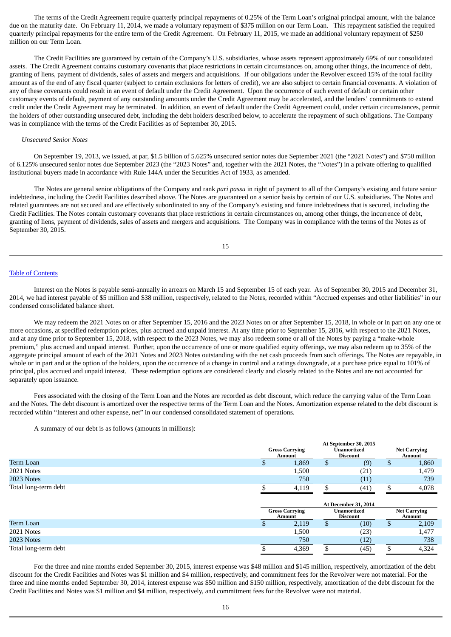The terms of the Credit Agreement require quarterly principal repayments of 0.25% of the Term Loan's original principal amount, with the balance due on the maturity date. On February 11, 2014, we made a voluntary repayment of \$375 million on our Term Loan. This repayment satisfied the required quarterly principal repayments for the entire term of the Credit Agreement. On February 11, 2015, we made an additional voluntary repayment of \$250 million on our Term Loan.

The Credit Facilities are guaranteed by certain of the Company's U.S. subsidiaries, whose assets represent approximately 69% of our consolidated assets. The Credit Agreement contains customary covenants that place restrictions in certain circumstances on, among other things, the incurrence of debt, granting of liens, payment of dividends, sales of assets and mergers and acquisitions. If our obligations under the Revolver exceed 15% of the total facility amount as of the end of any fiscal quarter (subject to certain exclusions for letters of credit), we are also subject to certain financial covenants. A violation of any of these covenants could result in an event of default under the Credit Agreement. Upon the occurrence of such event of default or certain other customary events of default, payment of any outstanding amounts under the Credit Agreement may be accelerated, and the lenders' commitments to extend credit under the Credit Agreement may be terminated. In addition, an event of default under the Credit Agreement could, under certain circumstances, permit the holders of other outstanding unsecured debt, including the debt holders described below, to accelerate the repayment of such obligations. The Company was in compliance with the terms of the Credit Facilities as of September 30, 2015.

## *Unsecured Senior Notes*

On September 19, 2013, we issued, at par, \$1.5 billion of 5.625% unsecured senior notes due September 2021 (the "2021 Notes") and \$750 million of 6.125% unsecured senior notes due September 2023 (the "2023 Notes" and, together with the 2021 Notes, the "Notes") in a private offering to qualified institutional buyers made in accordance with Rule 144A under the Securities Act of 1933, as amended.

The Notes are general senior obligations of the Company and rank *pari passu* in right of payment to all of the Company's existing and future senior indebtedness, including the Credit Facilities described above. The Notes are guaranteed on a senior basis by certain of our U.S. subsidiaries. The Notes and related guarantees are not secured and are effectively subordinated to any of the Company's existing and future indebtedness that is secured, including the Credit Facilities. The Notes contain customary covenants that place restrictions in certain circumstances on, among other things, the incurrence of debt, granting of liens, payment of dividends, sales of assets and mergers and acquisitions. The Company was in compliance with the terms of the Notes as of September 30, 2015.

15

#### Table of [Contents](#page-0-0)

Interest on the Notes is payable semi-annually in arrears on March 15 and September 15 of each year. As of September 30, 2015 and December 31, 2014, we had interest payable of \$5 million and \$38 million, respectively, related to the Notes, recorded within "Accrued expenses and other liabilities" in our condensed consolidated balance sheet.

We may redeem the 2021 Notes on or after September 15, 2016 and the 2023 Notes on or after September 15, 2018, in whole or in part on any one or more occasions, at specified redemption prices, plus accrued and unpaid interest. At any time prior to September 15, 2016, with respect to the 2021 Notes, and at any time prior to September 15, 2018, with respect to the 2023 Notes, we may also redeem some or all of the Notes by paying a "make-whole premium," plus accrued and unpaid interest. Further, upon the occurrence of one or more qualified equity offerings, we may also redeem up to 35% of the aggregate principal amount of each of the 2021 Notes and 2023 Notes outstanding with the net cash proceeds from such offerings. The Notes are repayable, in whole or in part and at the option of the holders, upon the occurrence of a change in control and a ratings downgrade, at a purchase price equal to 101% of principal, plus accrued and unpaid interest. These redemption options are considered clearly and closely related to the Notes and are not accounted for separately upon issuance.

Fees associated with the closing of the Term Loan and the Notes are recorded as debt discount, which reduce the carrying value of the Term Loan and the Notes. The debt discount is amortized over the respective terms of the Term Loan and the Notes. Amortization expense related to the debt discount is recorded within "Interest and other expense, net" in our condensed consolidated statement of operations.

# A summary of our debt is as follows (amounts in millions):

|                      |    |                                 |   | At September 30, 2015                 |   |                               |
|----------------------|----|---------------------------------|---|---------------------------------------|---|-------------------------------|
|                      |    | <b>Gross Carrying</b><br>Amount |   | <b>Unamortized</b><br><b>Discount</b> |   | <b>Net Carrying</b><br>Amount |
| Term Loan            | P  | 1,869                           | S | (9)                                   | S | 1,860                         |
| 2021 Notes           |    | 1,500                           |   | (21)                                  |   | 1,479                         |
| 2023 Notes           |    | 750                             |   | (11)                                  |   | 739                           |
| Total long-term debt |    | 4,119                           |   | (41)                                  |   | 4,078                         |
|                      |    |                                 |   | At December 31, 2014                  |   |                               |
|                      |    | <b>Gross Carrying</b><br>Amount |   | <b>Unamortized</b><br><b>Discount</b> |   | <b>Net Carrying</b><br>Amount |
| Term Loan            | D. | 2,119                           | Ъ | (10)                                  | ъ | 2,109                         |
| 2021 Notes           |    | 1,500                           |   | (23)                                  |   | 1,477                         |
| 2023 Notes           |    | 750                             |   | (12)                                  |   | 738                           |
| Total long-term debt |    | 4,369                           |   | (45)                                  |   | 4,324                         |

For the three and nine months ended September 30, 2015, interest expense was \$48 million and \$145 million, respectively, amortization of the debt discount for the Credit Facilities and Notes was \$1 million and \$4 million, respectively, and commitment fees for the Revolver were not material. For the three and nine months ended September 30, 2014, interest expense was \$50 million and \$150 million, respectively, amortization of the debt discount for the Credit Facilities and Notes was \$1 million and \$4 million, respectively, and commitment fees for the Revolver were not material.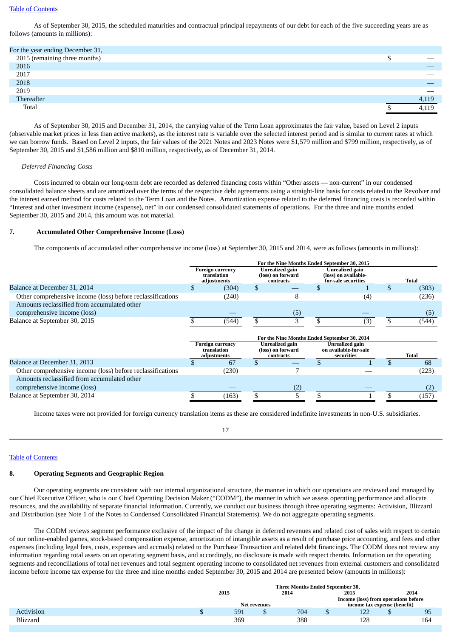### Table of [Contents](#page-0-0)

As of September 30, 2015, the scheduled maturities and contractual principal repayments of our debt for each of the five succeeding years are as follows (amounts in millions):

| For the year ending December 31, |    |       |
|----------------------------------|----|-------|
| 2015 (remaining three months)    | ۵D |       |
| 2016                             |    |       |
| 2017                             |    |       |
| 2018                             |    |       |
| 2019                             |    |       |
| Thereafter                       |    | 4,119 |
| Total                            |    | 4,119 |
|                                  |    |       |

As of September 30, 2015 and December 31, 2014, the carrying value of the Term Loan approximates the fair value, based on Level 2 inputs (observable market prices in less than active markets), as the interest rate is variable over the selected interest period and is similar to current rates at which we can borrow funds. Based on Level 2 inputs, the fair values of the 2021 Notes and 2023 Notes were \$1,579 million and \$799 million, respectively, as of September 30, 2015 and \$1,586 million and \$810 million, respectively, as of December 31, 2014.

### *Deferred Financing Costs*

Costs incurred to obtain our long-term debt are recorded as deferred financing costs within "Other assets — non-current" in our condensed consolidated balance sheets and are amortized over the terms of the respective debt agreements using a straight-line basis for costs related to the Revolver and the interest earned method for costs related to the Term Loan and the Notes. Amortization expense related to the deferred financing costs is recorded within "Interest and other investment income (expense), net" in our condensed consolidated statements of operations. For the three and nine months ended September 30, 2015 and 2014, this amount was not material.

# **7. Accumulated Other Comprehensive Income (Loss)**

The components of accumulated other comprehensive income (loss) at September 30, 2015 and 2014, were as follows (amounts in millions):

|                                                            |                                                       | For the Nine Months Ended September 30, 2015      |                                                                |              |
|------------------------------------------------------------|-------------------------------------------------------|---------------------------------------------------|----------------------------------------------------------------|--------------|
|                                                            | <b>Foreign currency</b><br>translation<br>adjustments | Unrealized gain<br>(loss) on forward<br>contracts | Unrealized gain<br>(loss) on available-<br>for-sale securities | <b>Total</b> |
| Balance at December 31, 2014                               | (304)                                                 |                                                   |                                                                | (303)        |
| Other comprehensive income (loss) before reclassifications | (240)                                                 | 8                                                 | $^{(4)}$                                                       | (236)        |
| Amounts reclassified from accumulated other                |                                                       |                                                   |                                                                |              |
| comprehensive income (loss)                                |                                                       | (5)                                               |                                                                | (5)          |
| Balance at September 30, 2015                              | (544)                                                 | 3                                                 | (3)                                                            | \$<br>(544)  |
|                                                            |                                                       |                                                   |                                                                |              |
|                                                            |                                                       | For the Nine Months Ended September 30, 2014      |                                                                |              |
|                                                            | <b>Foreign currency</b><br>translation                | Unrealized gain<br>(loss) on forward              | Unrealized gain<br>on available-for-sale                       |              |
|                                                            | adjustments                                           | contracts                                         | securities                                                     | <b>Total</b> |
| Balance at December 31, 2013                               | 67                                                    |                                                   |                                                                | 68           |
| Other comprehensive income (loss) before reclassifications | (230)                                                 | ∍                                                 |                                                                | (223)        |
| Amounts reclassified from accumulated other                |                                                       |                                                   |                                                                |              |
| comprehensive income (loss)                                |                                                       | (2)                                               |                                                                | (2)          |
| Balance at September 30, 2014                              | (163)                                                 | 5                                                 |                                                                | (157)        |

Income taxes were not provided for foreign currency translation items as these are considered indefinite investments in non-U.S. subsidiaries.

17

# Table of [Contents](#page-0-0)

# **8. Operating Segments and Geographic Region**

Our operating segments are consistent with our internal organizational structure, the manner in which our operations are reviewed and managed by our Chief Executive Officer, who is our Chief Operating Decision Maker ("CODM"), the manner in which we assess operating performance and allocate resources, and the availability of separate financial information. Currently, we conduct our business through three operating segments: Activision, Blizzard and Distribution (see Note 1 of the Notes to Condensed Consolidated Financial Statements). We do not aggregate operating segments.

The CODM reviews segment performance exclusive of the impact of the change in deferred revenues and related cost of sales with respect to certain of our online-enabled games, stock-based compensation expense, amortization of intangible assets as a result of purchase price accounting, and fees and other expenses (including legal fees, costs, expenses and accruals) related to the Purchase Transaction and related debt financings. The CODM does not review any information regarding total assets on an operating segment basis, and accordingly, no disclosure is made with respect thereto. Information on the operating segments and reconciliations of total net revenues and total segment operating income to consolidated net revenues from external customers and consolidated income before income tax expense for the three and nine months ended September 30, 2015 and 2014 are presented below (amounts in millions):

|                 | <b>Three Months Ended September 30.</b> |              |                                      |  |                              |  |      |  |  |
|-----------------|-----------------------------------------|--------------|--------------------------------------|--|------------------------------|--|------|--|--|
|                 | 2015<br>2014                            |              |                                      |  | 2015                         |  | 2014 |  |  |
|                 |                                         |              | Income (loss) from operations before |  |                              |  |      |  |  |
|                 |                                         | Net revenues |                                      |  | income tax expense (benefit) |  |      |  |  |
| Activision      | 591                                     |              | 704                                  |  | 122<br>$+66$                 |  | 95   |  |  |
| <b>Blizzard</b> | 369                                     |              | 388                                  |  | 128                          |  | 164  |  |  |
|                 |                                         |              |                                      |  |                              |  |      |  |  |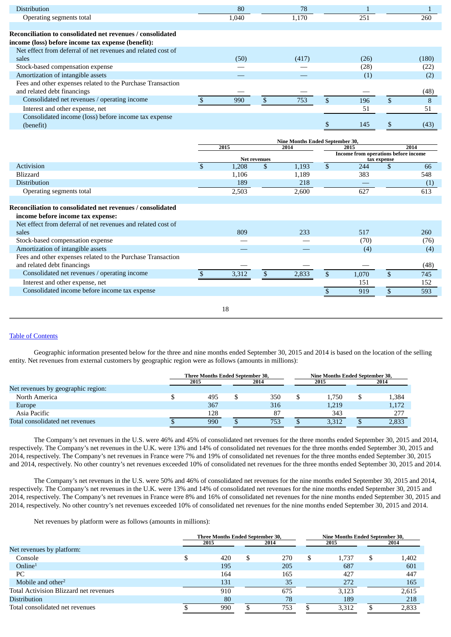| Distribution                                                                                                     | 80    | 78    |      |       |
|------------------------------------------------------------------------------------------------------------------|-------|-------|------|-------|
| Operating segments total                                                                                         | 1,040 | 1,170 | 251  | 260   |
|                                                                                                                  |       |       |      |       |
| Reconciliation to consolidated net revenues / consolidated<br>income (loss) before income tax expense (benefit): |       |       |      |       |
| Net effect from deferral of net revenues and related cost of                                                     |       |       |      |       |
| sales                                                                                                            | (50)  | (417) | (26) | (180) |
| Stock-based compensation expense                                                                                 |       |       | (28) | (22)  |
| Amortization of intangible assets                                                                                |       |       | (1)  | (2)   |
| Fees and other expenses related to the Purchase Transaction                                                      |       |       |      |       |
| and related debt financings                                                                                      |       |       |      | (48)  |
| Consolidated net revenues / operating income                                                                     | 990   | 753   | 196  | 8     |
| Interest and other expense, net                                                                                  |       |       | 51   | 51    |
| Consolidated income (loss) before income tax expense                                                             |       |       |      |       |
| (benefit)                                                                                                        |       |       | 145  | (43)  |
|                                                                                                                  |       |       |      |       |

|                          | Nine Months Ended September 30, |              |       |  |                                      |      |     |  |
|--------------------------|---------------------------------|--------------|-------|--|--------------------------------------|------|-----|--|
|                          | 2015<br>2014                    |              |       |  | 2015                                 | 2014 |     |  |
|                          |                                 |              |       |  | Income from operations before income |      |     |  |
|                          |                                 | Net revenues |       |  | tax expense                          |      |     |  |
| Activision               | 1,208                           |              | 1,193 |  | 244                                  | Φ    | 66  |  |
| Blizzard                 | 1,106                           |              | 1,189 |  | 383                                  |      | 548 |  |
| Distribution             | 189                             |              | 218   |  | __                                   |      |     |  |
| Operating segments total | 2,503                           |              | 2,600 |  | 627                                  |      | 613 |  |

#### **Reconciliation to consolidated net revenues / consolidated**

| income before income tax expense:                            |       |       |       |      |
|--------------------------------------------------------------|-------|-------|-------|------|
| Net effect from deferral of net revenues and related cost of |       |       |       |      |
| sales                                                        | 809   | 233   | 517   | 260  |
| Stock-based compensation expense                             |       |       | (70)  | (76) |
| Amortization of intangible assets                            |       |       | (4)   | (4)  |
| Fees and other expenses related to the Purchase Transaction  |       |       |       |      |
| and related debt financings                                  |       |       |       | (48) |
| Consolidated net revenues / operating income                 | 3.312 | 2.833 | 1.070 | 745  |
| Interest and other expense, net                              |       |       | 151   | 152  |
| Consolidated income before income tax expense                |       |       | 919   | 593  |
|                                                              |       |       |       |      |

$$
18 \\
$$

# Table of [Contents](#page-0-0)

Geographic information presented below for the three and nine months ended September 30, 2015 and 2014 is based on the location of the selling entity. Net revenues from external customers by geographic region were as follows (amounts in millions):

|                                    | Three Months Ended September 30, |  |      |  | <b>Nine Months Ended September 30,</b> |  |       |  |
|------------------------------------|----------------------------------|--|------|--|----------------------------------------|--|-------|--|
|                                    | 2015                             |  | 2014 |  | 2015                                   |  | 2014  |  |
| Net revenues by geographic region: |                                  |  |      |  |                                        |  |       |  |
| North America                      | 495                              |  | 350  |  | 1.750                                  |  | 1,384 |  |
| Europe                             | 367                              |  | 316  |  | 1,219                                  |  | 1,172 |  |
| Asia Pacific                       | 128                              |  | 87   |  | 343                                    |  | 277   |  |
| Total consolidated net revenues    | 990                              |  | 753  |  | 3,312                                  |  | 2,833 |  |

The Company's net revenues in the U.S. were 46% and 45% of consolidated net revenues for the three months ended September 30, 2015 and 2014, respectively. The Company's net revenues in the U.K. were 13% and 14% of consolidated net revenues for the three months ended September 30, 2015 and 2014, respectively. The Company's net revenues in France were 7% and 19% of consolidated net revenues for the three months ended September 30, 2015 and 2014, respectively. No other country's net revenues exceeded 10% of consolidated net revenues for the three months ended September 30, 2015 and 2014.

The Company's net revenues in the U.S. were 50% and 46% of consolidated net revenues for the nine months ended September 30, 2015 and 2014, respectively. The Company's net revenues in the U.K. were 13% and 14% of consolidated net revenues for the nine months ended September 30, 2015 and 2014, respectively. The Company's net revenues in France were 8% and 16% of consolidated net revenues for the nine months ended September 30, 2015 and 2014, respectively. No other country's net revenues exceeded 10% of consolidated net revenues for the nine months ended September 30, 2015 and 2014.

Net revenues by platform were as follows (amounts in millions):

|                                               |      | <b>Three Months Ended September 30,</b> |  | Nine Months Ended September 30, |   |       |    |       |
|-----------------------------------------------|------|-----------------------------------------|--|---------------------------------|---|-------|----|-------|
|                                               | 2015 |                                         |  | 2014                            |   | 2015  |    | 2014  |
| Net revenues by platform:                     |      |                                         |  |                                 |   |       |    |       |
| Console                                       |      | 420                                     |  | 270                             | S | 1.737 | \$ | 1,402 |
| Online <sup>1</sup>                           |      | 195                                     |  | 205                             |   | 687   |    | 601   |
| PC                                            |      | 164                                     |  | 165                             |   | 427   |    | 447   |
| Mobile and other <sup>2</sup>                 |      | 131                                     |  | 35                              |   | 272   |    | 165   |
| <b>Total Activision Blizzard net revenues</b> |      | 910                                     |  | 675                             |   | 3,123 |    | 2,615 |
| Distribution                                  |      | 80                                      |  | 78                              |   | 189   |    | 218   |
| Total consolidated net revenues               |      | 990                                     |  | 753                             |   | 3,312 |    | 2,833 |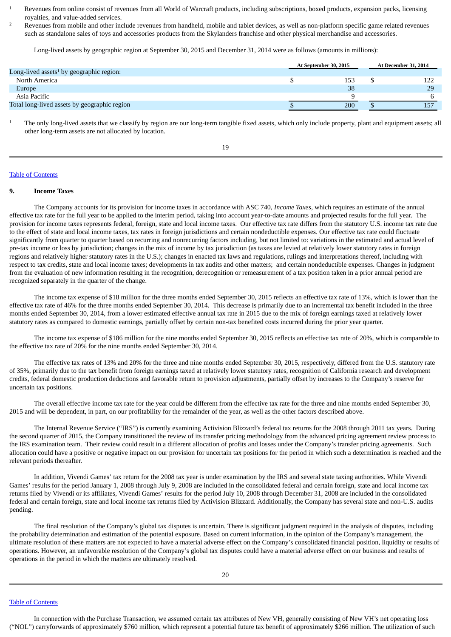Revenues from online consist of revenues from all World of Warcraft products, including subscriptions, boxed products, expansion packs, licensing royalties, and value-added services. 1

 Revenues from mobile and other include revenues from handheld, mobile and tablet devices, as well as non-platform specific game related revenues such as standalone sales of toys and accessories products from the Skylanders franchise and other physical merchandise and accessories. 2

Long-lived assets by geographic region at September 30, 2015 and December 31, 2014 were as follows (amounts in millions):

|                                              | At September 30, 2015 | <b>At December 31, 2014</b> |
|----------------------------------------------|-----------------------|-----------------------------|
| Long-lived assets $1$ by geographic region:  |                       |                             |
| North America                                |                       |                             |
| Europe                                       | 38                    | 29                          |
| Asia Pacific                                 |                       |                             |
| Total long-lived assets by geographic region | 200                   | 157                         |

 The only long-lived assets that we classify by region are our long-term tangible fixed assets, which only include property, plant and equipment assets; all other long-term assets are not allocated by location.

#### Table of [Contents](#page-0-0)

1

#### **9. Income Taxes**

The Company accounts for its provision for income taxes in accordance with ASC 740, *Income Taxes*, which requires an estimate of the annual effective tax rate for the full year to be applied to the interim period, taking into account year-to-date amounts and projected results for the full year. The provision for income taxes represents federal, foreign, state and local income taxes. Our effective tax rate differs from the statutory U.S. income tax rate due to the effect of state and local income taxes, tax rates in foreign jurisdictions and certain nondeductible expenses. Our effective tax rate could fluctuate significantly from quarter to quarter based on recurring and nonrecurring factors including, but not limited to: variations in the estimated and actual level of pre-tax income or loss by jurisdiction; changes in the mix of income by tax jurisdiction (as taxes are levied at relatively lower statutory rates in foreign regions and relatively higher statutory rates in the U.S.); changes in enacted tax laws and regulations, rulings and interpretations thereof, including with respect to tax credits, state and local income taxes; developments in tax audits and other matters; and certain nondeductible expenses. Changes in judgment from the evaluation of new information resulting in the recognition, derecognition or remeasurement of a tax position taken in a prior annual period are recognized separately in the quarter of the change.

The income tax expense of \$18 million for the three months ended September 30, 2015 reflects an effective tax rate of 13%, which is lower than the effective tax rate of 46% for the three months ended September 30, 2014. This decrease is primarily due to an incremental tax benefit included in the three months ended September 30, 2014, from a lower estimated effective annual tax rate in 2015 due to the mix of foreign earnings taxed at relatively lower statutory rates as compared to domestic earnings, partially offset by certain non-tax benefited costs incurred during the prior year quarter.

The income tax expense of \$186 million for the nine months ended September 30, 2015 reflects an effective tax rate of 20%, which is comparable to the effective tax rate of 20% for the nine months ended September 30, 2014.

The effective tax rates of 13% and 20% for the three and nine months ended September 30, 2015, respectively, differed from the U.S. statutory rate of 35%, primarily due to the tax benefit from foreign earnings taxed at relatively lower statutory rates, recognition of California research and development credits, federal domestic production deductions and favorable return to provision adjustments, partially offset by increases to the Company's reserve for uncertain tax positions.

The overall effective income tax rate for the year could be different from the effective tax rate for the three and nine months ended September 30, 2015 and will be dependent, in part, on our profitability for the remainder of the year, as well as the other factors described above.

The Internal Revenue Service ("IRS") is currently examining Activision Blizzard's federal tax returns for the 2008 through 2011 tax years. During the second quarter of 2015, the Company transitioned the review of its transfer pricing methodology from the advanced pricing agreement review process to the IRS examination team. Their review could result in a different allocation of profits and losses under the Company's transfer pricing agreements. Such allocation could have a positive or negative impact on our provision for uncertain tax positions for the period in which such a determination is reached and the relevant periods thereafter.

In addition, Vivendi Games' tax return for the 2008 tax year is under examination by the IRS and several state taxing authorities. While Vivendi Games' results for the period January 1, 2008 through July 9, 2008 are included in the consolidated federal and certain foreign, state and local income tax returns filed by Vivendi or its affiliates, Vivendi Games' results for the period July 10, 2008 through December 31, 2008 are included in the consolidated federal and certain foreign, state and local income tax returns filed by Activision Blizzard. Additionally, the Company has several state and non-U.S. audits pending.

The final resolution of the Company's global tax disputes is uncertain. There is significant judgment required in the analysis of disputes, including the probability determination and estimation of the potential exposure. Based on current information, in the opinion of the Company's management, the ultimate resolution of these matters are not expected to have a material adverse effect on the Company's consolidated financial position, liquidity or results of operations. However, an unfavorable resolution of the Company's global tax disputes could have a material adverse effect on our business and results of operations in the period in which the matters are ultimately resolved.

#### Table of [Contents](#page-0-0)

In connection with the Purchase Transaction, we assumed certain tax attributes of New VH, generally consisting of New VH's net operating loss ("NOL") carryforwards of approximately \$760 million, which represent a potential future tax benefit of approximately \$266 million. The utilization of such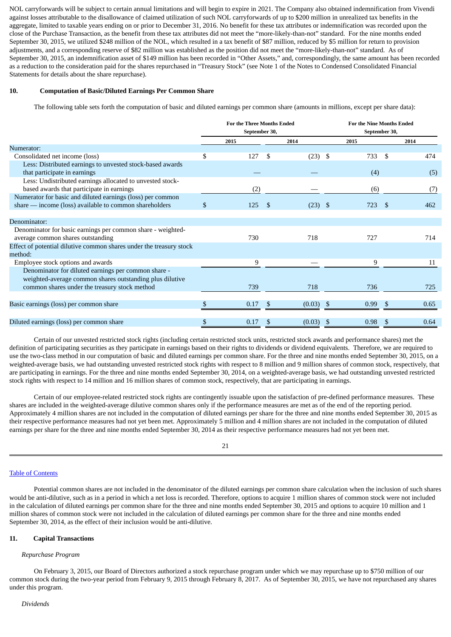NOL carryforwards will be subject to certain annual limitations and will begin to expire in 2021. The Company also obtained indemnification from Vivendi against losses attributable to the disallowance of claimed utilization of such NOL carryforwards of up to \$200 million in unrealized tax benefits in the aggregate, limited to taxable years ending on or prior to December 31, 2016. No benefit for these tax attributes or indemnification was recorded upon the close of the Purchase Transaction, as the benefit from these tax attributes did not meet the "more-likely-than-not" standard. For the nine months ended September 30, 2015, we utilized \$248 million of the NOL, which resulted in a tax benefit of \$87 million, reduced by \$5 million for return to provision adjustments, and a corresponding reserve of \$82 million was established as the position did not meet the "more-likely-than-not" standard. As of September 30, 2015, an indemnification asset of \$149 million has been recorded in "Other Assets," and, correspondingly, the same amount has been recorded as a reduction to the consideration paid for the shares repurchased in "Treasury Stock" (see Note 1 of the Notes to Condensed Consolidated Financial Statements for details about the share repurchase).

# **10. Computation of Basic/Diluted Earnings Per Common Share**

The following table sets forth the computation of basic and diluted earnings per common share (amounts in millions, except per share data):

|                                                                     |     | <b>For the Three Months Ended</b><br>September 30, |     |           |      | <b>For the Nine Months Ended</b><br>September 30, |          |      |
|---------------------------------------------------------------------|-----|----------------------------------------------------|-----|-----------|------|---------------------------------------------------|----------|------|
|                                                                     |     | 2015                                               |     | 2014      |      | 2015                                              |          | 2014 |
| Numerator:                                                          |     |                                                    |     |           |      |                                                   |          |      |
| Consolidated net income (loss)                                      | \$  | 127                                                | \$. | $(23)$ \$ |      | 733                                               | -S       | 474  |
| Less: Distributed earnings to unvested stock-based awards           |     |                                                    |     |           |      |                                                   |          |      |
| that participate in earnings                                        |     |                                                    |     |           |      | (4)                                               |          | (5)  |
| Less: Undistributed earnings allocated to unvested stock-           |     |                                                    |     |           |      |                                                   |          |      |
| based awards that participate in earnings                           |     | (2)                                                |     |           |      | (6)                                               |          | (7)  |
| Numerator for basic and diluted earnings (loss) per common          |     |                                                    |     |           |      |                                                   |          |      |
| share — income (loss) available to common shareholders              | \$  | 125                                                | -\$ | (23)      | - \$ | 723                                               | -S       | 462  |
|                                                                     |     |                                                    |     |           |      |                                                   |          |      |
| Denominator:                                                        |     |                                                    |     |           |      |                                                   |          |      |
| Denominator for basic earnings per common share - weighted-         |     |                                                    |     |           |      |                                                   |          |      |
| average common shares outstanding                                   |     | 730                                                |     | 718       |      | 727                                               |          | 714  |
| Effect of potential dilutive common shares under the treasury stock |     |                                                    |     |           |      |                                                   |          |      |
| method:                                                             |     |                                                    |     |           |      |                                                   |          |      |
| Employee stock options and awards                                   |     | 9                                                  |     |           |      | 9                                                 |          | 11   |
| Denominator for diluted earnings per common share -                 |     |                                                    |     |           |      |                                                   |          |      |
| weighted-average common shares outstanding plus dilutive            |     |                                                    |     |           |      |                                                   |          |      |
| common shares under the treasury stock method                       |     | 739                                                |     | 718       |      | 736                                               |          | 725  |
|                                                                     |     |                                                    |     |           |      |                                                   |          |      |
| Basic earnings (loss) per common share                              | \$. | 0.17                                               | \$. | (0.03)    | \$   | 0.99                                              | <b>S</b> | 0.65 |
|                                                                     |     |                                                    |     |           |      |                                                   |          |      |
| Diluted earnings (loss) per common share                            |     | 0.17                                               |     | (0.03)    | \$   | 0.98                                              |          | 0.64 |

Certain of our unvested restricted stock rights (including certain restricted stock units, restricted stock awards and performance shares) met the definition of participating securities as they participate in earnings based on their rights to dividends or dividend equivalents. Therefore, we are required to use the two-class method in our computation of basic and diluted earnings per common share. For the three and nine months ended September 30, 2015, on a weighted-average basis, we had outstanding unvested restricted stock rights with respect to 8 million and 9 million shares of common stock, respectively, that are participating in earnings. For the three and nine months ended September 30, 2014, on a weighted-average basis, we had outstanding unvested restricted stock rights with respect to 14 million and 16 million shares of common stock, respectively, that are participating in earnings.

Certain of our employee-related restricted stock rights are contingently issuable upon the satisfaction of pre-defined performance measures. These shares are included in the weighted-average dilutive common shares only if the performance measures are met as of the end of the reporting period. Approximately 4 million shares are not included in the computation of diluted earnings per share for the three and nine months ended September 30, 2015 as their respective performance measures had not yet been met. Approximately 5 million and 4 million shares are not included in the computation of diluted earnings per share for the three and nine months ended September 30, 2014 as their respective performance measures had not yet been met.

 $21$ 

# Table of [Contents](#page-0-0)

Potential common shares are not included in the denominator of the diluted earnings per common share calculation when the inclusion of such shares would be anti-dilutive, such as in a period in which a net loss is recorded. Therefore, options to acquire 1 million shares of common stock were not included in the calculation of diluted earnings per common share for the three and nine months ended September 30, 2015 and options to acquire 10 million and 1 million shares of common stock were not included in the calculation of diluted earnings per common share for the three and nine months ended September 30, 2014, as the effect of their inclusion would be anti-dilutive.

# **11. Capital Transactions**

#### *Repurchase Program*

On February 3, 2015, our Board of Directors authorized a stock repurchase program under which we may repurchase up to \$750 million of our common stock during the two-year period from February 9, 2015 through February 8, 2017. As of September 30, 2015, we have not repurchased any shares under this program.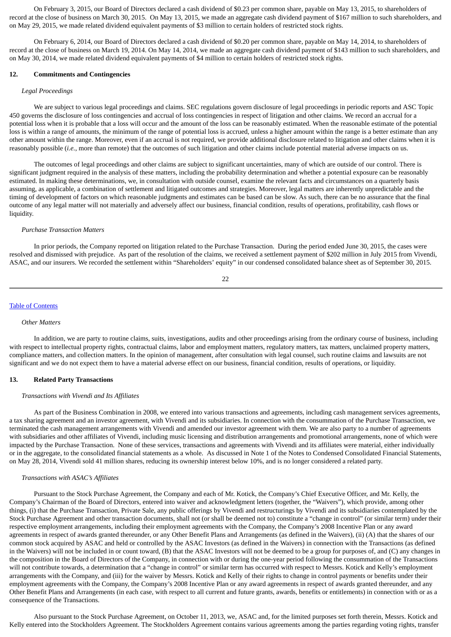On February 3, 2015, our Board of Directors declared a cash dividend of \$0.23 per common share, payable on May 13, 2015, to shareholders of record at the close of business on March 30, 2015. On May 13, 2015, we made an aggregate cash dividend payment of \$167 million to such shareholders, and on May 29, 2015, we made related dividend equivalent payments of \$3 million to certain holders of restricted stock rights.

On February 6, 2014, our Board of Directors declared a cash dividend of \$0.20 per common share, payable on May 14, 2014, to shareholders of record at the close of business on March 19, 2014. On May 14, 2014, we made an aggregate cash dividend payment of \$143 million to such shareholders, and on May 30, 2014, we made related dividend equivalent payments of \$4 million to certain holders of restricted stock rights.

#### **12. Commitments and Contingencies**

#### *Legal Proceedings*

We are subject to various legal proceedings and claims. SEC regulations govern disclosure of legal proceedings in periodic reports and ASC Topic 450 governs the disclosure of loss contingencies and accrual of loss contingencies in respect of litigation and other claims. We record an accrual for a potential loss when it is probable that a loss will occur and the amount of the loss can be reasonably estimated. When the reasonable estimate of the potential loss is within a range of amounts, the minimum of the range of potential loss is accrued, unless a higher amount within the range is a better estimate than any other amount within the range. Moreover, even if an accrual is not required, we provide additional disclosure related to litigation and other claims when it is reasonably possible (*i.e.*, more than remote) that the outcomes of such litigation and other claims include potential material adverse impacts on us.

The outcomes of legal proceedings and other claims are subject to significant uncertainties, many of which are outside of our control. There is significant judgment required in the analysis of these matters, including the probability determination and whether a potential exposure can be reasonably estimated. In making these determinations, we, in consultation with outside counsel, examine the relevant facts and circumstances on a quarterly basis assuming, as applicable, a combination of settlement and litigated outcomes and strategies. Moreover, legal matters are inherently unpredictable and the timing of development of factors on which reasonable judgments and estimates can be based can be slow. As such, there can be no assurance that the final outcome of any legal matter will not materially and adversely affect our business, financial condition, results of operations, profitability, cash flows or liquidity.

#### *Purchase Transaction Matters*

In prior periods, the Company reported on litigation related to the Purchase Transaction. During the period ended June 30, 2015, the cases were resolved and dismissed with prejudice. As part of the resolution of the claims, we received a settlement payment of \$202 million in July 2015 from Vivendi, ASAC, and our insurers. We recorded the settlement within "Shareholders' equity" in our condensed consolidated balance sheet as of September 30, 2015.

22

#### Table of [Contents](#page-0-0)

#### *Other Matters*

In addition, we are party to routine claims, suits, investigations, audits and other proceedings arising from the ordinary course of business, including with respect to intellectual property rights, contractual claims, labor and employment matters, regulatory matters, tax matters, unclaimed property matters, compliance matters, and collection matters. In the opinion of management, after consultation with legal counsel, such routine claims and lawsuits are not significant and we do not expect them to have a material adverse effect on our business, financial condition, results of operations, or liquidity.

#### **13. Related Party Transactions**

#### *Transactions with Vivendi and Its Affiliates*

As part of the Business Combination in 2008, we entered into various transactions and agreements, including cash management services agreements, a tax sharing agreement and an investor agreement, with Vivendi and its subsidiaries. In connection with the consummation of the Purchase Transaction, we terminated the cash management arrangements with Vivendi and amended our investor agreement with them. We are also party to a number of agreements with subsidiaries and other affiliates of Vivendi, including music licensing and distribution arrangements and promotional arrangements, none of which were impacted by the Purchase Transaction. None of these services, transactions and agreements with Vivendi and its affiliates were material, either individually or in the aggregate, to the consolidated financial statements as a whole. As discussed in Note 1 of the Notes to Condensed Consolidated Financial Statements, on May 28, 2014, Vivendi sold 41 million shares, reducing its ownership interest below 10%, and is no longer considered a related party.

#### *Transactions with ASAC's Affiliates*

Pursuant to the Stock Purchase Agreement, the Company and each of Mr. Kotick, the Company's Chief Executive Officer, and Mr. Kelly, the Company's Chairman of the Board of Directors, entered into waiver and acknowledgment letters (together, the "Waivers"), which provide, among other things, (i) that the Purchase Transaction, Private Sale, any public offerings by Vivendi and restructurings by Vivendi and its subsidiaries contemplated by the Stock Purchase Agreement and other transaction documents, shall not (or shall be deemed not to) constitute a "change in control" (or similar term) under their respective employment arrangements, including their employment agreements with the Company, the Company's 2008 Incentive Plan or any award agreements in respect of awards granted thereunder, or any Other Benefit Plans and Arrangements (as defined in the Waivers), (ii) (A) that the shares of our common stock acquired by ASAC and held or controlled by the ASAC Investors (as defined in the Waivers) in connection with the Transactions (as defined in the Waivers) will not be included in or count toward, (B) that the ASAC Investors will not be deemed to be a group for purposes of, and (C) any changes in the composition in the Board of Directors of the Company, in connection with or during the one-year period following the consummation of the Transactions will not contribute towards, a determination that a "change in control" or similar term has occurred with respect to Messrs. Kotick and Kelly's employment arrangements with the Company, and (iii) for the waiver by Messrs. Kotick and Kelly of their rights to change in control payments or benefits under their employment agreements with the Company, the Company's 2008 Incentive Plan or any award agreements in respect of awards granted thereunder, and any Other Benefit Plans and Arrangements (in each case, with respect to all current and future grants, awards, benefits or entitlements) in connection with or as a consequence of the Transactions.

Also pursuant to the Stock Purchase Agreement, on October 11, 2013, we, ASAC and, for the limited purposes set forth therein, Messrs. Kotick and Kelly entered into the Stockholders Agreement. The Stockholders Agreement contains various agreements among the parties regarding voting rights, transfer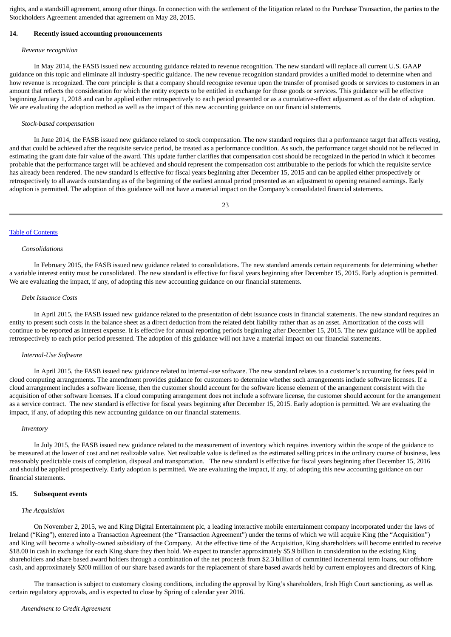rights, and a standstill agreement, among other things. In connection with the settlement of the litigation related to the Purchase Transaction, the parties to the Stockholders Agreement amended that agreement on May 28, 2015.

#### **14. Recently issued accounting pronouncements**

#### *Revenue recognition*

In May 2014, the FASB issued new accounting guidance related to revenue recognition. The new standard will replace all current U.S. GAAP guidance on this topic and eliminate all industry-specific guidance. The new revenue recognition standard provides a unified model to determine when and how revenue is recognized. The core principle is that a company should recognize revenue upon the transfer of promised goods or services to customers in an amount that reflects the consideration for which the entity expects to be entitled in exchange for those goods or services. This guidance will be effective beginning January 1, 2018 and can be applied either retrospectively to each period presented or as a cumulative-effect adjustment as of the date of adoption. We are evaluating the adoption method as well as the impact of this new accounting guidance on our financial statements.

### *Stock-based compensation*

In June 2014, the FASB issued new guidance related to stock compensation. The new standard requires that a performance target that affects vesting, and that could be achieved after the requisite service period, be treated as a performance condition. As such, the performance target should not be reflected in estimating the grant date fair value of the award. This update further clarifies that compensation cost should be recognized in the period in which it becomes probable that the performance target will be achieved and should represent the compensation cost attributable to the periods for which the requisite service has already been rendered. The new standard is effective for fiscal years beginning after December 15, 2015 and can be applied either prospectively or retrospectively to all awards outstanding as of the beginning of the earliest annual period presented as an adjustment to opening retained earnings. Early adoption is permitted. The adoption of this guidance will not have a material impact on the Company's consolidated financial statements.

23

#### Table of [Contents](#page-0-0)

# *Consolidations*

In February 2015, the FASB issued new guidance related to consolidations. The new standard amends certain requirements for determining whether a variable interest entity must be consolidated. The new standard is effective for fiscal years beginning after December 15, 2015. Early adoption is permitted. We are evaluating the impact, if any, of adopting this new accounting guidance on our financial statements.

#### *Debt Issuance Costs*

In April 2015, the FASB issued new guidance related to the presentation of debt issuance costs in financial statements. The new standard requires an entity to present such costs in the balance sheet as a direct deduction from the related debt liability rather than as an asset. Amortization of the costs will continue to be reported as interest expense. It is effective for annual reporting periods beginning after December 15, 2015. The new guidance will be applied retrospectively to each prior period presented. The adoption of this guidance will not have a material impact on our financial statements.

# *Internal-Use Software*

In April 2015, the FASB issued new guidance related to internal-use software. The new standard relates to a customer's accounting for fees paid in cloud computing arrangements. The amendment provides guidance for customers to determine whether such arrangements include software licenses. If a cloud arrangement includes a software license, then the customer should account for the software license element of the arrangement consistent with the acquisition of other software licenses. If a cloud computing arrangement does not include a software license, the customer should account for the arrangement as a service contract. The new standard is effective for fiscal years beginning after December 15, 2015. Early adoption is permitted. We are evaluating the impact, if any, of adopting this new accounting guidance on our financial statements.

#### *Inventory*

In July 2015, the FASB issued new guidance related to the measurement of inventory which requires inventory within the scope of the guidance to be measured at the lower of cost and net realizable value. Net realizable value is defined as the estimated selling prices in the ordinary course of business, less reasonably predictable costs of completion, disposal and transportation. The new standard is effective for fiscal years beginning after December 15, 2016 and should be applied prospectively. Early adoption is permitted. We are evaluating the impact, if any, of adopting this new accounting guidance on our financial statements.

#### **15. Subsequent events**

#### *The Acquisition*

On November 2, 2015, we and King Digital Entertainment plc, a leading interactive mobile entertainment company incorporated under the laws of Ireland ("King"), entered into a Transaction Agreement (the "Transaction Agreement") under the terms of which we will acquire King (the "Acquisition") and King will become a wholly-owned subsidiary of the Company. At the effective time of the Acquisition, King shareholders will become entitled to receive \$18.00 in cash in exchange for each King share they then hold. We expect to transfer approximately \$5.9 billion in consideration to the existing King shareholders and share based award holders through a combination of the net proceeds from \$2.3 billion of committed incremental term loans, our offshore cash, and approximately \$200 million of our share based awards for the replacement of share based awards held by current employees and directors of King.

The transaction is subject to customary closing conditions, including the approval by King's shareholders, Irish High Court sanctioning, as well as certain regulatory approvals, and is expected to close by Spring of calendar year 2016.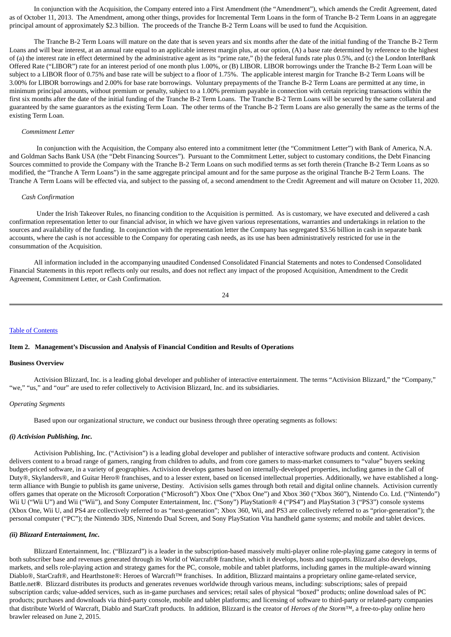In conjunction with the Acquisition, the Company entered into a First Amendment (the "Amendment"), which amends the Credit Agreement, dated as of October 11, 2013. The Amendment, among other things, provides for Incremental Term Loans in the form of Tranche B-2 Term Loans in an aggregate principal amount of approximately \$2.3 billion. The proceeds of the Tranche B-2 Term Loans will be used to fund the Acquisition.

The Tranche B-2 Term Loans will mature on the date that is seven years and six months after the date of the initial funding of the Tranche B-2 Term Loans and will bear interest, at an annual rate equal to an applicable interest margin plus, at our option, (A) a base rate determined by reference to the highest of (a) the interest rate in effect determined by the administrative agent as its "prime rate," (b) the federal funds rate plus 0.5%, and (c) the London InterBank Offered Rate ("LIBOR") rate for an interest period of one month plus 1.00%, or (B) LIBOR. LIBOR borrowings under the Tranche B-2 Term Loan will be subject to a LIBOR floor of 0.75% and base rate will be subject to a floor of 1.75%. The applicable interest margin for Tranche B-2 Term Loans will be 3.00% for LIBOR borrowings and 2.00% for base rate borrowings. Voluntary prepayments of the Tranche B-2 Term Loans are permitted at any time, in minimum principal amounts, without premium or penalty, subject to a 1.00% premium payable in connection with certain repricing transactions within the first six months after the date of the initial funding of the Tranche B-2 Term Loans. The Tranche B-2 Term Loans will be secured by the same collateral and guaranteed by the same guarantors as the existing Term Loan. The other terms of the Tranche B-2 Term Loans are also generally the same as the terms of the existing Term Loan.

#### *Commitment Letter*

In conjunction with the Acquisition, the Company also entered into a commitment letter (the "Commitment Letter") with Bank of America, N.A. and Goldman Sachs Bank USA (the "Debt Financing Sources"). Pursuant to the Commitment Letter, subject to customary conditions, the Debt Financing Sources committed to provide the Company with the Tranche B-2 Term Loans on such modified terms as set forth therein (Tranche B-2 Term Loans as so modified, the "Tranche A Term Loans") in the same aggregate principal amount and for the same purpose as the original Tranche B-2 Term Loans. The Tranche A Term Loans will be effected via, and subject to the passing of, a second amendment to the Credit Agreement and will mature on October 11, 2020.

#### *Cash Confirmation*

Under the Irish Takeover Rules, no financing condition to the Acquisition is permitted. As is customary, we have executed and delivered a cash confirmation representation letter to our financial advisor, in which we have given various representations, warranties and undertakings in relation to the sources and availability of the funding. In conjunction with the representation letter the Company has segregated \$3.56 billion in cash in separate bank accounts, where the cash is not accessible to the Company for operating cash needs, as its use has been administratively restricted for use in the consummation of the Acquisition.

All information included in the accompanying unaudited Condensed Consolidated Financial Statements and notes to Condensed Consolidated Financial Statements in this report reflects only our results, and does not reflect any impact of the proposed Acquisition, Amendment to the Credit Agreement, Commitment Letter, or Cash Confirmation.

<span id="page-17-0"></span>24

#### Table of [Contents](#page-0-0)

#### **Item 2. Management's Discussion and Analysis of Financial Condition and Results of Operations**

# **Business Overview**

Activision Blizzard, Inc. is a leading global developer and publisher of interactive entertainment. The terms "Activision Blizzard," the "Company," "we," "us," and "our" are used to refer collectively to Activision Blizzard, Inc. and its subsidiaries.

#### *Operating Segments*

Based upon our organizational structure, we conduct our business through three operating segments as follows:

#### *(i) Activision Publishing, Inc.*

Activision Publishing, Inc. ("Activision") is a leading global developer and publisher of interactive software products and content. Activision delivers content to a broad range of gamers, ranging from children to adults, and from core gamers to mass-market consumers to "value" buyers seeking budget-priced software, in a variety of geographies. Activision develops games based on internally-developed properties, including games in the Call of Duty®, Skylanders®, and Guitar Hero® franchises, and to a lesser extent, based on licensed intellectual properties. Additionally, we have established a longterm alliance with Bungie to publish its game universe, Destiny. Activision sells games through both retail and digital online channels. Activision currently offers games that operate on the Microsoft Corporation ("Microsoft") Xbox One ("Xbox One") and Xbox 360 ("Xbox 360"), Nintendo Co. Ltd. ("Nintendo") Wii U ("Wii U") and Wii ("Wii"), and Sony Computer Entertainment, Inc. ("Sony") PlayStation® 4 ("PS4") and PlayStation 3 ("PS3") console systems (Xbox One, Wii U, and PS4 are collectively referred to as "next-generation"; Xbox 360, Wii, and PS3 are collectively referred to as "prior-generation"); the personal computer ("PC"); the Nintendo 3DS, Nintendo Dual Screen, and Sony PlayStation Vita handheld game systems; and mobile and tablet devices.

# *(ii) Blizzard Entertainment, Inc.*

Blizzard Entertainment, Inc. ("Blizzard") is a leader in the subscription-based massively multi-player online role-playing game category in terms of both subscriber base and revenues generated through its World of Warcraft*®* franchise, which it develops, hosts and supports. Blizzard also develops, markets, and sells role-playing action and strategy games for the PC, console, mobile and tablet platforms, including games in the multiple-award winning Diablo®, StarCraft®, and Hearthstone®: Heroes of Warcraft™ franchises. In addition, Blizzard maintains a proprietary online game-related service, Battle.net*®*. Blizzard distributes its products and generates revenues worldwide through various means, including: subscriptions; sales of prepaid subscription cards; value-added services, such as in-game purchases and services; retail sales of physical "boxed" products; online download sales of PC products; purchases and downloads via third-party console, mobile and tablet platforms; and licensing of software to third-party or related-party companies that distribute World of Warcraft, Diablo and StarCraft products. In addition, Blizzard is the creator of *Heroes of the Storm™*, a free-to-play online hero brawler released on June 2, 2015.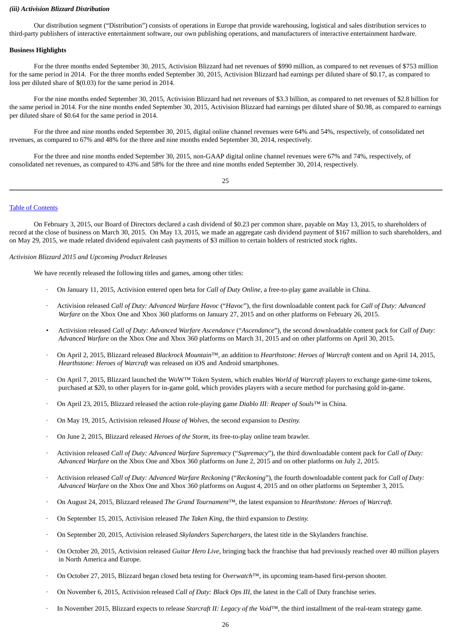# *(iii) Activision Blizzard Distribution*

Our distribution segment ("Distribution") consists of operations in Europe that provide warehousing, logistical and sales distribution services to third-party publishers of interactive entertainment software, our own publishing operations, and manufacturers of interactive entertainment hardware.

#### **Business Highlights**

For the three months ended September 30, 2015, Activision Blizzard had net revenues of \$990 million, as compared to net revenues of \$753 million for the same period in 2014. For the three months ended September 30, 2015, Activision Blizzard had earnings per diluted share of \$0.17, as compared to loss per diluted share of \$(0.03) for the same period in 2014.

For the nine months ended September 30, 2015, Activision Blizzard had net revenues of \$3.3 billion, as compared to net revenues of \$2.8 billion for the same period in 2014. For the nine months ended September 30, 2015, Activision Blizzard had earnings per diluted share of \$0.98, as compared to earnings per diluted share of \$0.64 for the same period in 2014.

For the three and nine months ended September 30, 2015, digital online channel revenues were 64% and 54%, respectively, of consolidated net revenues, as compared to 67% and 48% for the three and nine months ended September 30, 2014, respectively.

For the three and nine months ended September 30, 2015, non-GAAP digital online channel revenues were 67% and 74%, respectively, of consolidated net revenues, as compared to 43% and 58% for the three and nine months ended September 30, 2014, respectively.

25

#### Table of [Contents](#page-0-0)

On February 3, 2015, our Board of Directors declared a cash dividend of \$0.23 per common share, payable on May 13, 2015, to shareholders of record at the close of business on March 30, 2015. On May 13, 2015, we made an aggregate cash dividend payment of \$167 million to such shareholders, and on May 29, 2015, we made related dividend equivalent cash payments of \$3 million to certain holders of restricted stock rights.

#### *Activision Blizzard 2015 and Upcoming Product Releases*

We have recently released the following titles and games, among other titles:

- · On January 11, 2015, Activision entered open beta for *Call of Duty Online*, a free-to-play game available in China.
- · Activision released *Call of Duty: Advanced Warfare Havoc* ("*Havoc*"), the first downloadable content pack for *Call of Duty: Advanced Warfare* on the Xbox One and Xbox 360 platforms on January 27, 2015 and on other platforms on February 26, 2015.
- Activision released *Call of Duty: Advanced Warfare Ascendance* ("*Ascendance*"), the second downloadable content pack for *Call of Duty: Advanced Warfare* on the Xbox One and Xbox 360 platforms on March 31, 2015 and on other platforms on April 30, 2015.
- · On April 2, 2015, Blizzard released *Blackrock Mountain*™*,* an addition to *Hearthstone*: *Heroes of Warcraft* content and on April 14, 2015, *Hearthstone: Heroes of Warcraft* was released on iOS and Android smartphones.
- · On April 7, 2015, Blizzard launched the WoW™ Token System, which enables *World of Warcraft* players to exchange game-time tokens, purchased at \$20, to other players for in-game gold, which provides players with a secure method for purchasing gold in-game.
- · On April 23, 2015, Blizzard released the action role-playing game *Diablo III: Reaper of Souls™* in China.
- · On May 19, 2015, Activision released *House of Wolves*, the second expansion to *Destiny.*
- · On June 2, 2015, Blizzard released *Heroes of the Storm,* its free-to-play online team brawler.
- · Activision released *Call of Duty: Advanced Warfare Supremacy* ("*Supremacy*"), the third downloadable content pack for *Call of Duty: Advanced Warfare* on the Xbox One and Xbox 360 platforms on June 2, 2015 and on other platforms on July 2, 2015.
- · Activision released *Call of Duty: Advanced Warfare Reckoning* ("*Reckoning*"), the fourth downloadable content pack for *Call of Duty: Advanced Warfare* on the Xbox One and Xbox 360 platforms on August 4, 2015 and on other platforms on September 3, 2015.
- · On August 24, 2015, Blizzard released *The Grand Tournament*™, the latest expansion to *Hearthstone: Heroes of Warcraft*.
- · On September 15, 2015, Activision released *The Taken King*, the third expansion to *Destiny.*
- · On September 20, 2015, Activision released *Skylanders Superchargers*, the latest title in the Skylanders franchise.
- · On October 20, 2015, Activision released *Guitar Hero Live*, bringing back the franchise that had previously reached over 40 million players in North America and Europe.
- · On October 27, 2015, Blizzard began closed beta testing for *Overwatch*™*,* its upcoming team-based first-person shooter.
- · On November 6, 2015, Activision released *Call of Duty: Black Ops III*, the latest in the Call of Duty franchise series.
- · In November 2015, Blizzard expects to release *Starcraft II: Legacy of the Void*™, the third installment of the real-team strategy game.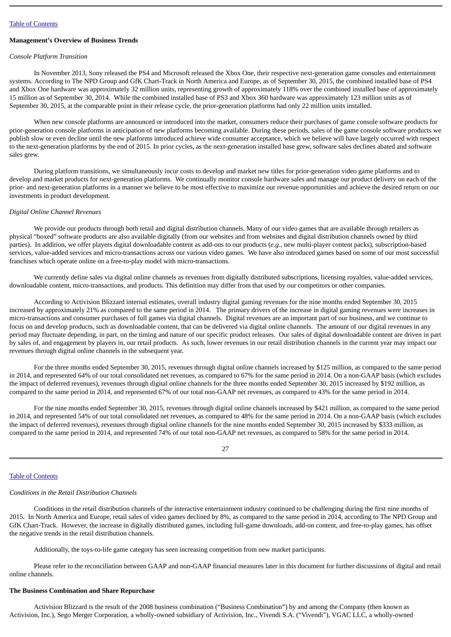### Table of [Contents](#page-0-0)

#### **Management's Overview of Business Trends**

#### *Console Platform Transition*

In November 2013, Sony released the PS4 and Microsoft released the Xbox One, their respective next-generation game consoles and entertainment systems. According to The NPD Group and GfK Chart-Track in North America and Europe, as of September 30, 2015, the combined installed base of PS4 and Xbox One hardware was approximately 32 million units, representing growth of approximately 118% over the combined installed base of approximately 15 million as of September 30, 2014. While the combined installed base of PS3 and Xbox 360 hardware was approximately 123 million units as of September 30, 2015, at the comparable point in their release cycle, the prior-generation platforms had only 22 million units installed.

When new console platforms are announced or introduced into the market, consumers reduce their purchases of game console software products for prior-generation console platforms in anticipation of new platforms becoming available. During these periods, sales of the game console software products we publish slow or even decline until the new platforms introduced achieve wide consumer acceptance, which we believe will have largely occurred with respect to the next-generation platforms by the end of 2015. In prior cycles, as the next-generation installed base grew, software sales declines abated and software sales grew.

During platform transitions, we simultaneously incur costs to develop and market new titles for prior-generation video game platforms and to develop and market products for next-generation platforms. We continually monitor console hardware sales and manage our product delivery on each of the prior- and next-generation platforms in a manner we believe to be most effective to maximize our revenue opportunities and achieve the desired return on our investments in product development.

### *Digital Online Channel Revenues*

We provide our products through both retail and digital distribution channels. Many of our video games that are available through retailers as physical "boxed" software products are also available digitally (from our websites and from websites and digital distribution channels owned by third parties). In addition, we offer players digital downloadable content as add-ons to our products (*e.g.*, new multi-player content packs), subscription-based services, value-added services and micro-transactions across our various video games. We have also introduced games based on some of our most successful franchises which operate online on a free-to-play model with micro-transactions.

We currently define sales via digital online channels as revenues from digitally distributed subscriptions, licensing royalties, value-added services, downloadable content, micro-transactions, and products. This definition may differ from that used by our competitors or other companies.

According to Activision Blizzard internal estimates, overall industry digital gaming revenues for the nine months ended September 30, 2015 increased by approximately 21% as compared to the same period in 2014. The primary drivers of the increase in digital gaming revenues were increases in micro-transactions and consumer purchases of full games via digital channels. Digital revenues are an important part of our business, and we continue to focus on and develop products, such as downloadable content, that can be delivered via digital online channels. The amount of our digital revenues in any period may fluctuate depending, in part, on the timing and nature of our specific product releases. Our sales of digital downloadable content are driven in part by sales of, and engagement by players in, our retail products. As such, lower revenues in our retail distribution channels in the current year may impact our revenues through digital online channels in the subsequent year.

For the three months ended September 30, 2015, revenues through digital online channels increased by \$125 million, as compared to the same period in 2014, and represented 64% of our total consolidated net revenues, as compared to 67% for the same period in 2014. On a non-GAAP basis (which excludes the impact of deferred revenues), revenues through digital online channels for the three months ended September 30, 2015 increased by \$192 million, as compared to the same period in 2014, and represented 67% of our total non-GAAP net revenues, as compared to 43% for the same period in 2014.

For the nine months ended September 30, 2015, revenues through digital online channels increased by \$421 million, as compared to the same period in 2014, and represented 54% of our total consolidated net revenues, as compared to 48% for the same period in 2014. On a non-GAAP basis (which excludes the impact of deferred revenues), revenues through digital online channels for the nine months ended September 30, 2015 increased by \$333 million, as compared to the same period in 2014, and represented 74% of our total non-GAAP net revenues, as compared to 58% for the same period in 2014.

# 27

# Table of [Contents](#page-0-0)

# *Conditions in the Retail Distribution Channels*

Conditions in the retail distribution channels of the interactive entertainment industry continued to be challenging during the first nine months of 2015. In North America and Europe, retail sales of video games declined by 8%, as compared to the same period in 2014, according to The NPD Group and GfK Chart-Track. However, the increase in digitally distributed games, including full-game downloads, add-on content, and free-to-play games, has offset the negative trends in the retail distribution channels.

Additionally, the toys-to-life game category has seen increasing competition from new market participants.

Please refer to the reconciliation between GAAP and non-GAAP financial measures later in this document for further discussions of digital and retail online channels.

#### **The Business Combination and Share Repurchase**

Activision Blizzard is the result of the 2008 business combination ("Business Combination") by and among the Company (then known as Activision, Inc.), Sego Merger Corporation, a wholly-owned subsidiary of Activision, Inc., Vivendi S.A. ("Vivendi"), VGAC LLC, a wholly-owned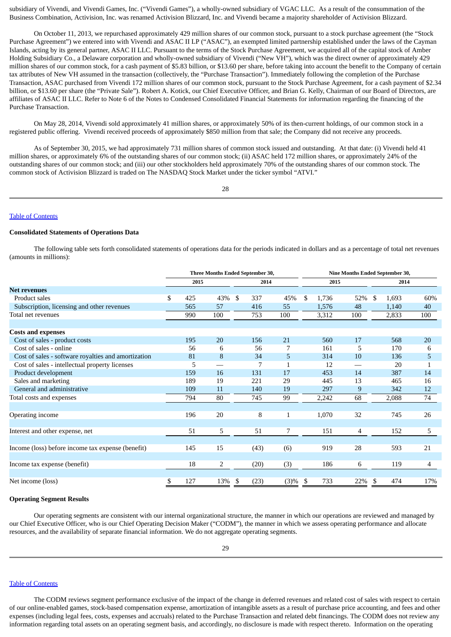subsidiary of Vivendi, and Vivendi Games, Inc. ("Vivendi Games"), a wholly-owned subsidiary of VGAC LLC. As a result of the consummation of the Business Combination, Activision, Inc. was renamed Activision Blizzard, Inc. and Vivendi became a majority shareholder of Activision Blizzard.

On October 11, 2013, we repurchased approximately 429 million shares of our common stock, pursuant to a stock purchase agreement (the "Stock Purchase Agreement") we entered into with Vivendi and ASAC II LP ("ASAC"), an exempted limited partnership established under the laws of the Cayman Islands, acting by its general partner, ASAC II LLC. Pursuant to the terms of the Stock Purchase Agreement, we acquired all of the capital stock of Amber Holding Subsidiary Co., a Delaware corporation and wholly-owned subsidiary of Vivendi ("New VH"), which was the direct owner of approximately 429 million shares of our common stock, for a cash payment of \$5.83 billion, or \$13.60 per share, before taking into account the benefit to the Company of certain tax attributes of New VH assumed in the transaction (collectively, the "Purchase Transaction"). Immediately following the completion of the Purchase Transaction, ASAC purchased from Vivendi 172 million shares of our common stock, pursuant to the Stock Purchase Agreement, for a cash payment of \$2.34 billion, or \$13.60 per share (the "Private Sale"). Robert A. Kotick, our Chief Executive Officer, and Brian G. Kelly, Chairman of our Board of Directors, are affiliates of ASAC II LLC. Refer to Note 6 of the Notes to Condensed Consolidated Financial Statements for information regarding the financing of the Purchase Transaction.

On May 28, 2014, Vivendi sold approximately 41 million shares, or approximately 50% of its then-current holdings, of our common stock in a registered public offering. Vivendi received proceeds of approximately \$850 million from that sale; the Company did not receive any proceeds.

As of September 30, 2015, we had approximately 731 million shares of common stock issued and outstanding. At that date: (i) Vivendi held 41 million shares, or approximately 6% of the outstanding shares of our common stock; (ii) ASAC held 172 million shares, or approximately 24% of the outstanding shares of our common stock; and (iii) our other stockholders held approximately 70% of the outstanding shares of our common stock. The common stock of Activision Blizzard is traded on The NASDAQ Stock Market under the ticker symbol "ATVI."

28

#### Table of [Contents](#page-0-0)

#### **Consolidated Statements of Operations Data**

The following table sets forth consolidated statements of operations data for the periods indicated in dollars and as a percentage of total net revenues (amounts in millions):

|                                                     | Three Months Ended September 30, |      |     |     |      |              | Nine Months Ended September 30, |       |     |      |       |     |  |
|-----------------------------------------------------|----------------------------------|------|-----|-----|------|--------------|---------------------------------|-------|-----|------|-------|-----|--|
|                                                     |                                  | 2015 |     |     | 2014 |              |                                 | 2015  |     |      | 2014  |     |  |
| <b>Net revenues</b>                                 |                                  |      |     |     |      |              |                                 |       |     |      |       |     |  |
| Product sales                                       | \$                               | 425  | 43% | \$  | 337  | 45%          | \$                              | 1,736 | 52% | - \$ | 1,693 | 60% |  |
| Subscription, licensing and other revenues          |                                  | 565  | 57  |     | 416  | 55           |                                 | 1,576 | 48  |      | 1,140 | 40  |  |
| Total net revenues                                  |                                  | 990  | 100 |     | 753  | 100          |                                 | 3,312 | 100 |      | 2,833 | 100 |  |
| <b>Costs and expenses</b>                           |                                  |      |     |     |      |              |                                 |       |     |      |       |     |  |
| Cost of sales - product costs                       |                                  | 195  | 20  |     | 156  | 21           |                                 | 560   | 17  |      | 568   | 20  |  |
| Cost of sales - online                              |                                  | 56   | 6   |     | 56   |              |                                 | 161   | 5   |      | 170   | 6   |  |
| Cost of sales - software royalties and amortization |                                  | 81   | 8   |     | 34   | 5            |                                 | 314   | 10  |      | 136   | 5   |  |
| Cost of sales - intellectual property licenses      |                                  | 5    |     |     |      | $\mathbf{1}$ |                                 | 12    |     |      | 20    |     |  |
| Product development                                 |                                  | 159  | 16  |     | 131  | 17           |                                 | 453   | 14  |      | 387   | 14  |  |
| Sales and marketing                                 |                                  | 189  | 19  |     | 221  | 29           |                                 | 445   | 13  |      | 465   | 16  |  |
| General and administrative                          |                                  | 109  | 11  |     | 140  | 19           |                                 | 297   | 9   |      | 342   | 12  |  |
| Total costs and expenses                            |                                  | 794  | 80  |     | 745  | 99           |                                 | 2,242 | 68  |      | 2,088 | 74  |  |
| Operating income                                    |                                  | 196  | 20  |     | 8    | 1            |                                 | 1,070 | 32  |      | 745   | 26  |  |
| Interest and other expense, net                     |                                  | 51   | 5   |     | 51   | 7            |                                 | 151   | 4   |      | 152   | 5   |  |
| Income (loss) before income tax expense (benefit)   |                                  | 145  | 15  |     | (43) | (6)          |                                 | 919   | 28  |      | 593   | 21  |  |
| Income tax expense (benefit)                        |                                  | 18   | 2   |     | (20) | (3)          |                                 | 186   | 6   |      | 119   | 4   |  |
| Net income (loss)                                   | \$                               | 127  | 13% | -\$ | (23) | (3)%         | \$                              | 733   | 22% | - \$ | 474   | 17% |  |

#### **Operating Segment Results**

Our operating segments are consistent with our internal organizational structure, the manner in which our operations are reviewed and managed by our Chief Executive Officer, who is our Chief Operating Decision Maker ("CODM"), the manner in which we assess operating performance and allocate resources, and the availability of separate financial information. We do not aggregate operating segments.

# Table of [Contents](#page-0-0)

The CODM reviews segment performance exclusive of the impact of the change in deferred revenues and related cost of sales with respect to certain of our online-enabled games, stock-based compensation expense, amortization of intangible assets as a result of purchase price accounting, and fees and other expenses (including legal fees, costs, expenses and accruals) related to the Purchase Transaction and related debt financings. The CODM does not review any information regarding total assets on an operating segment basis, and accordingly, no disclosure is made with respect thereto. Information on the operating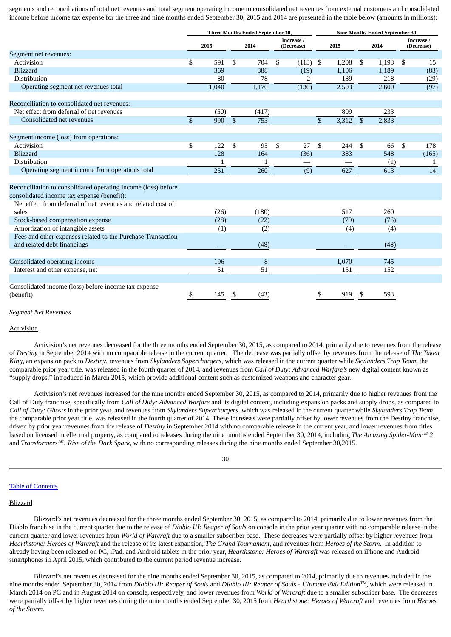segments and reconciliations of total net revenues and total segment operating income to consolidated net revenues from external customers and consolidated income before income tax expense for the three and nine months ended September 30, 2015 and 2014 are presented in the table below (amounts in millions):

|                                                               | Three Months Ended September 30, |       |            |       |                          |            | Nine Months Ended September 30, |       |            |       |    |                          |
|---------------------------------------------------------------|----------------------------------|-------|------------|-------|--------------------------|------------|---------------------------------|-------|------------|-------|----|--------------------------|
|                                                               |                                  | 2015  |            | 2014  | Increase /<br>(Decrease) |            | 2015                            |       | 2014       |       |    | Increase /<br>(Decrease) |
| Segment net revenues:                                         |                                  |       |            |       |                          |            |                                 |       |            |       |    |                          |
| Activision                                                    | \$                               | 591   | \$         | 704   | \$                       | $(113)$ \$ |                                 | 1,208 | \$         | 1,193 | \$ | 15                       |
| <b>Blizzard</b>                                               |                                  | 369   |            | 388   |                          | (19)       |                                 | 1,106 |            | 1,189 |    | (83)                     |
| Distribution                                                  |                                  | 80    |            | 78    |                          | 2          |                                 | 189   |            | 218   |    | (29)                     |
| Operating segment net revenues total                          |                                  | 1,040 |            | 1,170 |                          | (130)      |                                 | 2,503 |            | 2,600 |    | (97)                     |
| Reconciliation to consolidated net revenues:                  |                                  |       |            |       |                          |            |                                 |       |            |       |    |                          |
| Net effect from deferral of net revenues                      |                                  | (50)  |            | (417) |                          |            |                                 | 809   |            | 233   |    |                          |
| Consolidated net revenues                                     | $\mathbb{S}$                     | 990   | $\sqrt{3}$ | 753   |                          |            | $\boldsymbol{\mathsf{S}}$       | 3,312 | $\sqrt{3}$ | 2,833 |    |                          |
| Segment income (loss) from operations:                        |                                  |       |            |       |                          |            |                                 |       |            |       |    |                          |
| Activision                                                    | \$                               | 122   | \$         | 95    | \$                       | 27         | \$                              | 244   | \$         | 66    | \$ | 178                      |
| <b>Blizzard</b>                                               |                                  | 128   |            | 164   |                          | (36)       |                                 | 383   |            | 548   |    | (165)                    |
| <b>Distribution</b>                                           |                                  | 1     |            | 1     |                          |            |                                 |       |            | (1)   |    | 1                        |
| Operating segment income from operations total                |                                  | 251   |            | 260   |                          | (9)        |                                 | 627   |            | 613   |    | 14                       |
| Reconciliation to consolidated operating income (loss) before |                                  |       |            |       |                          |            |                                 |       |            |       |    |                          |
| consolidated income tax expense (benefit):                    |                                  |       |            |       |                          |            |                                 |       |            |       |    |                          |
| Net effect from deferral of net revenues and related cost of  |                                  |       |            |       |                          |            |                                 |       |            |       |    |                          |
| sales                                                         |                                  | (26)  |            | (180) |                          |            |                                 | 517   |            | 260   |    |                          |
| Stock-based compensation expense                              |                                  | (28)  |            | (22)  |                          |            |                                 | (70)  |            | (76)  |    |                          |
| Amortization of intangible assets                             |                                  | (1)   |            | (2)   |                          |            |                                 | (4)   |            | (4)   |    |                          |
| Fees and other expenses related to the Purchase Transaction   |                                  |       |            |       |                          |            |                                 |       |            |       |    |                          |
| and related debt financings                                   |                                  |       |            | (48)  |                          |            |                                 |       |            | (48)  |    |                          |
|                                                               |                                  |       |            |       |                          |            |                                 |       |            |       |    |                          |
| Consolidated operating income                                 |                                  | 196   |            | 8     |                          |            |                                 | 1,070 |            | 745   |    |                          |
| Interest and other expense, net                               |                                  | 51    |            | 51    |                          |            |                                 | 151   |            | 152   |    |                          |
| Consolidated income (loss) before income tax expense          |                                  |       |            |       |                          |            |                                 |       |            |       |    |                          |
| (benefit)                                                     | \$                               | 145   | \$         | (43)  |                          |            | \$                              | 919   | \$         | 593   |    |                          |

#### *Segment Net Revenues*

#### Activision

Activision's net revenues decreased for the three months ended September 30, 2015, as compared to 2014, primarily due to revenues from the release of *Destiny* in September 2014 with no comparable release in the current quarter. The decrease was partially offset by revenues from the release of *The Taken King*, an expansion pack to *Destiny*, revenues from *Skylanders Superchargers,* which was released in the current quarter while *Skylanders Trap Team*, the comparable prior year title, was released in the fourth quarter of 2014, and revenues from *Call of Duty: Advanced Warfare's* new digital content known as "supply drops," introduced in March 2015, which provide additional content such as customized weapons and character gear.

Activision's net revenues increased for the nine months ended September 30, 2015, as compared to 2014, primarily due to higher revenues from the Call of Duty franchise, specifically from *Call of Duty: Advanced Warfare* and its digital content, including expansion packs and supply drops, as compared to *Call of Duty: Ghosts* in the prior year, and revenues from *Skylanders Superchargers,* which was released in the current quarter while *Skylanders Trap Team*, the comparable prior year title, was released in the fourth quarter of 2014. These increases were partially offset by lower revenues from the Destiny franchise, driven by prior year revenues from the release of *Destiny* in September 2014 with no comparable release in the current year, and lower revenues from titles based on licensed intellectual property, as compared to releases during the nine months ended September 30, 2014, including *The Amazing Spider-Man<sup>TM</sup> 2* and *Transformers<sup>™</sup>: Rise of the Dark Spark*, with no corresponding releases during the nine months ended September 30,2015.

# 30

# Table of [Contents](#page-0-0)

#### Blizzard

Blizzard's net revenues decreased for the three months ended September 30, 2015, as compared to 2014, primarily due to lower revenues from the Diablo franchise in the current quarter due to the release of *Diablo III: Reaper of Souls* on console in the prior year quarter with no comparable release in the current quarter and lower revenues from *World of Warcraft* due to a smaller subscriber base. These decreases were partially offset by higher revenues from Hearthstone: Heroes of Warcraft and the release of its latest expansion. The Grand Tournament, and revenues from Heroes of the Storm. In addition to already having been released on PC, iPad, and Android tablets in the prior year, *Hearthstone: Heroes of Warcraft* was released on iPhone and Android smartphones in April 2015, which contributed to the current period revenue increase.

Blizzard's net revenues decreased for the nine months ended September 30, 2015, as compared to 2014, primarily due to revenues included in the nine months ended September 30, 2014 from Diablo III: Reaper of Souls and Diablo III: Reaper of Souls - Ultimate Evil Edition<sup>TM</sup>, which were released in March 2014 on PC and in August 2014 on console, respectively, and lower revenues from *World of Warcraft* due to a smaller subscriber base. The decreases were partially offset by higher revenues during the nine months ended September 30, 2015 from *Hearthstone: Heroes of Warcraft* and revenues from *Heroes of the Storm*.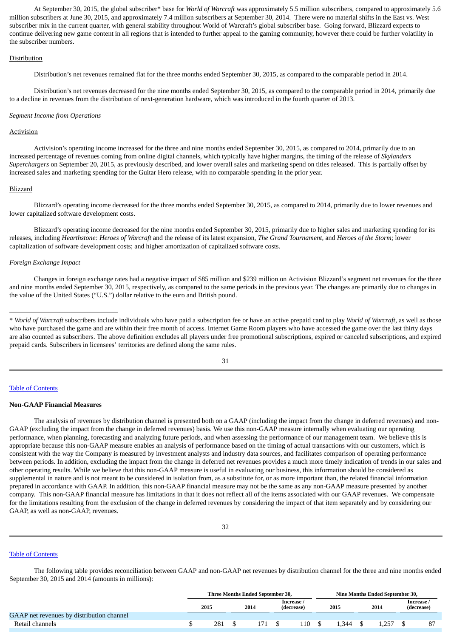At September 30, 2015, the global subscriber\* base for *World of Warcraft* was approximately 5.5 million subscribers, compared to approximately 5.6 million subscribers at June 30, 2015, and approximately 7.4 million subscribers at September 30, 2014. There were no material shifts in the East vs. West subscriber mix in the current quarter, with general stability throughout World of Warcraft's global subscriber base. Going forward, Blizzard expects to continue delivering new game content in all regions that is intended to further appeal to the gaming community, however there could be further volatility in the subscriber numbers.

#### Distribution

Distribution's net revenues remained flat for the three months ended September 30, 2015, as compared to the comparable period in 2014.

Distribution's net revenues decreased for the nine months ended September 30, 2015, as compared to the comparable period in 2014, primarily due to a decline in revenues from the distribution of next-generation hardware, which was introduced in the fourth quarter of 2013.

#### *Segment Income from Operations*

### Activision

Activision's operating income increased for the three and nine months ended September 30, 2015, as compared to 2014, primarily due to an increased percentage of revenues coming from online digital channels, which typically have higher margins, the timing of the release of *Skylanders Superchargers* on September 20, 2015, as previously described, and lower overall sales and marketing spend on titles released. This is partially offset by increased sales and marketing spending for the Guitar Hero release, with no comparable spending in the prior year.

### Blizzard

Blizzard's operating income decreased for the three months ended September 30, 2015, as compared to 2014, primarily due to lower revenues and lower capitalized software development costs.

Blizzard's operating income decreased for the nine months ended September 30, 2015, primarily due to higher sales and marketing spending for its releases, including *Hearthstone: Heroes of Warcraft* and the release of its latest expansion, *The Grand Tournament*, and *Heroes of the Storm*; lower capitalization of software development costs; and higher amortization of capitalized software costs*.*

#### *Foreign Exchange Impact*

Changes in foreign exchange rates had a negative impact of \$85 million and \$239 million on Activision Blizzard's segment net revenues for the three and nine months ended September 30, 2015, respectively, as compared to the same periods in the previous year. The changes are primarily due to changes in the value of the United States ("U.S.") dollar relative to the euro and British pound.

31

#### Table of [Contents](#page-0-0)

#### **Non-GAAP Financial Measures**

The analysis of revenues by distribution channel is presented both on a GAAP (including the impact from the change in deferred revenues) and non-GAAP (excluding the impact from the change in deferred revenues) basis. We use this non-GAAP measure internally when evaluating our operating performance, when planning, forecasting and analyzing future periods, and when assessing the performance of our management team. We believe this is appropriate because this non-GAAP measure enables an analysis of performance based on the timing of actual transactions with our customers, which is consistent with the way the Company is measured by investment analysts and industry data sources, and facilitates comparison of operating performance between periods. In addition, excluding the impact from the change in deferred net revenues provides a much more timely indication of trends in our sales and other operating results. While we believe that this non-GAAP measure is useful in evaluating our business, this information should be considered as supplemental in nature and is not meant to be considered in isolation from, as a substitute for, or as more important than, the related financial information prepared in accordance with GAAP. In addition, this non-GAAP financial measure may not be the same as any non-GAAP measure presented by another company. This non-GAAP financial measure has limitations in that it does not reflect all of the items associated with our GAAP revenues. We compensate for the limitations resulting from the exclusion of the change in deferred revenues by considering the impact of that item separately and by considering our GAAP, as well as non-GAAP, revenues.

# Table of [Contents](#page-0-0)

The following table provides reconciliation between GAAP and non-GAAP net revenues by distribution channel for the three and nine months ended September 30, 2015 and 2014 (amounts in millions):

|                                           | <b>Three Months Ended September 30,</b> |  |      |  |                        |  | Nine Months Ended September 30, |  |       |  |                          |  |
|-------------------------------------------|-----------------------------------------|--|------|--|------------------------|--|---------------------------------|--|-------|--|--------------------------|--|
|                                           | 2015                                    |  | 2014 |  | Increase<br>(decrease) |  | 2015                            |  | 2014  |  | Increase /<br>(decrease) |  |
| GAAP net revenues by distribution channel |                                         |  |      |  |                        |  |                                 |  |       |  |                          |  |
| Retail channels                           | 281                                     |  |      |  | 110                    |  | .344                            |  | 1,257 |  | 87                       |  |
|                                           |                                         |  |      |  |                        |  |                                 |  |       |  |                          |  |

<sup>\*</sup> *World of Warcraft* subscribers include individuals who have paid a subscription fee or have an active prepaid card to play *World of Warcraft*, as well as those who have purchased the game and are within their free month of access. Internet Game Room players who have accessed the game over the last thirty days are also counted as subscribers. The above definition excludes all players under free promotional subscriptions, expired or canceled subscriptions, and expired prepaid cards. Subscribers in licensees' territories are defined along the same rules.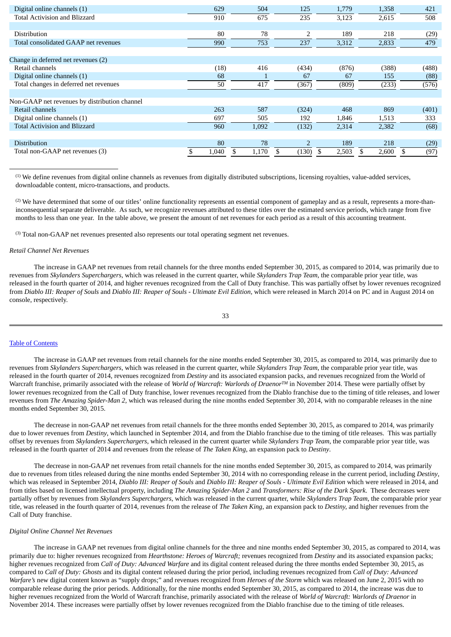| Digital online channels (1)                   | 629   | 504   | 125   | 1,779 | 1,358 | 421       |
|-----------------------------------------------|-------|-------|-------|-------|-------|-----------|
| <b>Total Activision and Blizzard</b>          | 910   | 675   | 235   | 3,123 | 2,615 | 508       |
|                                               |       |       |       |       |       |           |
| Distribution                                  | 80    | 78    |       | 189   | 218   | (29)      |
| Total consolidated GAAP net revenues          | 990   | 753   | 237   | 3,312 | 2,833 | 479       |
|                                               |       |       |       |       |       |           |
| Change in deferred net revenues (2)           |       |       |       |       |       |           |
| Retail channels                               | (18)  | 416   | (434) | (876) | (388) | (488)     |
| Digital online channels (1)                   | 68    | ш     | 67    | 67    | 155   | (88)      |
| Total changes in deferred net revenues        | 50    | 417   | (367) | (809) | (233) | (576)     |
|                                               |       |       |       |       |       |           |
| Non-GAAP net revenues by distribution channel |       |       |       |       |       |           |
| Retail channels                               | 263   | 587   | (324) | 468   | 869   | (401)     |
| Digital online channels (1)                   | 697   | 505   | 192   | 1,846 | 1,513 | 333       |
| <b>Total Activision and Blizzard</b>          | 960   | 1,092 | (132) | 2,314 | 2,382 | (68)      |
|                                               |       |       |       |       |       |           |
| <b>Distribution</b>                           | 80    | 78    | 2     | 189   | 218   | (29)      |
| Total non-GAAP net revenues (3)               | 1,040 | 1,170 | (130) | 2,503 | 2,600 | (97)<br>S |
|                                               |       |       |       |       |       |           |

 $<sup>(1)</sup>$  We define revenues from digital online channels as revenues from digitally distributed subscriptions, licensing royalties, value-added services,</sup> downloadable content, micro-transactions, and products.

 $^{(2)}$  We have determined that some of our titles' online functionality represents an essential component of gameplay and as a result, represents a more-thaninconsequential separate deliverable. As such, we recognize revenues attributed to these titles over the estimated service periods, which range from five months to less than one year. In the table above, we present the amount of net revenues for each period as a result of this accounting treatment.

 $(3)$  Total non-GAAP net revenues presented also represents our total operating segment net revenues.

#### *Retail Channel Net Revenues*

The increase in GAAP net revenues from retail channels for the three months ended September 30, 2015, as compared to 2014, was primarily due to revenues from *Skylanders Superchargers*, which was released in the current quarter, while *Skylanders Trap Team*, the comparable prior year title, was released in the fourth quarter of 2014, and higher revenues recognized from the Call of Duty franchise. This was partially offset by lower revenues recognized from Diablo III: Reaper of Souls and Diablo III: Reaper of Souls - Ultimate Evil Edition, which were released in March 2014 on PC and in August 2014 on console, respectively.

33

# Table of [Contents](#page-0-0)

The increase in GAAP net revenues from retail channels for the nine months ended September 30, 2015, as compared to 2014, was primarily due to revenues from *Skylanders Superchargers*, which was released in the current quarter, while *Skylanders Trap Team*, the comparable prior year title, was released in the fourth quarter of 2014, revenues recognized from *Destiny* and its associated expansion packs, and revenues recognized from the World of Warcraft franchise, primarily associated with the release of *World of Warcraft: Warlords of Draenor*<sup>*IM*</sup> in November 2014. These were partially offset by lower revenues recognized from the Call of Duty franchise, lower revenues recognized from the Diablo franchise due to the timing of title releases, and lower revenues from *The Amazing Spider-Man 2,* which was released during the nine months ended September 30, 2014, with no comparable releases in the nine months ended September 30, 2015.

The decrease in non-GAAP net revenues from retail channels for the three months ended September 30, 2015, as compared to 2014, was primarily due to lower revenues from *Destiny*, which launched in September 2014, and from the Diablo franchise due to the timing of title releases. This was partially offset by revenues from *Skylanders Superchargers,* which released in the current quarter while *Skylanders Trap Team*, the comparable prior year title, was released in the fourth quarter of 2014 and revenues from the release of *The Taken King*, an expansion pack to *Destiny*.

The decrease in non-GAAP net revenues from retail channels for the nine months ended September 30, 2015, as compared to 2014, was primarily due to revenues from titles released during the nine months ended September 30, 2014 with no corresponding release in the current period, including *Destiny*, which was released in September 2014, Diablo III: Reaper of Souls and Diablo III: Reaper of Souls - Ultimate Evil Edition which were released in 2014, and from titles based on licensed intellectual property, including *The Amazing Spider-Man 2* and *Transformers: Rise of the Dark Spark*. These decreases were partially offset by revenues from *Skylanders Superchargers*, which was released in the current quarter, while *Skylanders Trap Team*, the comparable prior year title, was released in the fourth quarter of 2014, revenues from the release of *The Taken King*, an expansion pack to *Destiny,* and higher revenues from the Call of Duty franchise.

# *Digital Online Channel Net Revenues*

The increase in GAAP net revenues from digital online channels for the three and nine months ended September 30, 2015, as compared to 2014, was primarily due to: higher revenues recognized from *Hearthstone: Heroes of Warcraft;* revenues recognized from *Destiny* and its associated expansion packs; higher revenues recognized from *Call of Duty: Advanced Warfare* and its digital content released during the three months ended September 30, 2015, as compared to *Call of Duty: Ghosts* and its digital content released during the prior period, including revenues recognized from *Call of Duty: Advanced Warfare's* new digital content known as "supply drops;" and revenues recognized from *Heroes of the Storm* which was released on June 2, 2015 with no comparable release during the prior periods. Additionally, for the nine months ended September 30, 2015, as compared to 2014, the increase was due to higher revenues recognized from the World of Warcraft franchise, primarily associated with the release of *World of Warcraft: Warlords of Draenor* in November 2014. These increases were partially offset by lower revenues recognized from the Diablo franchise due to the timing of title releases.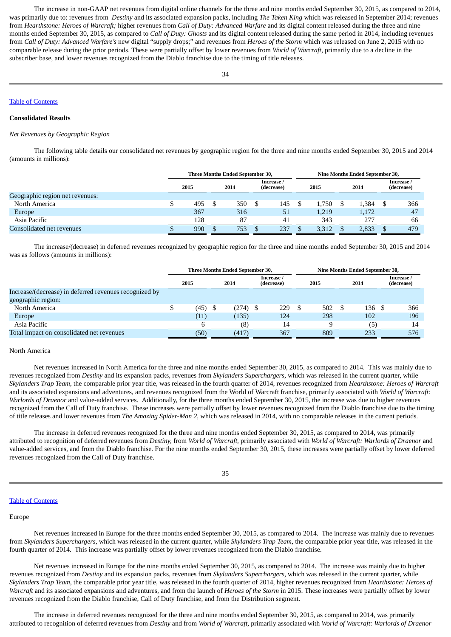The increase in non-GAAP net revenues from digital online channels for the three and nine months ended September 30, 2015, as compared to 2014, was primarily due to: revenues from *Destiny* and its associated expansion packs, including *The Taken King* which was released in September 2014; revenues from *Hearthstone: Heroes of Warcraft;* higher revenues from *Call of Duty: Advanced Warfare* and its digital content released during the three and nine months ended September 30, 2015*,* as compared to *Call of Duty: Ghosts* and its digital content released during the same period in 2014, including revenues from *Call of Duty: Advanced Warfare's* new digital "supply drops;" and revenues from *Heroes of the Storm* which was released on June 2, 2015 with no comparable release during the prior periods. These were partially offset by lower revenues from *World of Warcraft*, primarily due to a decline in the subscriber base, and lower revenues recognized from the Diablo franchise due to the timing of title releases.

#### Table of [Contents](#page-0-0)

#### **Consolidated Results**

#### *Net Revenues by Geographic Region*

The following table details our consolidated net revenues by geographic region for the three and nine months ended September 30, 2015 and 2014 (amounts in millions):

|                                 |      | Three Months Ended September 30, |      |  | Nine Months Ended September 30, |  |       |  |       |  |                          |
|---------------------------------|------|----------------------------------|------|--|---------------------------------|--|-------|--|-------|--|--------------------------|
|                                 | 2015 |                                  | 2014 |  | Increase /<br>(decrease)        |  | 2015  |  | 2014  |  | Increase /<br>(decrease) |
| Geographic region net revenues: |      |                                  |      |  |                                 |  |       |  |       |  |                          |
| North America                   | 495  |                                  | 350  |  | 145                             |  | 1.750 |  | 1,384 |  | 366                      |
| Europe                          | 367  |                                  | 316  |  | 51                              |  | 1,219 |  | 1,172 |  | 47                       |
| Asia Pacific                    | 128  |                                  | 87   |  | 41                              |  | 343   |  | 277   |  | 66                       |
| Consolidated net revenues       | 990  |                                  | 753  |  | 237                             |  | 3,312 |  | 2,833 |  | 479                      |

The increase/(decrease) in deferred revenues recognized by geographic region for the three and nine months ended September 30, 2015 and 2014 was as follows (amounts in millions):

|                                                        | <b>Three Months Ended September 30,</b> |      |  |       |  |                          |  | <b>Nine Months Ended September 30,</b> |      |     |  |                          |  |  |
|--------------------------------------------------------|-----------------------------------------|------|--|-------|--|--------------------------|--|----------------------------------------|------|-----|--|--------------------------|--|--|
|                                                        |                                         | 2015 |  | 2014  |  | Increase /<br>(decrease) |  | 2015                                   | 2014 |     |  | Increase /<br>(decrease) |  |  |
| Increase/(decrease) in deferred revenues recognized by |                                         |      |  |       |  |                          |  |                                        |      |     |  |                          |  |  |
| geographic region:                                     |                                         |      |  |       |  |                          |  |                                        |      |     |  |                          |  |  |
| North America                                          |                                         | (45) |  | (274) |  | 229                      |  | 502S                                   |      | 136 |  | 366                      |  |  |
| Europe                                                 |                                         | (11) |  | (135) |  | 124                      |  | 298                                    |      | 102 |  | 196                      |  |  |
| Asia Pacific                                           |                                         |      |  | (8)   |  | 14                       |  | a                                      |      | (5) |  | 14                       |  |  |
| Total impact on consolidated net revenues              |                                         | (50) |  | (417) |  | 367                      |  | 809                                    |      | 233 |  | 576                      |  |  |

# North America

Net revenues increased in North America for the three and nine months ended September 30, 2015, as compared to 2014. This was mainly due to revenues recognized from *Destiny* and its expansion packs, revenues from *Skylanders Superchargers,* which was released in the current quarter, while *Skylanders Trap Team*, the comparable prior year title, was released in the fourth quarter of 2014, revenues recognized from *Hearthstone: Heroes of Warcraft* and its associated expansions and adventures, and revenues recognized from the World of Warcraft franchise, primarily associated with *World of Warcraft: Warlords of Draenor* and value-added services. Additionally, for the three months ended September 30, 2015, the increase was due to higher revenues recognized from the Call of Duty franchise. These increases were partially offset by lower revenues recognized from the Diablo franchise due to the timing of title releases and lower revenues from *The Amazing Spider-Man 2*, which was released in 2014, with no comparable releases in the current periods*.*

The increase in deferred revenues recognized for the three and nine months ended September 30, 2015, as compared to 2014, was primarily attributed to recognition of deferred revenues from *Destiny,* from *World of Warcraft*, primarily associated with *World of Warcraft: Warlords of Draenor* and value-added services, and from the Diablo franchise. For the nine months ended September 30, 2015, these increases were partially offset by lower deferred revenues recognized from the Call of Duty franchise.

# 35

# Table of [Contents](#page-0-0)

# Europe

Net revenues increased in Europe for the three months ended September 30, 2015, as compared to 2014. The increase was mainly due to revenues from *Skylanders Superchargers,* which was released in the current quarter, while *Skylanders Trap Team*, the comparable prior year title, was released in the fourth quarter of 2014. This increase was partially offset by lower revenues recognized from the Diablo franchise.

Net revenues increased in Europe for the nine months ended September 30, 2015, as compared to 2014. The increase was mainly due to higher revenues recognized from *Destiny* and its expansion packs, revenues from *Skylanders Superchargers*, which was released in the current quarter, while *Skylanders Trap Team*, the comparable prior year title, was released in the fourth quarter of 2014, higher revenues recognized from *Hearthstone: Heroes of Warcraft* and its associated expansions and adventures, and from the launch of *Heroes of the Storm* in 2015. These increases were partially offset by lower revenues recognized from the Diablo franchise, Call of Duty franchise, and from the Distribution segment.

The increase in deferred revenues recognized for the three and nine months ended September 30, 2015, as compared to 2014, was primarily attributed to recognition of deferred revenues from *Destiny* and from *World of Warcraft*, primarily associated with *World of Warcraft: Warlords of Draenor*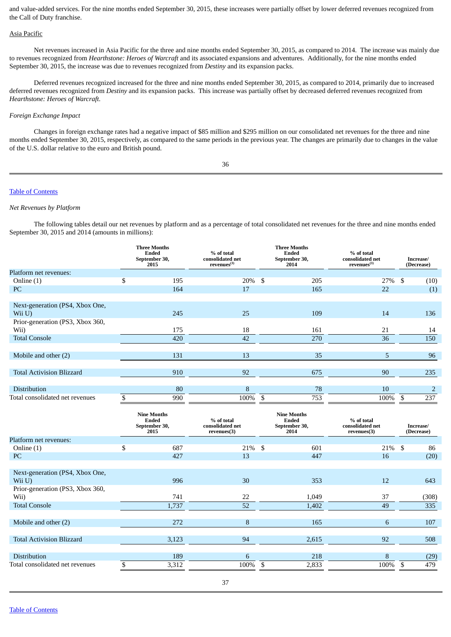and value-added services. For the nine months ended September 30, 2015, these increases were partially offset by lower deferred revenues recognized from the Call of Duty franchise.

#### Asia Pacific

Net revenues increased in Asia Pacific for the three and nine months ended September 30, 2015, as compared to 2014. The increase was mainly due to revenues recognized from *Hearthstone: Heroes of Warcraft* and its associated expansions and adventures. Additionally, for the nine months ended September 30, 2015, the increase was due to revenues recognized from *Destiny* and its expansion packs.

Deferred revenues recognized increased for the three and nine months ended September 30, 2015, as compared to 2014, primarily due to increased deferred revenues recognized from *Destiny* and its expansion packs. This increase was partially offset by decreased deferred revenues recognized from *Hearthstone: Heroes of Warcraft*.

# *Foreign Exchange Impact*

Changes in foreign exchange rates had a negative impact of \$85 million and \$295 million on our consolidated net revenues for the three and nine months ended September 30, 2015, respectively, as compared to the same periods in the previous year. The changes are primarily due to changes in the value of the U.S. dollar relative to the euro and British pound.

36

# Table of [Contents](#page-0-0)

# *Net Revenues by Platform*

The following tables detail our net revenues by platform and as a percentage of total consolidated net revenues for the three and nine months ended September 30, 2015 and 2014 (amounts in millions):

|                                           | <b>Three Months</b><br>Ended<br>September 30,<br>2015 | % of total<br>consolidated net<br>$re$ venues $^{(3)}$ | <b>Three Months</b><br><b>Ended</b><br>September 30,<br>2014 | % of total<br>consolidated net<br>revenues <sup>(3)</sup> | Increase/<br>(Decrease) |
|-------------------------------------------|-------------------------------------------------------|--------------------------------------------------------|--------------------------------------------------------------|-----------------------------------------------------------|-------------------------|
| Platform net revenues:                    |                                                       |                                                        |                                                              |                                                           |                         |
| Online (1)                                | \$<br>195                                             | $20\%$ \$                                              | 205                                                          | $27\%$ \$                                                 | (10)                    |
| PC                                        | 164                                                   | 17                                                     | 165                                                          | 22                                                        | (1)                     |
| Next-generation (PS4, Xbox One,<br>Wii U) | 245                                                   | 25                                                     | 109                                                          | 14                                                        | 136                     |
| Prior-generation (PS3, Xbox 360,          |                                                       |                                                        |                                                              |                                                           |                         |
| Wii)                                      | 175                                                   | 18                                                     | 161                                                          | 21                                                        | 14                      |
| <b>Total Console</b>                      | 420                                                   | 42                                                     | 270                                                          | 36                                                        | 150                     |
| Mobile and other (2)                      | 131                                                   | 13                                                     | 35                                                           | 5                                                         | 96                      |
| <b>Total Activision Blizzard</b>          | 910                                                   | 92                                                     | 675                                                          | 90                                                        | 235                     |
|                                           |                                                       |                                                        |                                                              |                                                           |                         |
| <b>Distribution</b>                       | 80                                                    | 8                                                      | 78                                                           | 10                                                        | 2                       |
| Total consolidated net revenues           | 990                                                   | 100%                                                   | 753                                                          | 100%                                                      | 237<br>\$               |

|                                  | <b>Nine Months</b><br>Ended<br>September 30,<br>2015 | % of total<br>consolidated net<br>revenues(3) | <b>Nine Months</b><br><b>Ended</b><br>September 30,<br>2014 | % of total<br>consolidated net<br>revenues(3) | Increase/<br>(Decrease) |
|----------------------------------|------------------------------------------------------|-----------------------------------------------|-------------------------------------------------------------|-----------------------------------------------|-------------------------|
| Platform net revenues:           |                                                      |                                               |                                                             |                                               |                         |
| Online (1)                       | \$<br>687                                            | $21\%$ \$                                     | 601                                                         | $21\%$ \$                                     | 86                      |
| PC                               | 427                                                  | 13                                            | 447                                                         | 16                                            | (20)                    |
| Next-generation (PS4, Xbox One,  |                                                      |                                               |                                                             |                                               |                         |
| Wii U)                           | 996                                                  | 30                                            | 353                                                         | 12                                            | 643                     |
| Prior-generation (PS3, Xbox 360, |                                                      |                                               |                                                             |                                               |                         |
| Wii)                             | 741                                                  | 22                                            | 1,049                                                       | 37                                            | (308)                   |
| <b>Total Console</b>             | 1,737                                                | 52                                            | 1,402                                                       | 49                                            | 335                     |
| Mobile and other (2)             | 272                                                  | 8                                             | 165                                                         | 6                                             | 107                     |
|                                  |                                                      |                                               |                                                             |                                               |                         |
| <b>Total Activision Blizzard</b> | 3,123                                                | 94                                            | 2,615                                                       | 92                                            | 508                     |
|                                  |                                                      |                                               |                                                             |                                               |                         |
| <b>Distribution</b>              | 189                                                  | 6                                             | 218                                                         | 8                                             | (29)                    |
| Total consolidated net revenues  | 3,312                                                | 100%                                          | 2,833                                                       | 100%                                          | 479<br>\$               |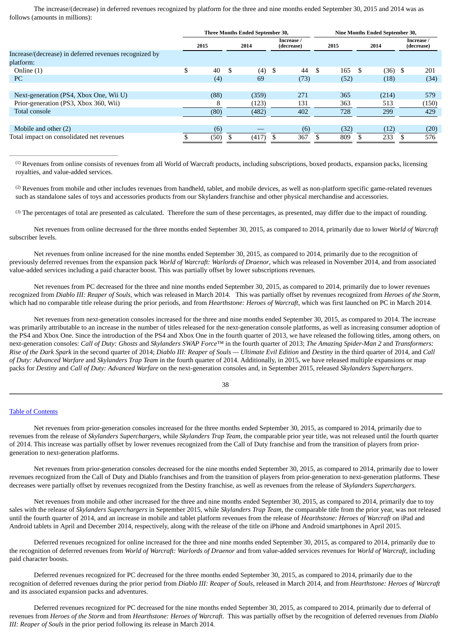The increase/(decrease) in deferred revenues recognized by platform for the three and nine months ended September 30, 2015 and 2014 was as follows (amounts in millions):

|                                                        | Three Months Ended September 30, |      |    |       |      | <b>Nine Months Ended September 30,</b> |      |      |    |       |      |                          |
|--------------------------------------------------------|----------------------------------|------|----|-------|------|----------------------------------------|------|------|----|-------|------|--------------------------|
|                                                        |                                  | 2015 |    | 2014  |      | Increase /<br>(decrease)               |      | 2015 |    | 2014  |      | Increase /<br>(decrease) |
| Increase/(decrease) in deferred revenues recognized by |                                  |      |    |       |      |                                        |      |      |    |       |      |                          |
| platform:                                              |                                  |      |    |       |      |                                        |      |      |    |       |      |                          |
| Online (1)                                             | \$                               | 40   | -S | (4)   | - \$ | 44                                     | - \$ | 165  | -S | (36)  | - \$ | 201                      |
| PC                                                     |                                  | (4)  |    | 69    |      | (73)                                   |      | (52) |    | (18)  |      | (34)                     |
|                                                        |                                  |      |    |       |      |                                        |      |      |    |       |      |                          |
| Next-generation (PS4, Xbox One, Wii U)                 |                                  | (88) |    | (359) |      | 271                                    |      | 365  |    | (214) |      | 579                      |
| Prior-generation (PS3, Xbox 360, Wii)                  |                                  | 8    |    | (123) |      | 131                                    |      | 363  |    | 513   |      | (150)                    |
| Total console                                          |                                  | (80) |    | (482) |      | 402                                    |      | 728  |    | 299   |      | 429                      |
|                                                        |                                  |      |    |       |      |                                        |      |      |    |       |      |                          |
| Mobile and other (2)                                   |                                  | (6)  |    |       |      | (6)                                    |      | (32) |    | (12)  |      | (20)                     |
| Total impact on consolidated net revenues              |                                  | (50) |    | (417) |      | 367                                    |      | 809  |    | 233   |      | 576                      |
|                                                        |                                  |      |    |       |      |                                        |      |      |    |       |      |                          |

 $<sup>(1)</sup>$  Revenues from online consists of revenues from all World of Warcraft products, including subscriptions, boxed products, expansion packs, licensing</sup> royalties, and value-added services.

 $^{(2)}$  Revenues from mobile and other includes revenues from handheld, tablet, and mobile devices, as well as non-platform specific game-related revenues such as standalone sales of toys and accessories products from our Skylanders franchise and other physical merchandise and accessories.

 $(3)$  The percentages of total are presented as calculated. Therefore the sum of these percentages, as presented, may differ due to the impact of rounding.

Net revenues from online decreased for the three months ended September 30, 2015, as compared to 2014, primarily due to lower *World of Warcraft* subscriber levels.

Net revenues from online increased for the nine months ended September 30, 2015, as compared to 2014, primarily due to the recognition of previously deferred revenues from the expansion pack *World of Warcraft: Warlords of Draenor*, which was released in November 2014, and from associated value-added services including a paid character boost. This was partially offset by lower subscriptions revenues.

Net revenues from PC decreased for the three and nine months ended September 30, 2015, as compared to 2014, primarily due to lower revenues recognized from *Diablo III: Reaper of Souls*, which was released in March 2014. This was partially offset by revenues recognized from *Heroes of the Storm*, which had no comparable title release during the prior periods, and from *Hearthstone: Heroes of Warcraft*, which was first launched on PC in March 2014.

Net revenues from next-generation consoles increased for the three and nine months ended September 30, 2015, as compared to 2014. The increase was primarily attributable to an increase in the number of titles released for the next-generation console platforms, as well as increasing consumer adoption of the PS4 and Xbox One. Since the introduction of the PS4 and Xbox One in the fourth quarter of 2013, we have released the following titles, among others, on next-generation consoles: Call of Duty: Ghosts and Skylanders SWAP Force<sup>TM</sup> in the fourth quarter of 2013; The Amazing Spider-Man 2 and Transformers: Rise of the Dark Spark in the second quarter of 2014; Diablo III: Reaper of Souls - Ultimate Evil Edition and Destiny in the third quarter of 2014, and Call *of Duty: Advanced Warfare* and *Skylanders Trap Team* in the fourth quarter of 2014. Additionally, in 2015, we have released multiple expansions or map packs for *Destiny* and *Call of Duty: Advanced Warfare* on the next-generation consoles and, in September 2015, released *Skylanders Superchargers*.

38

# Table of [Contents](#page-0-0)

Net revenues from prior-generation consoles increased for the three months ended September 30, 2015, as compared to 2014, primarily due to revenues from the release of *Skylanders Superchargers*, while *Skylanders Trap Team*, the comparable prior year title, was not released until the fourth quarter of 2014. This increase was partially offset by lower revenues recognized from the Call of Duty franchise and from the transition of players from priorgeneration to next-generation platforms.

Net revenues from prior-generation consoles decreased for the nine months ended September 30, 2015, as compared to 2014, primarily due to lower revenues recognized from the Call of Duty and Diablo franchises and from the transition of players from prior-generation to next-generation platforms. These decreases were partially offset by revenues recognized from the Destiny franchise, as well as revenues from the release of *Skylanders Superchargers*.

Net revenues from mobile and other increased for the three and nine months ended September 30, 2015, as compared to 2014, primarily due to toy sales with the release of *Skylanders Superchargers* in September 2015, while *Skylanders Trap Team*, the comparable title from the prior year, was not released until the fourth quarter of 2014, and an increase in mobile and tablet platform revenues from the release of *Hearthstone: Heroes of Warcraft* on iPad and Android tablets in April and December 2014, respectively, along with the release of the title on iPhone and Android smartphones in April 2015.

Deferred revenues recognized for online increased for the three and nine months ended September 30, 2015, as compared to 2014, primarily due to the recognition of deferred revenues from *World of Warcraft: Warlords of Draenor* and from value-added services revenues for *World of Warcraft*, including paid character boosts.

Deferred revenues recognized for PC decreased for the three months ended September 30, 2015, as compared to 2014, primarily due to the recognition of deferred revenues during the prior period from *Diablo III: Reaper of Souls,* released in March 2014, and from *Hearthstone: Heroes of Warcraft* and its associated expansion packs and adventures.

Deferred revenues recognized for PC decreased for the nine months ended September 30, 2015, as compared to 2014, primarily due to deferral of revenues from *Heroes of the Storm* and from *Hearthstone: Heroes of Warcraft*. This was partially offset by the recognition of deferred revenues from *Diablo III: Reaper of Souls* in the prior period following its release in March 2014.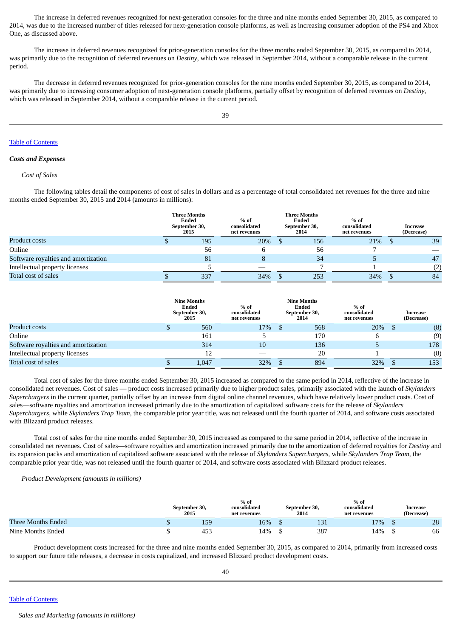The increase in deferred revenues recognized for next-generation consoles for the three and nine months ended September 30, 2015, as compared to 2014, was due to the increased number of titles released for next-generation console platforms, as well as increasing consumer adoption of the PS4 and Xbox One, as discussed above.

The increase in deferred revenues recognized for prior-generation consoles for the three months ended September 30, 2015, as compared to 2014, was primarily due to the recognition of deferred revenues on *Destiny*, which was released in September 2014, without a comparable release in the current period.

The decrease in deferred revenues recognized for prior-generation consoles for the nine months ended September 30, 2015, as compared to 2014, was primarily due to increasing consumer adoption of next-generation console platforms, partially offset by recognition of deferred revenues on *Destiny*, which was released in September 2014, without a comparable release in the current period.

### Table of [Contents](#page-0-0)

### *Costs and Expenses*

# *Cost of Sales*

The following tables detail the components of cost of sales in dollars and as a percentage of total consolidated net revenues for the three and nine months ended September 30, 2015 and 2014 (amounts in millions):

|                                     | <b>Three Months</b><br>Ended<br>September 30,<br>2015 | $%$ of<br>consolidated<br>net revenues | <b>Three Months</b><br><b>Ended</b><br>September 30,<br>2014 |     | $%$ of<br>consolidated<br>net revenues | Increase<br>(Decrease) |
|-------------------------------------|-------------------------------------------------------|----------------------------------------|--------------------------------------------------------------|-----|----------------------------------------|------------------------|
| Product costs                       | 195                                                   | 20%                                    |                                                              | 156 | 21%                                    | 39                     |
| Online                              | 56                                                    |                                        |                                                              | 56  |                                        |                        |
| Software royalties and amortization | 81                                                    |                                        |                                                              | 34  |                                        | 47                     |
| Intellectual property licenses      |                                                       |                                        |                                                              |     |                                        | (2)                    |
| Total cost of sales                 | 337                                                   | 34%                                    |                                                              | 253 | 34%                                    | 84                     |

|                                     | <b>Nine Months</b><br>Ended<br>September 30,<br>2015 | $%$ of<br>consolidated<br>net revenues | <b>Nine Months</b><br>Ended<br>September 30,<br>2014 | $%$ of<br>consolidated<br>net revenues | Increase<br>(Decrease) |
|-------------------------------------|------------------------------------------------------|----------------------------------------|------------------------------------------------------|----------------------------------------|------------------------|
| Product costs                       | 560                                                  | 17%                                    | 568                                                  | 20%                                    | (8)                    |
| Online                              | 161                                                  |                                        | 170                                                  | 6                                      | (9)                    |
| Software royalties and amortization | 314                                                  | 10                                     | 136                                                  | כ                                      | 178                    |
| Intellectual property licenses      | 12                                                   |                                        | 20                                                   |                                        | (8)                    |
| Total cost of sales                 | 1,047                                                | 32%                                    | 894                                                  | 32%                                    | 153                    |

Total cost of sales for the three months ended September 30, 2015 increased as compared to the same period in 2014, reflective of the increase in consolidated net revenues. Cost of sales — product costs increased primarily due to higher product sales, primarily associated with the launch of *Skylanders Superchargers* in the current quarter, partially offset by an increase from digital online channel revenues, which have relatively lower product costs. Cost of sales—software royalties and amortization increased primarily due to the amortization of capitalized software costs for the release of *Skylanders Superchargers*, while *Skylanders Trap Team*, the comparable prior year title, was not released until the fourth quarter of 2014, and software costs associated with Blizzard product releases.

Total cost of sales for the nine months ended September 30, 2015 increased as compared to the same period in 2014, reflective of the increase in consolidated net revenues. Cost of sales—software royalties and amortization increased primarily due to the amortization of deferred royalties for *Destiny* and its expansion packs and amortization of capitalized software associated with the release of *Skylanders Superchargers*, while *Skylanders Trap Team*, the comparable prior year title, was not released until the fourth quarter of 2014, and software costs associated with Blizzard product releases.

*Product Development (amounts in millions)*

|                    | September 30,<br>2015 | $%$ of<br>consolidated<br>net revenues | September 30,<br>2014 | $%$ of<br>consolidated<br>net revenues | Increase<br>(Decrease) |
|--------------------|-----------------------|----------------------------------------|-----------------------|----------------------------------------|------------------------|
| Three Months Ended | 159                   | 16%                                    | 131                   | 17%                                    | 28                     |
| Nine Months Ended  | 453                   | 14%                                    | 387                   | 14%                                    | 66                     |

Product development costs increased for the three and nine months ended September 30, 2015, as compared to 2014, primarily from increased costs to support our future title releases, a decrease in costs capitalized, and increased Blizzard product development costs.

# Table of [Contents](#page-0-0)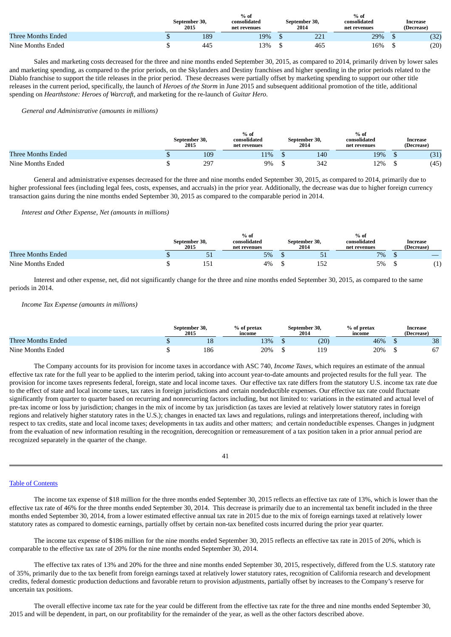|                    | September 30,<br>2015 |     | $%$ of<br>consolidated<br>net revenues | September 30.<br>2014 | $%$ of<br>consolidated<br>net revenues | Increase<br>(Decrease) |
|--------------------|-----------------------|-----|----------------------------------------|-----------------------|----------------------------------------|------------------------|
| Three Months Ended |                       | 189 | 19%                                    | ירי<br><u>__ _</u>    | 29%                                    | (32)                   |
| Nine Months Ended  |                       | 445 | 13%                                    | 465                   | 16%                                    | (20)                   |

Sales and marketing costs decreased for the three and nine months ended September 30, 2015, as compared to 2014, primarily driven by lower sales and marketing spending, as compared to the prior periods, on the Skylanders and Destiny franchises and higher spending in the prior periods related to the Diablo franchise to support the title releases in the prior period. These decreases were partially offset by marketing spending to support our other title releases in the current period, specifically, the launch of *Heroes of the Storm* in June 2015 and subsequent additional promotion of the title, additional spending on *Hearthstone: Heroes of Warcraft*, and marketing for the re-launch of *Guitar Hero*.

*General and Administrative (amounts in millions)*

|                    | September 30,<br>2015 | $%$ of<br>consolidated<br>net revenues | September 30,<br>2014 | $%$ of<br>consolidated<br>net revenues | Increase<br>(Decrease) |
|--------------------|-----------------------|----------------------------------------|-----------------------|----------------------------------------|------------------------|
| Three Months Ended | 109                   | 11%                                    | 140                   | 19%                                    | (31)                   |
| Nine Months Ended  | 297                   | 9%                                     | 342                   | 12%                                    | (45)                   |

General and administrative expenses decreased for the three and nine months ended September 30, 2015, as compared to 2014, primarily due to higher professional fees (including legal fees, costs, expenses, and accruals) in the prior year. Additionally, the decrease was due to higher foreign currency transaction gains during the nine months ended September 30, 2015 as compared to the comparable period in 2014.

*Interest and Other Expense, Net (amounts in millions)*

|                    | September 30,<br>2015 | $%$ of<br>consolidated<br>net revenues | September 30,<br>2014 | $%$ of<br>consolidated<br>net revenues | Increase<br>(Decrease) |
|--------------------|-----------------------|----------------------------------------|-----------------------|----------------------------------------|------------------------|
| Three Months Ended | JI                    | 5%                                     | 1 ب                   | 7%                                     | _                      |
| Nine Months Ended  | 151                   | 4%                                     | ר בו<br>⊥ل∠           | 5%                                     | $\left( 1\right)$      |

Interest and other expense, net, did not significantly change for the three and nine months ended September 30, 2015, as compared to the same periods in 2014.

*Income Tax Expense (amounts in millions)*

|                    | September 30,<br>2015 | % of pretax<br>income | September 30.<br>2014 | % of pretax<br>income | Increase<br>(Decrease) |
|--------------------|-----------------------|-----------------------|-----------------------|-----------------------|------------------------|
| Three Months Ended | 10                    | 13%                   | (20)                  | 46%                   | 38                     |
| Nine Months Ended  | 186                   | 20%                   | 1 C                   | 20%                   | $\sim$<br>b,           |

The Company accounts for its provision for income taxes in accordance with ASC 740, *Income Taxes*, which requires an estimate of the annual effective tax rate for the full year to be applied to the interim period, taking into account year-to-date amounts and projected results for the full year. The provision for income taxes represents federal, foreign, state and local income taxes. Our effective tax rate differs from the statutory U.S. income tax rate due to the effect of state and local income taxes, tax rates in foreign jurisdictions and certain nondeductible expenses. Our effective tax rate could fluctuate significantly from quarter to quarter based on recurring and nonrecurring factors including, but not limited to: variations in the estimated and actual level of pre-tax income or loss by jurisdiction; changes in the mix of income by tax jurisdiction (as taxes are levied at relatively lower statutory rates in foreign regions and relatively higher statutory rates in the U.S.); changes in enacted tax laws and regulations, rulings and interpretations thereof, including with respect to tax credits, state and local income taxes; developments in tax audits and other matters; and certain nondeductible expenses. Changes in judgment from the evaluation of new information resulting in the recognition, derecognition or remeasurement of a tax position taken in a prior annual period are recognized separately in the quarter of the change.

41

# Table of [Contents](#page-0-0)

The income tax expense of \$18 million for the three months ended September 30, 2015 reflects an effective tax rate of 13%, which is lower than the effective tax rate of 46% for the three months ended September 30, 2014. This decrease is primarily due to an incremental tax benefit included in the three months ended September 30, 2014, from a lower estimated effective annual tax rate in 2015 due to the mix of foreign earnings taxed at relatively lower statutory rates as compared to domestic earnings, partially offset by certain non-tax benefited costs incurred during the prior year quarter.

The income tax expense of \$186 million for the nine months ended September 30, 2015 reflects an effective tax rate in 2015 of 20%, which is comparable to the effective tax rate of 20% for the nine months ended September 30, 2014.

The effective tax rates of 13% and 20% for the three and nine months ended September 30, 2015, respectively, differed from the U.S. statutory rate of 35%, primarily due to the tax benefit from foreign earnings taxed at relatively lower statutory rates, recognition of California research and development credits, federal domestic production deductions and favorable return to provision adjustments, partially offset by increases to the Company's reserve for uncertain tax positions.

The overall effective income tax rate for the year could be different from the effective tax rate for the three and nine months ended September 30, 2015 and will be dependent, in part, on our profitability for the remainder of the year, as well as the other factors described above.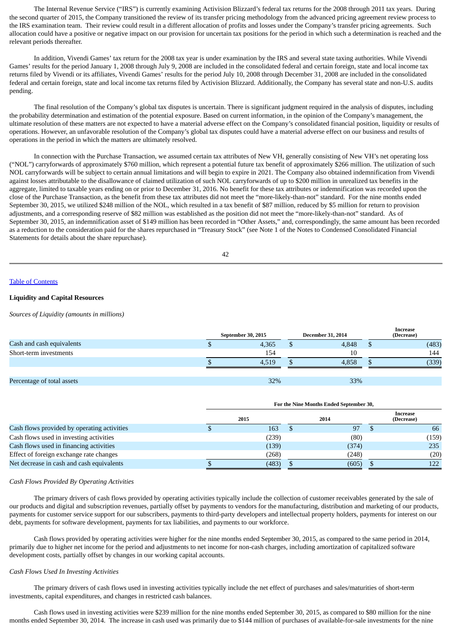The Internal Revenue Service ("IRS") is currently examining Activision Blizzard's federal tax returns for the 2008 through 2011 tax years. During the second quarter of 2015, the Company transitioned the review of its transfer pricing methodology from the advanced pricing agreement review process to the IRS examination team. Their review could result in a different allocation of profits and losses under the Company's transfer pricing agreements. Such allocation could have a positive or negative impact on our provision for uncertain tax positions for the period in which such a determination is reached and the relevant periods thereafter.

In addition, Vivendi Games' tax return for the 2008 tax year is under examination by the IRS and several state taxing authorities. While Vivendi Games' results for the period January 1, 2008 through July 9, 2008 are included in the consolidated federal and certain foreign, state and local income tax returns filed by Vivendi or its affiliates, Vivendi Games' results for the period July 10, 2008 through December 31, 2008 are included in the consolidated federal and certain foreign, state and local income tax returns filed by Activision Blizzard. Additionally, the Company has several state and non-U.S. audits pending.

The final resolution of the Company's global tax disputes is uncertain. There is significant judgment required in the analysis of disputes, including the probability determination and estimation of the potential exposure. Based on current information, in the opinion of the Company's management, the ultimate resolution of these matters are not expected to have a material adverse effect on the Company's consolidated financial position, liquidity or results of operations. However, an unfavorable resolution of the Company's global tax disputes could have a material adverse effect on our business and results of operations in the period in which the matters are ultimately resolved.

In connection with the Purchase Transaction, we assumed certain tax attributes of New VH, generally consisting of New VH's net operating loss ("NOL") carryforwards of approximately \$760 million, which represent a potential future tax benefit of approximately \$266 million. The utilization of such NOL carryforwards will be subject to certain annual limitations and will begin to expire in 2021. The Company also obtained indemnification from Vivendi against losses attributable to the disallowance of claimed utilization of such NOL carryforwards of up to \$200 million in unrealized tax benefits in the aggregate, limited to taxable years ending on or prior to December 31, 2016. No benefit for these tax attributes or indemnification was recorded upon the close of the Purchase Transaction, as the benefit from these tax attributes did not meet the "more-likely-than-not" standard. For the nine months ended September 30, 2015, we utilized \$248 million of the NOL, which resulted in a tax benefit of \$87 million, reduced by \$5 million for return to provision adjustments, and a corresponding reserve of \$82 million was established as the position did not meet the "more-likely-than-not" standard. As of September 30, 2015, an indemnification asset of \$149 million has been recorded in "Other Assets," and, correspondingly, the same amount has been recorded as a reduction to the consideration paid for the shares repurchased in "Treasury Stock" (see Note 1 of the Notes to Condensed Consolidated Financial Statements for details about the share repurchase).

42

#### Table of [Contents](#page-0-0)

# **Liquidity and Capital Resources**

*Sources of Liquidity (amounts in millions)*

|                            | September 30, 2015 | <b>December 31, 2014</b> | <b>Increase</b><br>(Decrease) |
|----------------------------|--------------------|--------------------------|-------------------------------|
| Cash and cash equivalents  | 4,365              | 4,848                    | (483)                         |
| Short-term investments     | 154                | 10                       | 144                           |
|                            | 4.519              | 4,858                    | (339)                         |
|                            |                    |                          |                               |
| Percentage of total assets | 32%                | 33%                      |                               |

|                                             | For the Nine Months Ended September 30, |  |       |  |                               |  |  |
|---------------------------------------------|-----------------------------------------|--|-------|--|-------------------------------|--|--|
|                                             | 2015                                    |  | 2014  |  | <b>Increase</b><br>(Decrease) |  |  |
| Cash flows provided by operating activities | 163                                     |  | 97    |  | 66                            |  |  |
| Cash flows used in investing activities     | (239)                                   |  | (80)  |  | (159)                         |  |  |
| Cash flows used in financing activities     | (139)                                   |  | (374) |  | 235                           |  |  |
| Effect of foreign exchange rate changes     | (268)                                   |  | (248) |  | (20)                          |  |  |
| Net decrease in cash and cash equivalents   | (483)                                   |  | (605) |  | 122.                          |  |  |

#### *Cash Flows Provided By Operating Activities*

The primary drivers of cash flows provided by operating activities typically include the collection of customer receivables generated by the sale of our products and digital and subscription revenues, partially offset by payments to vendors for the manufacturing, distribution and marketing of our products, payments for customer service support for our subscribers, payments to third-party developers and intellectual property holders, payments for interest on our debt, payments for software development, payments for tax liabilities, and payments to our workforce.

Cash flows provided by operating activities were higher for the nine months ended September 30, 2015, as compared to the same period in 2014, primarily due to higher net income for the period and adjustments to net income for non-cash charges, including amortization of capitalized software development costs, partially offset by changes in our working capital accounts.

# *Cash Flows Used In Investing Activities*

The primary drivers of cash flows used in investing activities typically include the net effect of purchases and sales/maturities of short-term investments, capital expenditures, and changes in restricted cash balances.

Cash flows used in investing activities were \$239 million for the nine months ended September 30, 2015, as compared to \$80 million for the nine months ended September 30, 2014. The increase in cash used was primarily due to \$144 million of purchases of available-for-sale investments for the nine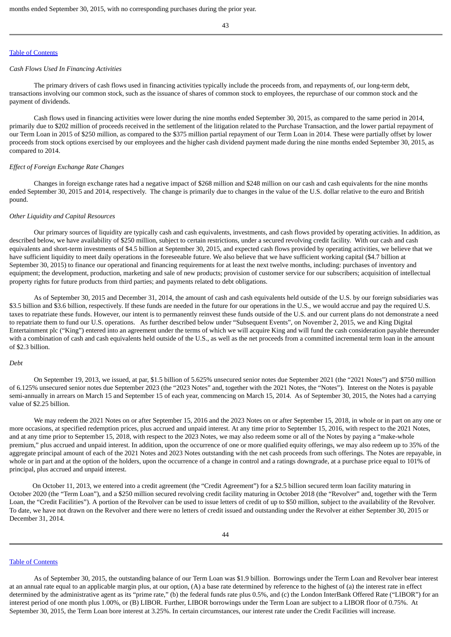# Table of [Contents](#page-0-0)

# *Cash Flows Used In Financing Activities*

The primary drivers of cash flows used in financing activities typically include the proceeds from, and repayments of, our long-term debt, transactions involving our common stock, such as the issuance of shares of common stock to employees, the repurchase of our common stock and the payment of dividends.

Cash flows used in financing activities were lower during the nine months ended September 30, 2015, as compared to the same period in 2014, primarily due to \$202 million of proceeds received in the settlement of the litigation related to the Purchase Transaction, and the lower partial repayment of our Term Loan in 2015 of \$250 million, as compared to the \$375 million partial repayment of our Term Loan in 2014. These were partially offset by lower proceeds from stock options exercised by our employees and the higher cash dividend payment made during the nine months ended September 30, 2015, as compared to 2014.

# *Effect of Foreign Exchange Rate Changes*

Changes in foreign exchange rates had a negative impact of \$268 million and \$248 million on our cash and cash equivalents for the nine months ended September 30, 2015 and 2014, respectively. The change is primarily due to changes in the value of the U.S. dollar relative to the euro and British pound.

# *Other Liquidity and Capital Resources*

Our primary sources of liquidity are typically cash and cash equivalents, investments, and cash flows provided by operating activities. In addition, as described below, we have availability of \$250 million, subject to certain restrictions, under a secured revolving credit facility. With our cash and cash equivalents and short-term investments of \$4.5 billion at September 30, 2015, and expected cash flows provided by operating activities, we believe that we have sufficient liquidity to meet daily operations in the foreseeable future. We also believe that we have sufficient working capital (\$4.7 billion at September 30, 2015) to finance our operational and financing requirements for at least the next twelve months, including: purchases of inventory and equipment; the development, production, marketing and sale of new products; provision of customer service for our subscribers; acquisition of intellectual property rights for future products from third parties; and payments related to debt obligations.

As of September 30, 2015 and December 31, 2014, the amount of cash and cash equivalents held outside of the U.S. by our foreign subsidiaries was \$3.5 billion and \$3.6 billion, respectively. If these funds are needed in the future for our operations in the U.S., we would accrue and pay the required U.S. taxes to repatriate these funds. However, our intent is to permanently reinvest these funds outside of the U.S. and our current plans do not demonstrate a need to repatriate them to fund our U.S. operations. As further described below under "Subsequent Events", on November 2, 2015, we and King Digital Entertainment plc ("King") entered into an agreement under the terms of which we will acquire King and will fund the cash consideration payable thereunder with a combination of cash and cash equivalents held outside of the U.S., as well as the net proceeds from a committed incremental term loan in the amount of \$2.3 billion.

#### *Debt*

On September 19, 2013, we issued, at par, \$1.5 billion of 5.625% unsecured senior notes due September 2021 (the "2021 Notes") and \$750 million of 6.125% unsecured senior notes due September 2023 (the "2023 Notes" and, together with the 2021 Notes, the "Notes"). Interest on the Notes is payable semi-annually in arrears on March 15 and September 15 of each year, commencing on March 15, 2014. As of September 30, 2015, the Notes had a carrying value of \$2.25 billion.

We may redeem the 2021 Notes on or after September 15, 2016 and the 2023 Notes on or after September 15, 2018, in whole or in part on any one or more occasions, at specified redemption prices, plus accrued and unpaid interest. At any time prior to September 15, 2016, with respect to the 2021 Notes, and at any time prior to September 15, 2018, with respect to the 2023 Notes, we may also redeem some or all of the Notes by paying a "make-whole premium," plus accrued and unpaid interest. In addition, upon the occurrence of one or more qualified equity offerings, we may also redeem up to 35% of the aggregate principal amount of each of the 2021 Notes and 2023 Notes outstanding with the net cash proceeds from such offerings. The Notes are repayable, in whole or in part and at the option of the holders, upon the occurrence of a change in control and a ratings downgrade, at a purchase price equal to 101% of principal, plus accrued and unpaid interest.

On October 11, 2013, we entered into a credit agreement (the "Credit Agreement") for a \$2.5 billion secured term loan facility maturing in October 2020 (the "Term Loan"), and a \$250 million secured revolving credit facility maturing in October 2018 (the "Revolver" and, together with the Term Loan, the "Credit Facilities"). A portion of the Revolver can be used to issue letters of credit of up to \$50 million, subject to the availability of the Revolver. To date, we have not drawn on the Revolver and there were no letters of credit issued and outstanding under the Revolver at either September 30, 2015 or December 31, 2014.

#### Table of [Contents](#page-0-0)

As of September 30, 2015, the outstanding balance of our Term Loan was \$1.9 billion. Borrowings under the Term Loan and Revolver bear interest at an annual rate equal to an applicable margin plus, at our option, (A) a base rate determined by reference to the highest of (a) the interest rate in effect determined by the administrative agent as its "prime rate," (b) the federal funds rate plus 0.5%, and (c) the London InterBank Offered Rate ("LIBOR") for an interest period of one month plus 1.00%, or (B) LIBOR. Further, LIBOR borrowings under the Term Loan are subject to a LIBOR floor of 0.75%. At September 30, 2015, the Term Loan bore interest at 3.25%. In certain circumstances, our interest rate under the Credit Facilities will increase.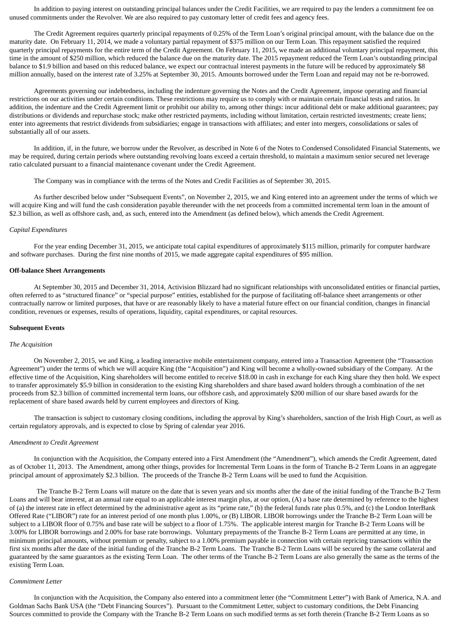In addition to paying interest on outstanding principal balances under the Credit Facilities, we are required to pay the lenders a commitment fee on unused commitments under the Revolver. We are also required to pay customary letter of credit fees and agency fees.

The Credit Agreement requires quarterly principal repayments of 0.25% of the Term Loan's original principal amount, with the balance due on the maturity date. On February 11, 2014, we made a voluntary partial repayment of \$375 million on our Term Loan. This repayment satisfied the required quarterly principal repayments for the entire term of the Credit Agreement. On February 11, 2015, we made an additional voluntary principal repayment, this time in the amount of \$250 million, which reduced the balance due on the maturity date. The 2015 repayment reduced the Term Loan's outstanding principal balance to \$1.9 billion and based on this reduced balance, we expect our contractual interest payments in the future will be reduced by approximately \$8 million annually, based on the interest rate of 3.25% at September 30, 2015. Amounts borrowed under the Term Loan and repaid may not be re-borrowed.

Agreements governing our indebtedness, including the indenture governing the Notes and the Credit Agreement, impose operating and financial restrictions on our activities under certain conditions. These restrictions may require us to comply with or maintain certain financial tests and ratios. In addition, the indenture and the Credit Agreement limit or prohibit our ability to, among other things: incur additional debt or make additional guarantees; pay distributions or dividends and repurchase stock; make other restricted payments, including without limitation, certain restricted investments; create liens; enter into agreements that restrict dividends from subsidiaries; engage in transactions with affiliates; and enter into mergers, consolidations or sales of substantially all of our assets.

In addition, if, in the future, we borrow under the Revolver, as described in Note 6 of the Notes to Condensed Consolidated Financial Statements, we may be required, during certain periods where outstanding revolving loans exceed a certain threshold, to maintain a maximum senior secured net leverage ratio calculated pursuant to a financial maintenance covenant under the Credit Agreement.

The Company was in compliance with the terms of the Notes and Credit Facilities as of September 30, 2015.

As further described below under "Subsequent Events", on November 2, 2015, we and King entered into an agreement under the terms of which we will acquire King and will fund the cash consideration payable thereunder with the net proceeds from a committed incremental term loan in the amount of \$2.3 billion, as well as offshore cash, and, as such, entered into the Amendment (as defined below), which amends the Credit Agreement.

# *Capital Expenditures*

For the year ending December 31, 2015, we anticipate total capital expenditures of approximately \$115 million, primarily for computer hardware and software purchases. During the first nine months of 2015, we made aggregate capital expenditures of \$95 million.

### **Off-balance Sheet Arrangements**

At September 30, 2015 and December 31, 2014, Activision Blizzard had no significant relationships with unconsolidated entities or financial parties, often referred to as "structured finance" or "special purpose" entities, established for the purpose of facilitating off-balance sheet arrangements or other contractually narrow or limited purposes, that have or are reasonably likely to have a material future effect on our financial condition, changes in financial condition, revenues or expenses, results of operations, liquidity, capital expenditures, or capital resources.

### **Subsequent Events**

### *The Acquisition*

On November 2, 2015, we and King, a leading interactive mobile entertainment company, entered into a Transaction Agreement (the "Transaction Agreement") under the terms of which we will acquire King (the "Acquisition") and King will become a wholly-owned subsidiary of the Company. At the effective time of the Acquisition, King shareholders will become entitled to receive \$18.00 in cash in exchange for each King share they then hold. We expect to transfer approximately \$5.9 billion in consideration to the existing King shareholders and share based award holders through a combination of the net proceeds from \$2.3 billion of committed incremental term loans, our offshore cash, and approximately \$200 million of our share based awards for the replacement of share based awards held by current employees and directors of King.

The transaction is subject to customary closing conditions, including the approval by King's shareholders, sanction of the Irish High Court, as well as certain regulatory approvals, and is expected to close by Spring of calendar year 2016.

# *Amendment to Credit Agreement*

In conjunction with the Acquisition, the Company entered into a First Amendment (the "Amendment"), which amends the Credit Agreement, dated as of October 11, 2013. The Amendment, among other things, provides for Incremental Term Loans in the form of Tranche B-2 Term Loans in an aggregate principal amount of approximately \$2.3 billion. The proceeds of the Tranche B-2 Term Loans will be used to fund the Acquisition.

The Tranche B-2 Term Loans will mature on the date that is seven years and six months after the date of the initial funding of the Tranche B-2 Term Loans and will bear interest, at an annual rate equal to an applicable interest margin plus, at our option, (A) a base rate determined by reference to the highest of (a) the interest rate in effect determined by the administrative agent as its "prime rate," (b) the federal funds rate plus 0.5%, and (c) the London InterBank Offered Rate ("LIBOR") rate for an interest period of one month plus 1.00%, or (B) LIBOR. LIBOR borrowings under the Tranche B-2 Term Loan will be subject to a LIBOR floor of 0.75% and base rate will be subject to a floor of 1.75%. The applicable interest margin for Tranche B-2 Term Loans will be 3.00% for LIBOR borrowings and 2.00% for base rate borrowings. Voluntary prepayments of the Tranche B-2 Term Loans are permitted at any time, in minimum principal amounts, without premium or penalty, subject to a 1.00% premium payable in connection with certain repricing transactions within the first six months after the date of the initial funding of the Tranche B-2 Term Loans. The Tranche B-2 Term Loans will be secured by the same collateral and guaranteed by the same guarantors as the existing Term Loan. The other terms of the Tranche B-2 Term Loans are also generally the same as the terms of the existing Term Loan.

#### *Commitment Letter*

In conjunction with the Acquisition, the Company also entered into a commitment letter (the "Commitment Letter") with Bank of America, N.A. and Goldman Sachs Bank USA (the "Debt Financing Sources"). Pursuant to the Commitment Letter, subject to customary conditions, the Debt Financing Sources committed to provide the Company with the Tranche B-2 Term Loans on such modified terms as set forth therein (Tranche B-2 Term Loans as so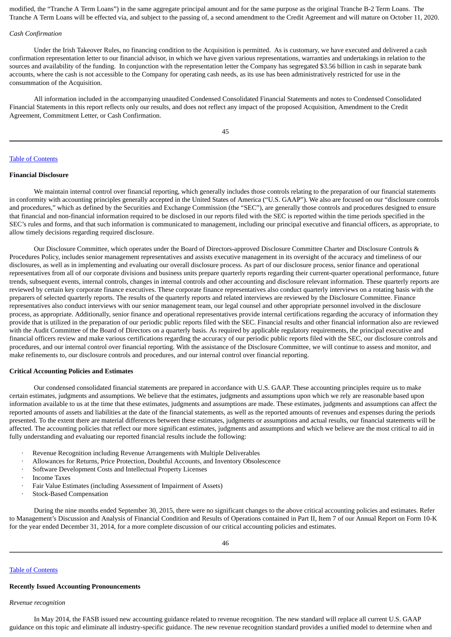modified, the "Tranche A Term Loans") in the same aggregate principal amount and for the same purpose as the original Tranche B-2 Term Loans. The Tranche A Term Loans will be effected via, and subject to the passing of, a second amendment to the Credit Agreement and will mature on October 11, 2020.

#### *Cash Confirmation*

Under the Irish Takeover Rules, no financing condition to the Acquisition is permitted. As is customary, we have executed and delivered a cash confirmation representation letter to our financial advisor, in which we have given various representations, warranties and undertakings in relation to the sources and availability of the funding. In conjunction with the representation letter the Company has segregated \$3.56 billion in cash in separate bank accounts, where the cash is not accessible to the Company for operating cash needs, as its use has been administratively restricted for use in the consummation of the Acquisition.

All information included in the accompanying unaudited Condensed Consolidated Financial Statements and notes to Condensed Consolidated Financial Statements in this report reflects only our results, and does not reflect any impact of the proposed Acquisition, Amendment to the Credit Agreement, Commitment Letter, or Cash Confirmation.

45

#### Table of [Contents](#page-0-0)

#### **Financial Disclosure**

We maintain internal control over financial reporting, which generally includes those controls relating to the preparation of our financial statements in conformity with accounting principles generally accepted in the United States of America ("U.S. GAAP"). We also are focused on our "disclosure controls and procedures," which as defined by the Securities and Exchange Commission (the "SEC"), are generally those controls and procedures designed to ensure that financial and non-financial information required to be disclosed in our reports filed with the SEC is reported within the time periods specified in the SEC's rules and forms, and that such information is communicated to management, including our principal executive and financial officers, as appropriate, to allow timely decisions regarding required disclosure.

Our Disclosure Committee, which operates under the Board of Directors-approved Disclosure Committee Charter and Disclosure Controls & Procedures Policy, includes senior management representatives and assists executive management in its oversight of the accuracy and timeliness of our disclosures, as well as in implementing and evaluating our overall disclosure process. As part of our disclosure process, senior finance and operational representatives from all of our corporate divisions and business units prepare quarterly reports regarding their current-quarter operational performance, future trends, subsequent events, internal controls, changes in internal controls and other accounting and disclosure relevant information. These quarterly reports are reviewed by certain key corporate finance executives. These corporate finance representatives also conduct quarterly interviews on a rotating basis with the preparers of selected quarterly reports. The results of the quarterly reports and related interviews are reviewed by the Disclosure Committee. Finance representatives also conduct interviews with our senior management team, our legal counsel and other appropriate personnel involved in the disclosure process, as appropriate. Additionally, senior finance and operational representatives provide internal certifications regarding the accuracy of information they provide that is utilized in the preparation of our periodic public reports filed with the SEC. Financial results and other financial information also are reviewed with the Audit Committee of the Board of Directors on a quarterly basis. As required by applicable regulatory requirements, the principal executive and financial officers review and make various certifications regarding the accuracy of our periodic public reports filed with the SEC, our disclosure controls and procedures, and our internal control over financial reporting. With the assistance of the Disclosure Committee, we will continue to assess and monitor, and make refinements to, our disclosure controls and procedures, and our internal control over financial reporting.

# **Critical Accounting Policies and Estimates**

Our condensed consolidated financial statements are prepared in accordance with U.S. GAAP. These accounting principles require us to make certain estimates, judgments and assumptions. We believe that the estimates, judgments and assumptions upon which we rely are reasonable based upon information available to us at the time that these estimates, judgments and assumptions are made. These estimates, judgments and assumptions can affect the reported amounts of assets and liabilities at the date of the financial statements, as well as the reported amounts of revenues and expenses during the periods presented. To the extent there are material differences between these estimates, judgments or assumptions and actual results, our financial statements will be affected. The accounting policies that reflect our more significant estimates, judgments and assumptions and which we believe are the most critical to aid in fully understanding and evaluating our reported financial results include the following:

- Revenue Recognition including Revenue Arrangements with Multiple Deliverables
- · Allowances for Returns, Price Protection, Doubtful Accounts, and Inventory Obsolescence
- Software Development Costs and Intellectual Property Licenses
- · Income Taxes
- Fair Value Estimates (including Assessment of Impairment of Assets)
- Stock-Based Compensation

During the nine months ended September 30, 2015, there were no significant changes to the above critical accounting policies and estimates. Refer to Management's Discussion and Analysis of Financial Condition and Results of Operations contained in Part II, Item 7 of our Annual Report on Form 10-K for the year ended December 31, 2014, for a more complete discussion of our critical accounting policies and estimates.

# Table of [Contents](#page-0-0)

#### **Recently Issued Accounting Pronouncements**

#### *Revenue recognition*

In May 2014, the FASB issued new accounting guidance related to revenue recognition. The new standard will replace all current U.S. GAAP guidance on this topic and eliminate all industry-specific guidance. The new revenue recognition standard provides a unified model to determine when and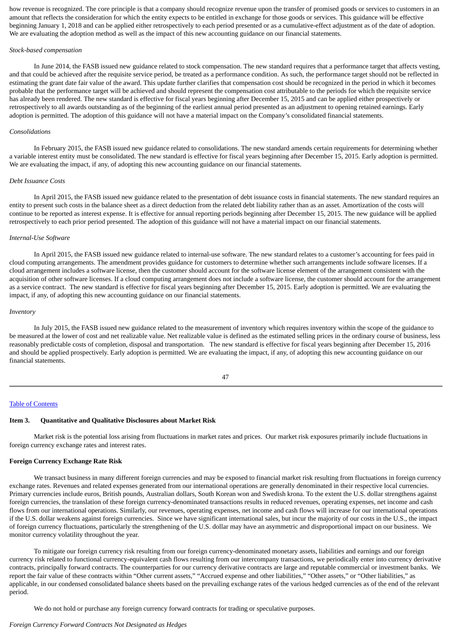how revenue is recognized. The core principle is that a company should recognize revenue upon the transfer of promised goods or services to customers in an amount that reflects the consideration for which the entity expects to be entitled in exchange for those goods or services. This guidance will be effective beginning January 1, 2018 and can be applied either retrospectively to each period presented or as a cumulative-effect adjustment as of the date of adoption. We are evaluating the adoption method as well as the impact of this new accounting guidance on our financial statements.

#### *Stock-based compensation*

In June 2014, the FASB issued new guidance related to stock compensation. The new standard requires that a performance target that affects vesting, and that could be achieved after the requisite service period, be treated as a performance condition. As such, the performance target should not be reflected in estimating the grant date fair value of the award. This update further clarifies that compensation cost should be recognized in the period in which it becomes probable that the performance target will be achieved and should represent the compensation cost attributable to the periods for which the requisite service has already been rendered. The new standard is effective for fiscal years beginning after December 15, 2015 and can be applied either prospectively or retrospectively to all awards outstanding as of the beginning of the earliest annual period presented as an adjustment to opening retained earnings. Early adoption is permitted. The adoption of this guidance will not have a material impact on the Company's consolidated financial statements.

#### *Consolidations*

In February 2015, the FASB issued new guidance related to consolidations. The new standard amends certain requirements for determining whether a variable interest entity must be consolidated. The new standard is effective for fiscal years beginning after December 15, 2015. Early adoption is permitted. We are evaluating the impact, if any, of adopting this new accounting guidance on our financial statements.

# *Debt Issuance Costs*

In April 2015, the FASB issued new guidance related to the presentation of debt issuance costs in financial statements. The new standard requires an entity to present such costs in the balance sheet as a direct deduction from the related debt liability rather than as an asset. Amortization of the costs will continue to be reported as interest expense. It is effective for annual reporting periods beginning after December 15, 2015. The new guidance will be applied retrospectively to each prior period presented. The adoption of this guidance will not have a material impact on our financial statements.

#### *Internal-Use Software*

In April 2015, the FASB issued new guidance related to internal-use software. The new standard relates to a customer's accounting for fees paid in cloud computing arrangements. The amendment provides guidance for customers to determine whether such arrangements include software licenses. If a cloud arrangement includes a software license, then the customer should account for the software license element of the arrangement consistent with the acquisition of other software licenses. If a cloud computing arrangement does not include a software license, the customer should account for the arrangement as a service contract. The new standard is effective for fiscal years beginning after December 15, 2015. Early adoption is permitted. We are evaluating the impact, if any, of adopting this new accounting guidance on our financial statements.

#### *Inventory*

In July 2015, the FASB issued new guidance related to the measurement of inventory which requires inventory within the scope of the guidance to be measured at the lower of cost and net realizable value. Net realizable value is defined as the estimated selling prices in the ordinary course of business, less reasonably predictable costs of completion, disposal and transportation. The new standard is effective for fiscal years beginning after December 15, 2016 and should be applied prospectively. Early adoption is permitted. We are evaluating the impact, if any, of adopting this new accounting guidance on our financial statements.

<span id="page-33-0"></span>47

#### Table of [Contents](#page-0-0)

# **Item 3. Quantitative and Qualitative Disclosures about Market Risk**

Market risk is the potential loss arising from fluctuations in market rates and prices. Our market risk exposures primarily include fluctuations in foreign currency exchange rates and interest rates.

# **Foreign Currency Exchange Rate Risk**

We transact business in many different foreign currencies and may be exposed to financial market risk resulting from fluctuations in foreign currency exchange rates. Revenues and related expenses generated from our international operations are generally denominated in their respective local currencies. Primary currencies include euros, British pounds, Australian dollars, South Korean won and Swedish krona. To the extent the U.S. dollar strengthens against foreign currencies, the translation of these foreign currency-denominated transactions results in reduced revenues, operating expenses, net income and cash flows from our international operations. Similarly, our revenues, operating expenses, net income and cash flows will increase for our international operations if the U.S. dollar weakens against foreign currencies. Since we have significant international sales, but incur the majority of our costs in the U.S., the impact of foreign currency fluctuations, particularly the strengthening of the U.S. dollar may have an asymmetric and disproportional impact on our business. We monitor currency volatility throughout the year.

To mitigate our foreign currency risk resulting from our foreign currency-denominated monetary assets, liabilities and earnings and our foreign currency risk related to functional currency-equivalent cash flows resulting from our intercompany transactions, we periodically enter into currency derivative contracts, principally forward contracts. The counterparties for our currency derivative contracts are large and reputable commercial or investment banks. We report the fair value of these contracts within "Other current assets," "Accrued expense and other liabilities," "Other assets," or "Other liabilities," as applicable, in our condensed consolidated balance sheets based on the prevailing exchange rates of the various hedged currencies as of the end of the relevant period.

We do not hold or purchase any foreign currency forward contracts for trading or speculative purposes.

# *Foreign Currency Forward Contracts Not Designated as Hedges*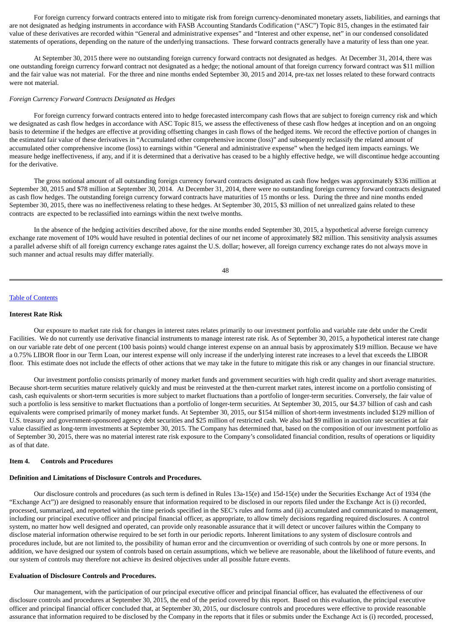For foreign currency forward contracts entered into to mitigate risk from foreign currency-denominated monetary assets, liabilities, and earnings that are not designated as hedging instruments in accordance with FASB Accounting Standards Codification ("ASC") Topic 815, changes in the estimated fair value of these derivatives are recorded within "General and administrative expenses" and "Interest and other expense, net" in our condensed consolidated statements of operations, depending on the nature of the underlying transactions. These forward contracts generally have a maturity of less than one year.

At September 30, 2015 there were no outstanding foreign currency forward contracts not designated as hedges. At December 31, 2014, there was one outstanding foreign currency forward contract not designated as a hedge; the notional amount of that foreign currency forward contract was \$11 million and the fair value was not material. For the three and nine months ended September 30, 2015 and 2014, pre-tax net losses related to these forward contracts were not material.

#### *Foreign Currency Forward Contracts Designated as Hedges*

For foreign currency forward contracts entered into to hedge forecasted intercompany cash flows that are subject to foreign currency risk and which we designated as cash flow hedges in accordance with ASC Topic 815, we assess the effectiveness of these cash flow hedges at inception and on an ongoing basis to determine if the hedges are effective at providing offsetting changes in cash flows of the hedged items. We record the effective portion of changes in the estimated fair value of these derivatives in "Accumulated other comprehensive income (loss)" and subsequently reclassify the related amount of accumulated other comprehensive income (loss) to earnings within "General and administrative expense" when the hedged item impacts earnings. We measure hedge ineffectiveness, if any, and if it is determined that a derivative has ceased to be a highly effective hedge, we will discontinue hedge accounting for the derivative.

The gross notional amount of all outstanding foreign currency forward contracts designated as cash flow hedges was approximately \$336 million at September 30, 2015 and \$78 million at September 30, 2014. At December 31, 2014, there were no outstanding foreign currency forward contracts designated as cash flow hedges. The outstanding foreign currency forward contracts have maturities of 15 months or less. During the three and nine months ended September 30, 2015, there was no ineffectiveness relating to these hedges. At September 30, 2015, \$3 million of net unrealized gains related to these contracts are expected to be reclassified into earnings within the next twelve months.

In the absence of the hedging activities described above, for the nine months ended September 30, 2015, a hypothetical adverse foreign currency exchange rate movement of 10% would have resulted in potential declines of our net income of approximately \$82 million. This sensitivity analysis assumes a parallel adverse shift of all foreign currency exchange rates against the U.S. dollar; however, all foreign currency exchange rates do not always move in such manner and actual results may differ materially.

48

## Table of [Contents](#page-0-0)

#### **Interest Rate Risk**

Our exposure to market rate risk for changes in interest rates relates primarily to our investment portfolio and variable rate debt under the Credit Facilities. We do not currently use derivative financial instruments to manage interest rate risk. As of September 30, 2015, a hypothetical interest rate change on our variable rate debt of one percent (100 basis points) would change interest expense on an annual basis by approximately \$19 million. Because we have a 0.75% LIBOR floor in our Term Loan, our interest expense will only increase if the underlying interest rate increases to a level that exceeds the LIBOR floor. This estimate does not include the effects of other actions that we may take in the future to mitigate this risk or any changes in our financial structure.

Our investment portfolio consists primarily of money market funds and government securities with high credit quality and short average maturities. Because short-term securities mature relatively quickly and must be reinvested at the then-current market rates, interest income on a portfolio consisting of cash, cash equivalents or short-term securities is more subject to market fluctuations than a portfolio of longer-term securities. Conversely, the fair value of such a portfolio is less sensitive to market fluctuations than a portfolio of longer-term securities. At September 30, 2015, our \$4.37 billion of cash and cash equivalents were comprised primarily of money market funds. At September 30, 2015, our \$154 million of short-term investments included \$129 million of U.S. treasury and government-sponsored agency debt securities and \$25 million of restricted cash. We also had \$9 million in auction rate securities at fair value classified as long-term investments at September 30, 2015. The Company has determined that, based on the composition of our investment portfolio as of September 30, 2015, there was no material interest rate risk exposure to the Company's consolidated financial condition, results of operations or liquidity as of that date.

#### <span id="page-34-0"></span>**Item 4. Controls and Procedures**

# **Definition and Limitations of Disclosure Controls and Procedures.**

Our disclosure controls and procedures (as such term is defined in Rules 13a-15(e) and 15d-15(e) under the Securities Exchange Act of 1934 (the "Exchange Act")) are designed to reasonably ensure that information required to be disclosed in our reports filed under the Exchange Act is (i) recorded, processed, summarized, and reported within the time periods specified in the SEC's rules and forms and (ii) accumulated and communicated to management, including our principal executive officer and principal financial officer, as appropriate, to allow timely decisions regarding required disclosures. A control system, no matter how well designed and operated, can provide only reasonable assurance that it will detect or uncover failures within the Company to disclose material information otherwise required to be set forth in our periodic reports. Inherent limitations to any system of disclosure controls and procedures include, but are not limited to, the possibility of human error and the circumvention or overriding of such controls by one or more persons. In addition, we have designed our system of controls based on certain assumptions, which we believe are reasonable, about the likelihood of future events, and our system of controls may therefore not achieve its desired objectives under all possible future events.

# **Evaluation of Disclosure Controls and Procedures.**

Our management, with the participation of our principal executive officer and principal financial officer, has evaluated the effectiveness of our disclosure controls and procedures at September 30, 2015, the end of the period covered by this report. Based on this evaluation, the principal executive officer and principal financial officer concluded that, at September 30, 2015, our disclosure controls and procedures were effective to provide reasonable assurance that information required to be disclosed by the Company in the reports that it files or submits under the Exchange Act is (i) recorded, processed,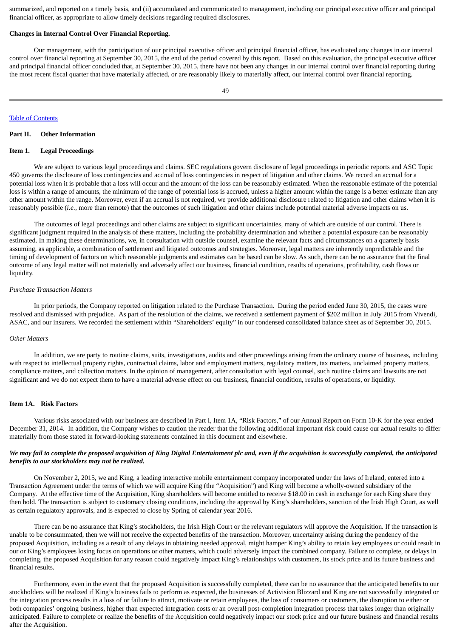summarized, and reported on a timely basis, and (ii) accumulated and communicated to management, including our principal executive officer and principal financial officer, as appropriate to allow timely decisions regarding required disclosures.

#### **Changes in Internal Control Over Financial Reporting.**

Our management, with the participation of our principal executive officer and principal financial officer, has evaluated any changes in our internal control over financial reporting at September 30, 2015, the end of the period covered by this report. Based on this evaluation, the principal executive officer and principal financial officer concluded that, at September 30, 2015, there have not been any changes in our internal control over financial reporting during the most recent fiscal quarter that have materially affected, or are reasonably likely to materially affect, our internal control over financial reporting.

#### Table of [Contents](#page-0-0)

### <span id="page-35-0"></span>**Part II. Other Information**

## <span id="page-35-1"></span>**Item 1. Legal Proceedings**

We are subject to various legal proceedings and claims. SEC regulations govern disclosure of legal proceedings in periodic reports and ASC Topic 450 governs the disclosure of loss contingencies and accrual of loss contingencies in respect of litigation and other claims. We record an accrual for a potential loss when it is probable that a loss will occur and the amount of the loss can be reasonably estimated. When the reasonable estimate of the potential loss is within a range of amounts, the minimum of the range of potential loss is accrued, unless a higher amount within the range is a better estimate than any other amount within the range. Moreover, even if an accrual is not required, we provide additional disclosure related to litigation and other claims when it is reasonably possible (*i.e.*, more than remote) that the outcomes of such litigation and other claims include potential material adverse impacts on us.

The outcomes of legal proceedings and other claims are subject to significant uncertainties, many of which are outside of our control. There is significant judgment required in the analysis of these matters, including the probability determination and whether a potential exposure can be reasonably estimated. In making these determinations, we, in consultation with outside counsel, examine the relevant facts and circumstances on a quarterly basis assuming, as applicable, a combination of settlement and litigated outcomes and strategies. Moreover, legal matters are inherently unpredictable and the timing of development of factors on which reasonable judgments and estimates can be based can be slow. As such, there can be no assurance that the final outcome of any legal matter will not materially and adversely affect our business, financial condition, results of operations, profitability, cash flows or liquidity.

#### *Purchase Transaction Matters*

In prior periods, the Company reported on litigation related to the Purchase Transaction. During the period ended June 30, 2015, the cases were resolved and dismissed with prejudice. As part of the resolution of the claims, we received a settlement payment of \$202 million in July 2015 from Vivendi, ASAC, and our insurers. We recorded the settlement within "Shareholders' equity" in our condensed consolidated balance sheet as of September 30, 2015.

#### *Other Matters*

In addition, we are party to routine claims, suits, investigations, audits and other proceedings arising from the ordinary course of business, including with respect to intellectual property rights, contractual claims, labor and employment matters, regulatory matters, tax matters, unclaimed property matters, compliance matters, and collection matters. In the opinion of management, after consultation with legal counsel, such routine claims and lawsuits are not significant and we do not expect them to have a material adverse effect on our business, financial condition, results of operations, or liquidity.

#### <span id="page-35-2"></span>**Item 1A. Risk Factors**

Various risks associated with our business are described in Part I, Item 1A, "Risk Factors," of our Annual Report on Form 10-K for the year ended December 31, 2014. In addition, the Company wishes to caution the reader that the following additional important risk could cause our actual results to differ materially from those stated in forward-looking statements contained in this document and elsewhere.

# We may fail to complete the proposed acquisition of King Digital Entertainment plc and, even if the acquisition is successfully completed, the anticipated *benefits to our stockholders may not be realized.*

On November 2, 2015, we and King, a leading interactive mobile entertainment company incorporated under the laws of Ireland, entered into a Transaction Agreement under the terms of which we will acquire King (the "Acquisition") and King will become a wholly-owned subsidiary of the Company. At the effective time of the Acquisition, King shareholders will become entitled to receive \$18.00 in cash in exchange for each King share they then hold. The transaction is subject to customary closing conditions, including the approval by King's shareholders, sanction of the Irish High Court, as well as certain regulatory approvals, and is expected to close by Spring of calendar year 2016.

There can be no assurance that King's stockholders, the Irish High Court or the relevant regulators will approve the Acquisition. If the transaction is unable to be consummated, then we will not receive the expected benefits of the transaction. Moreover, uncertainty arising during the pendency of the proposed Acquisition, including as a result of any delays in obtaining needed approval, might hamper King's ability to retain key employees or could result in our or King's employees losing focus on operations or other matters, which could adversely impact the combined company. Failure to complete, or delays in completing, the proposed Acquisition for any reason could negatively impact King's relationships with customers, its stock price and its future business and financial results.

Furthermore, even in the event that the proposed Acquisition is successfully completed, there can be no assurance that the anticipated benefits to our stockholders will be realized if King's business fails to perform as expected, the businesses of Activision Blizzard and King are not successfully integrated or the integration process results in a loss of or failure to attract, motivate or retain employees, the loss of consumers or customers, the disruption to either or both companies' ongoing business, higher than expected integration costs or an overall post-completion integration process that takes longer than originally anticipated. Failure to complete or realize the benefits of the Acquisition could negatively impact our stock price and our future business and financial results after the Acquisition.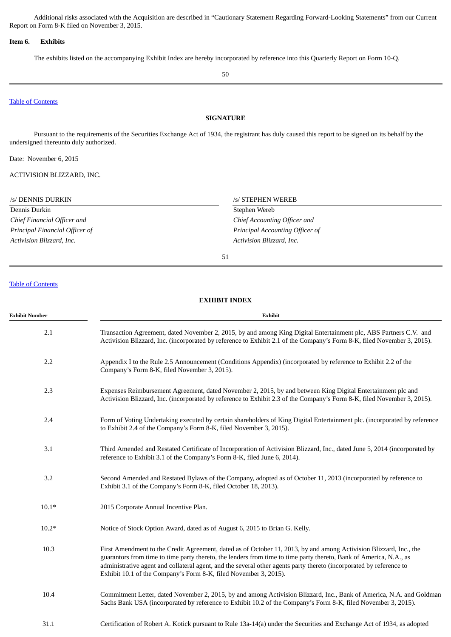Additional risks associated with the Acquisition are described in "Cautionary Statement Regarding Forward-Looking Statements" from our Current Report on Form 8-K filed on November 3, 2015.

#### **Item 6. Exhibits**

<span id="page-36-0"></span>The exhibits listed on the accompanying Exhibit Index are hereby incorporated by reference into this Quarterly Report on Form 10-Q.

# Table of [Contents](#page-0-0)

### <span id="page-36-1"></span>**SIGNATURE**

Pursuant to the requirements of the Securities Exchange Act of 1934, the registrant has duly caused this report to be signed on its behalf by the undersigned thereunto duly authorized.

Date: November 6, 2015

ACTIVISION BLIZZARD, INC.

| /s/ DENNIS DURKIN              | /s/ STEPHEN WEREB               |
|--------------------------------|---------------------------------|
| Dennis Durkin                  | Stephen Wereb                   |
| Chief Financial Officer and    | Chief Accounting Officer and    |
| Principal Financial Officer of | Principal Accounting Officer of |
| Activision Blizzard, Inc.      | Activision Blizzard, Inc.       |
|                                |                                 |

<span id="page-36-2"></span>51

# Table of [Contents](#page-0-0)

# **EXHIBIT INDEX**

| <b>Exhibit Number</b> | <b>Exhibit</b>                                                                                                                                                                                                                                                                                                                                                                                                                      |  |  |  |  |  |  |  |  |
|-----------------------|-------------------------------------------------------------------------------------------------------------------------------------------------------------------------------------------------------------------------------------------------------------------------------------------------------------------------------------------------------------------------------------------------------------------------------------|--|--|--|--|--|--|--|--|
| 2.1                   | Transaction Agreement, dated November 2, 2015, by and among King Digital Entertainment plc, ABS Partners C.V. and<br>Activision Blizzard, Inc. (incorporated by reference to Exhibit 2.1 of the Company's Form 8-K, filed November 3, 2015).                                                                                                                                                                                        |  |  |  |  |  |  |  |  |
| 2.2                   | Appendix I to the Rule 2.5 Announcement (Conditions Appendix) (incorporated by reference to Exhibit 2.2 of the<br>Company's Form 8-K, filed November 3, 2015).                                                                                                                                                                                                                                                                      |  |  |  |  |  |  |  |  |
| 2.3                   | Expenses Reimbursement Agreement, dated November 2, 2015, by and between King Digital Entertainment plc and<br>Activision Blizzard, Inc. (incorporated by reference to Exhibit 2.3 of the Company's Form 8-K, filed November 3, 2015).                                                                                                                                                                                              |  |  |  |  |  |  |  |  |
| 2.4                   | Form of Voting Undertaking executed by certain shareholders of King Digital Entertainment plc. (incorporated by reference<br>to Exhibit 2.4 of the Company's Form 8-K, filed November 3, 2015).                                                                                                                                                                                                                                     |  |  |  |  |  |  |  |  |
| 3.1                   | Third Amended and Restated Certificate of Incorporation of Activision Blizzard, Inc., dated June 5, 2014 (incorporated by<br>reference to Exhibit 3.1 of the Company's Form 8-K, filed June 6, 2014).                                                                                                                                                                                                                               |  |  |  |  |  |  |  |  |
| 3.2                   | Second Amended and Restated Bylaws of the Company, adopted as of October 11, 2013 (incorporated by reference to<br>Exhibit 3.1 of the Company's Form 8-K, filed October 18, 2013).                                                                                                                                                                                                                                                  |  |  |  |  |  |  |  |  |
| $10.1*$               | 2015 Corporate Annual Incentive Plan.                                                                                                                                                                                                                                                                                                                                                                                               |  |  |  |  |  |  |  |  |
| $10.2*$               | Notice of Stock Option Award, dated as of August 6, 2015 to Brian G. Kelly.                                                                                                                                                                                                                                                                                                                                                         |  |  |  |  |  |  |  |  |
| 10.3                  | First Amendment to the Credit Agreement, dated as of October 11, 2013, by and among Activision Blizzard, Inc., the<br>guarantors from time to time party thereto, the lenders from time to time party thereto, Bank of America, N.A., as<br>administrative agent and collateral agent, and the several other agents party thereto (incorporated by reference to<br>Exhibit 10.1 of the Company's Form 8-K, filed November 3, 2015). |  |  |  |  |  |  |  |  |
| 10.4                  | Commitment Letter, dated November 2, 2015, by and among Activision Blizzard, Inc., Bank of America, N.A. and Goldman<br>Sachs Bank USA (incorporated by reference to Exhibit 10.2 of the Company's Form 8-K, filed November 3, 2015).                                                                                                                                                                                               |  |  |  |  |  |  |  |  |
| 31.1                  | Certification of Robert A. Kotick pursuant to Rule 13a-14(a) under the Securities and Exchange Act of 1934, as adopted                                                                                                                                                                                                                                                                                                              |  |  |  |  |  |  |  |  |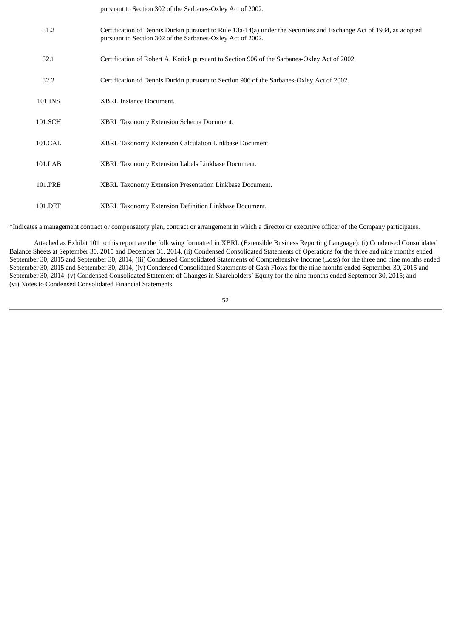|         | pursuant to Section 302 of the Sarbanes-Oxley Act of 2002.                                                                                                                        |
|---------|-----------------------------------------------------------------------------------------------------------------------------------------------------------------------------------|
| 31.2    | Certification of Dennis Durkin pursuant to Rule 13a-14(a) under the Securities and Exchange Act of 1934, as adopted<br>pursuant to Section 302 of the Sarbanes-Oxley Act of 2002. |
| 32.1    | Certification of Robert A. Kotick pursuant to Section 906 of the Sarbanes-Oxley Act of 2002.                                                                                      |
| 32.2    | Certification of Dennis Durkin pursuant to Section 906 of the Sarbanes-Oxley Act of 2002.                                                                                         |
| 101.INS | XBRL Instance Document.                                                                                                                                                           |
| 101.SCH | XBRL Taxonomy Extension Schema Document.                                                                                                                                          |
| 101.CAL | XBRL Taxonomy Extension Calculation Linkbase Document.                                                                                                                            |
| 101.LAB | XBRL Taxonomy Extension Labels Linkbase Document.                                                                                                                                 |
| 101.PRE | XBRL Taxonomy Extension Presentation Linkbase Document.                                                                                                                           |
| 101.DEF | XBRL Taxonomy Extension Definition Linkbase Document.                                                                                                                             |

\*Indicates a management contract or compensatory plan, contract or arrangement in which a director or executive officer of the Company participates.

Attached as Exhibit 101 to this report are the following formatted in XBRL (Extensible Business Reporting Language): (i) Condensed Consolidated Balance Sheets at September 30, 2015 and December 31, 2014, (ii) Condensed Consolidated Statements of Operations for the three and nine months ended September 30, 2015 and September 30, 2014, (iii) Condensed Consolidated Statements of Comprehensive Income (Loss) for the three and nine months ended September 30, 2015 and September 30, 2014, (iv) Condensed Consolidated Statements of Cash Flows for the nine months ended September 30, 2015 and September 30, 2014; (v) Condensed Consolidated Statement of Changes in Shareholders' Equity for the nine months ended September 30, 2015; and (vi) Notes to Condensed Consolidated Financial Statements.

52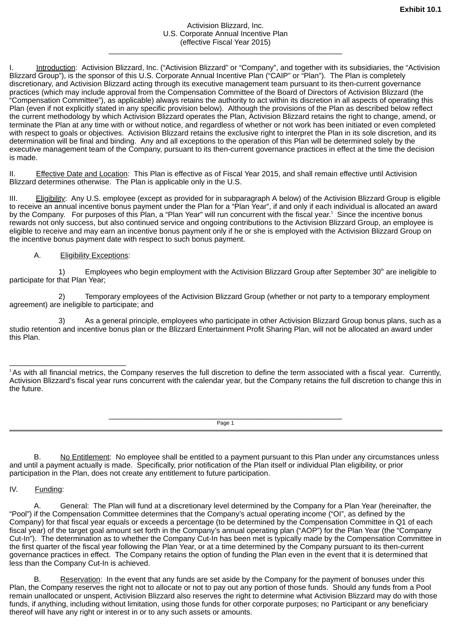# Activision Blizzard, Inc. U.S. Corporate Annual Incentive Plan (effective Fiscal Year 2015) \_\_\_\_\_\_\_\_\_\_\_\_\_\_\_\_\_\_\_\_\_\_\_\_\_\_\_\_\_\_\_\_\_\_\_\_\_\_\_\_\_\_\_\_\_\_\_\_\_\_\_\_\_\_\_\_

I. Introduction: Activision Blizzard, Inc. ("Activision Blizzard" or "Company", and together with its subsidiaries, the "Activision Blizzard Group"), is the sponsor of this U.S. Corporate Annual Incentive Plan ("CAIP" or "Plan"). The Plan is completely discretionary, and Activision Blizzard acting through its executive management team pursuant to its then-current governance practices (which may include approval from the Compensation Committee of the Board of Directors of Activision Blizzard (the "Compensation Committee"), as applicable) always retains the authority to act within its discretion in all aspects of operating this Plan (even if not explicitly stated in any specific provision below). Although the provisions of the Plan as described below reflect the current methodology by which Activision Blizzard operates the Plan, Activision Blizzard retains the right to change, amend, or terminate the Plan at any time with or without notice, and regardless of whether or not work has been initiated or even completed with respect to goals or objectives. Activision Blizzard retains the exclusive right to interpret the Plan in its sole discretion, and its determination will be final and binding. Any and all exceptions to the operation of this Plan will be determined solely by the executive management team of the Company, pursuant to its then-current governance practices in effect at the time the decision is made.

II. Effective Date and Location: This Plan is effective as of Fiscal Year 2015, and shall remain effective until Activision Blizzard determines otherwise. The Plan is applicable only in the U.S.

III. Eligibility: Any U.S. employee (except as provided for in subparagraph A below) of the Activision Blizzard Group is eligible to receive an annual incentive bonus payment under the Plan for a "Plan Year", if and only if each individual is allocated an award by the Company. For purposes of this Plan, a "Plan Year" will run concurrent with the fiscal year. $^1$  Since the incentive bonus rewards not only success, but also continued service and ongoing contributions to the Activision Blizzard Group, an employee is eligible to receive and may earn an incentive bonus payment only if he or she is employed with the Activision Blizzard Group on the incentive bonus payment date with respect to such bonus payment.

# A. **Eligibility Exceptions:**

1) Employees who begin employment with the Activision Blizzard Group after September  $30<sup>th</sup>$  are ineligible to participate for that Plan Year;

2) Temporary employees of the Activision Blizzard Group (whether or not party to a temporary employment agreement) are ineligible to participate; and

3) As a general principle, employees who participate in other Activision Blizzard Group bonus plans, such as a studio retention and incentive bonus plan or the Blizzard Entertainment Profit Sharing Plan, will not be allocated an award under this Plan.

<sup>1</sup>As with all financial metrics, the Company reserves the full discretion to define the term associated with a fiscal year. Currently, Activision Blizzard's fiscal year runs concurrent with the calendar year, but the Company retains the full discretion to change this in the future.

> \_\_\_\_\_\_\_\_\_\_\_\_\_\_\_\_\_\_\_\_\_\_\_\_\_\_\_\_\_\_\_\_\_\_\_\_\_\_\_\_\_\_\_\_\_\_\_\_\_\_\_\_\_\_\_\_ Page 1

No Entitlement: No employee shall be entitled to a payment pursuant to this Plan under any circumstances unless and until a payment actually is made. Specifically, prior notification of the Plan itself or individual Plan eligibility, or prior participation in the Plan, does not create any entitlement to future participation.

# IV. Funding:

General: The Plan will fund at a discretionary level determined by the Company for a Plan Year (hereinafter, the "Pool") if the Compensation Committee determines that the Company's actual operating income ("OI", as defined by the Company) for that fiscal year equals or exceeds a percentage (to be determined by the Compensation Committee in Q1 of each fiscal year) of the target goal amount set forth in the Company's annual operating plan ("AOP") for the Plan Year (the "Company Cut-In"). The determination as to whether the Company Cut-In has been met is typically made by the Compensation Committee in the first quarter of the fiscal year following the Plan Year, or at a time determined by the Company pursuant to its then-current governance practices in effect. The Company retains the option of funding the Plan even in the event that it is determined that less than the Company Cut-In is achieved.

B. Reservation: In the event that any funds are set aside by the Company for the payment of bonuses under this Plan, the Company reserves the right not to allocate or not to pay out any portion of those funds. Should any funds from a Pool remain unallocated or unspent, Activision Blizzard also reserves the right to determine what Activision Blizzard may do with those funds, if anything, including without limitation, using those funds for other corporate purposes; no Participant or any beneficiary thereof will have any right or interest in or to any such assets or amounts.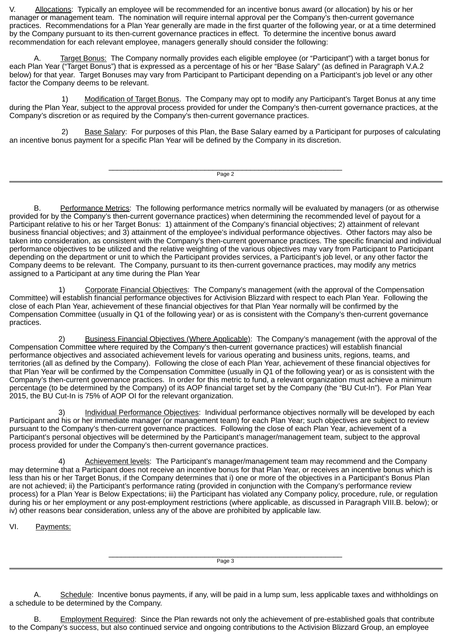V. Allocations: Typically an employee will be recommended for an incentive bonus award (or allocation) by his or her manager or management team. The nomination will require internal approval per the Company's then-current governance practices. Recommendations for a Plan Year generally are made in the first quarter of the following year, or at a time determined by the Company pursuant to its then-current governance practices in effect. To determine the incentive bonus award recommendation for each relevant employee, managers generally should consider the following:

Target Bonus: The Company normally provides each eligible employee (or "Participant") with a target bonus for each Plan Year ("Target Bonus") that is expressed as a percentage of his or her "Base Salary" (as defined in Paragraph V.A.2 below) for that year. Target Bonuses may vary from Participant to Participant depending on a Participant's job level or any other factor the Company deems to be relevant.

1) Modification of Target Bonus. The Company may opt to modify any Participant's Target Bonus at any time during the Plan Year, subject to the approval process provided for under the Company's then-current governance practices, at the Company's discretion or as required by the Company's then-current governance practices.

2) Base Salary: For purposes of this Plan, the Base Salary earned by a Participant for purposes of calculating an incentive bonus payment for a specific Plan Year will be defined by the Company in its discretion.

> \_\_\_\_\_\_\_\_\_\_\_\_\_\_\_\_\_\_\_\_\_\_\_\_\_\_\_\_\_\_\_\_\_\_\_\_\_\_\_\_\_\_\_\_\_\_\_\_\_\_\_\_\_\_\_\_ Page 2

B. Performance Metrics: The following performance metrics normally will be evaluated by managers (or as otherwise provided for by the Company's then-current governance practices) when determining the recommended level of payout for a Participant relative to his or her Target Bonus: 1) attainment of the Company's financial objectives; 2) attainment of relevant business financial objectives; and 3) attainment of the employee's individual performance objectives. Other factors may also be taken into consideration, as consistent with the Company's then-current governance practices. The specific financial and individual performance objectives to be utilized and the relative weighting of the various objectives may vary from Participant to Participant depending on the department or unit to which the Participant provides services, a Participant's job level, or any other factor the Company deems to be relevant. The Company, pursuant to its then-current governance practices, may modify any metrics assigned to a Participant at any time during the Plan Year

1) Corporate Financial Objectives: The Company's management (with the approval of the Compensation Committee) will establish financial performance objectives for Activision Blizzard with respect to each Plan Year. Following the close of each Plan Year, achievement of these financial objectives for that Plan Year normally will be confirmed by the Compensation Committee (usually in Q1 of the following year) or as is consistent with the Company's then-current governance practices.

2) Business Financial Objectives (Where Applicable): The Company's management (with the approval of the Compensation Committee where required by the Company's then-current governance practices) will establish financial performance objectives and associated achievement levels for various operating and business units, regions, teams, and territories (all as defined by the Company). Following the close of each Plan Year, achievement of these financial objectives for that Plan Year will be confirmed by the Compensation Committee (usually in Q1 of the following year) or as is consistent with the Company's then-current governance practices. In order for this metric to fund, a relevant organization must achieve a minimum percentage (to be determined by the Company) of its AOP financial target set by the Company (the "BU Cut-In"). For Plan Year 2015, the BU Cut-In is 75% of AOP OI for the relevant organization.

Individual Performance Objectives: Individual performance objectives normally will be developed by each Participant and his or her immediate manager (or management team) for each Plan Year; such objectives are subject to review pursuant to the Company's then-current governance practices. Following the close of each Plan Year, achievement of a Participant's personal objectives will be determined by the Participant's manager/management team, subject to the approval process provided for under the Company's then-current governance practices.

4) Achievement levels: The Participant's manager/management team may recommend and the Company may determine that a Participant does not receive an incentive bonus for that Plan Year, or receives an incentive bonus which is less than his or her Target Bonus, if the Company determines that i) one or more of the objectives in a Participant's Bonus Plan are not achieved; ii) the Participant's performance rating (provided in conjunction with the Company's performance review process) for a Plan Year is Below Expectations; iii) the Participant has violated any Company policy, procedure, rule, or regulation during his or her employment or any post-employment restrictions (where applicable, as discussed in Paragraph VIII.B. below); or iv) other reasons bear consideration, unless any of the above are prohibited by applicable law.

VI. Payments:

\_\_\_\_\_\_\_\_\_\_\_\_\_\_\_\_\_\_\_\_\_\_\_\_\_\_\_\_\_\_\_\_\_\_\_\_\_\_\_\_\_\_\_\_\_\_\_\_\_\_\_\_\_\_\_\_ Page 3

A. Schedule: Incentive bonus payments, if any, will be paid in a lump sum, less applicable taxes and withholdings on a schedule to be determined by the Company.

B. Employment Required: Since the Plan rewards not only the achievement of pre-established goals that contribute to the Company's success, but also continued service and ongoing contributions to the Activision Blizzard Group, an employee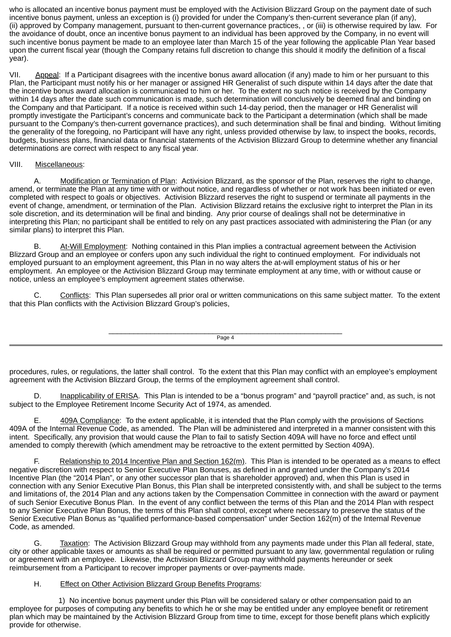who is allocated an incentive bonus payment must be employed with the Activision Blizzard Group on the payment date of such incentive bonus payment, unless an exception is (i) provided for under the Company's then-current severance plan (if any), (ii) approved by Company management, pursuant to then-current governance practices, , or (iii) is otherwise required by law. For the avoidance of doubt, once an incentive bonus payment to an individual has been approved by the Company, in no event will such incentive bonus payment be made to an employee later than March 15 of the year following the applicable Plan Year based upon the current fiscal year (though the Company retains full discretion to change this should it modify the definition of a fiscal year).

VII. Appeal: If a Participant disagrees with the incentive bonus award allocation (if any) made to him or her pursuant to this Plan, the Participant must notify his or her manager or assigned HR Generalist of such dispute within 14 days after the date that the incentive bonus award allocation is communicated to him or her. To the extent no such notice is received by the Company within 14 days after the date such communication is made, such determination will conclusively be deemed final and binding on the Company and that Participant. If a notice is received within such 14-day period, then the manager or HR Generalist will promptly investigate the Participant's concerns and communicate back to the Participant a determination (which shall be made pursuant to the Company's then-current governance practices), and such determination shall be final and binding. Without limiting the generality of the foregoing, no Participant will have any right, unless provided otherwise by law, to inspect the books, records, budgets, business plans, financial data or financial statements of the Activision Blizzard Group to determine whether any financial determinations are correct with respect to any fiscal year.

# VIII. Miscellaneous:

A. Modification or Termination of Plan: Activision Blizzard, as the sponsor of the Plan, reserves the right to change, amend, or terminate the Plan at any time with or without notice, and regardless of whether or not work has been initiated or even completed with respect to goals or objectives. Activision Blizzard reserves the right to suspend or terminate all payments in the event of change, amendment, or termination of the Plan. Activision Blizzard retains the exclusive right to interpret the Plan in its sole discretion, and its determination will be final and binding. Any prior course of dealings shall not be determinative in interpreting this Plan; no participant shall be entitled to rely on any past practices associated with administering the Plan (or any similar plans) to interpret this Plan.

B. At-Will Employment: Nothing contained in this Plan implies a contractual agreement between the Activision Blizzard Group and an employee or confers upon any such individual the right to continued employment. For individuals not employed pursuant to an employment agreement, this Plan in no way alters the at-will employment status of his or her employment. An employee or the Activision Blizzard Group may terminate employment at any time, with or without cause or notice, unless an employee's employment agreement states otherwise.

C. Conflicts: This Plan supersedes all prior oral or written communications on this same subject matter. To the extent that this Plan conflicts with the Activision Blizzard Group's policies,

Page 4

procedures, rules, or regulations, the latter shall control. To the extent that this Plan may conflict with an employee's employment agreement with the Activision Blizzard Group, the terms of the employment agreement shall control.

D. Inapplicability of ERISA. This Plan is intended to be a "bonus program" and "payroll practice" and, as such, is not subject to the Employee Retirement Income Security Act of 1974, as amended.

E. 409A Compliance: To the extent applicable, it is intended that the Plan comply with the provisions of Sections 409A of the Internal Revenue Code, as amended. The Plan will be administered and interpreted in a manner consistent with this intent. Specifically, any provision that would cause the Plan to fail to satisfy Section 409A will have no force and effect until amended to comply therewith (which amendment may be retroactive to the extent permitted by Section 409A).

F. Relationship to 2014 Incentive Plan and Section 162(m). This Plan is intended to be operated as a means to effect negative discretion with respect to Senior Executive Plan Bonuses, as defined in and granted under the Company's 2014 Incentive Plan (the "2014 Plan", or any other successor plan that is shareholder approved) and, when this Plan is used in connection with any Senior Executive Plan Bonus, this Plan shall be interpreted consistently with, and shall be subject to the terms and limitations of, the 2014 Plan and any actions taken by the Compensation Committee in connection with the award or payment of such Senior Executive Bonus Plan. In the event of any conflict between the terms of this Plan and the 2014 Plan with respect to any Senior Executive Plan Bonus, the terms of this Plan shall control, except where necessary to preserve the status of the Senior Executive Plan Bonus as "qualified performance-based compensation" under Section 162(m) of the Internal Revenue Code, as amended.

G. Taxation: The Activision Blizzard Group may withhold from any payments made under this Plan all federal, state, city or other applicable taxes or amounts as shall be required or permitted pursuant to any law, governmental regulation or ruling or agreement with an employee. Likewise, the Activision Blizzard Group may withhold payments hereunder or seek reimbursement from a Participant to recover improper payments or over-payments made.

# H. Effect on Other Activision Blizzard Group Benefits Programs:

1) No incentive bonus payment under this Plan will be considered salary or other compensation paid to an employee for purposes of computing any benefits to which he or she may be entitled under any employee benefit or retirement plan which may be maintained by the Activision Blizzard Group from time to time, except for those benefit plans which explicitly provide for otherwise.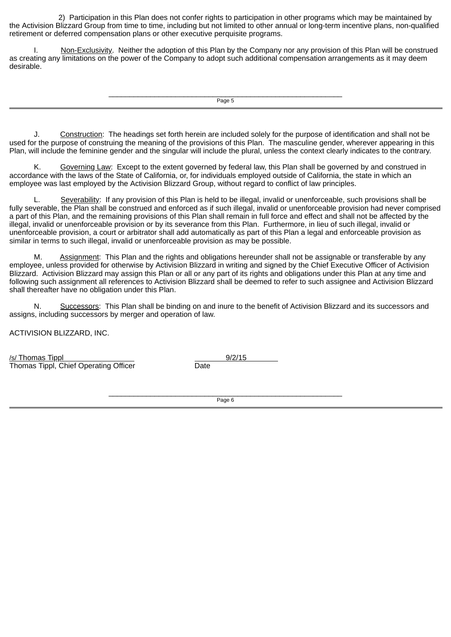2) Participation in this Plan does not confer rights to participation in other programs which may be maintained by the Activision Blizzard Group from time to time, including but not limited to other annual or long-term incentive plans, non-qualified retirement or deferred compensation plans or other executive perquisite programs.

Non-Exclusivity. Neither the adoption of this Plan by the Company nor any provision of this Plan will be construed as creating any limitations on the power of the Company to adopt such additional compensation arrangements as it may deem desirable.

| Page 5 |  |
|--------|--|
|        |  |

J. Construction: The headings set forth herein are included solely for the purpose of identification and shall not be used for the purpose of construing the meaning of the provisions of this Plan. The masculine gender, wherever appearing in this Plan, will include the feminine gender and the singular will include the plural, unless the context clearly indicates to the contrary.

Governing Law: Except to the extent governed by federal law, this Plan shall be governed by and construed in accordance with the laws of the State of California, or, for individuals employed outside of California, the state in which an employee was last employed by the Activision Blizzard Group, without regard to conflict of law principles.

Severability: If any provision of this Plan is held to be illegal, invalid or unenforceable, such provisions shall be fully severable. The Plan shall be construed and enforced as if such illegal, invalid or unenforceable provision had never comprised a part of this Plan, and the remaining provisions of this Plan shall remain in full force and effect and shall not be affected by the illegal, invalid or unenforceable provision or by its severance from this Plan. Furthermore, in lieu of such illegal, invalid or unenforceable provision, a court or arbitrator shall add automatically as part of this Plan a legal and enforceable provision as similar in terms to such illegal, invalid or unenforceable provision as may be possible.

M. Assignment: This Plan and the rights and obligations hereunder shall not be assignable or transferable by any employee, unless provided for otherwise by Activision Blizzard in writing and signed by the Chief Executive Officer of Activision Blizzard. Activision Blizzard may assign this Plan or all or any part of its rights and obligations under this Plan at any time and following such assignment all references to Activision Blizzard shall be deemed to refer to such assignee and Activision Blizzard shall thereafter have no obligation under this Plan.

Successors: This Plan shall be binding on and inure to the benefit of Activision Blizzard and its successors and assigns, including successors by merger and operation of law.

ACTIVISION BLIZZARD, INC.

 $\frac{1}{\sqrt{9}}$  /s/ Thomas Tippl 9/2/15 Thomas Tippl, Chief Operating Officer Date

Page 6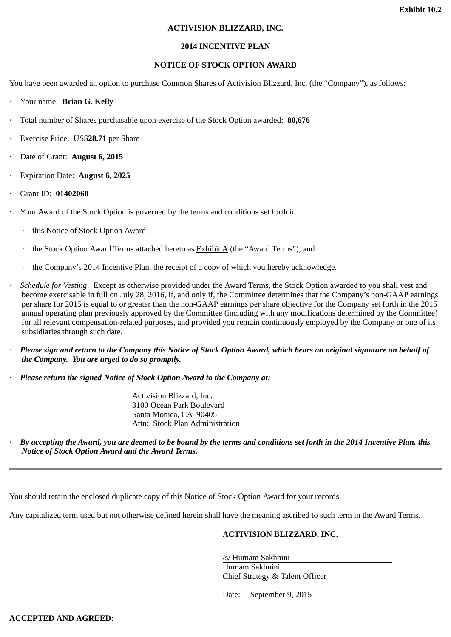# **ACTIVISION BLIZZARD, INC.**

# **2014 INCENTIVE PLAN**

# **NOTICE OF STOCK OPTION AWARD**

You have been awarded an option to purchase Common Shares of Activision Blizzard, Inc. (the "Company"), as follows:

- · Your name: **Brian G. Kelly**
- · Total number of Shares purchasable upon exercise of the Stock Option awarded: **80,676**
- Exercise Price: US\$28.71 per Share
- Date of Grant: **August 6, 2015**
- · Expiration Date: **August 6, 2025**
- · Grant ID: **01402060**
- Your Award of the Stock Option is governed by the terms and conditions set forth in:
	- · this Notice of Stock Option Award;
	- · the Stock Option Award Terms attached hereto as Exhibit A (the "Award Terms"); and
	- · the Company's 2014 Incentive Plan, the receipt of a copy of which you hereby acknowledge.
- Schedule for Vesting: Except as otherwise provided under the Award Terms, the Stock Option awarded to you shall vest and become exercisable in full on July 28, 2016, if, and only if, the Committee determines that the Company's non-GAAP earnings per share for 2015 is equal to or greater than the non-GAAP earnings per share objective for the Company set forth in the 2015 annual operating plan previously approved by the Committee (including with any modifications determined by the Committee) for all relevant compensation-related purposes, and provided you remain continuously employed by the Company or one of its subsidiaries through such date.
- Please sign and return to the Company this Notice of Stock Option Award, which bears an original signature on behalf of *the Company. You are urged to do so promptly.*
- · *Please return the signed Notice of Stock Option Award to the Company at:*

Activision Blizzard, Inc. 3100 Ocean Park Boulevard Santa Monica, CA 90405 Attn: Stock Plan Administration

· *By accepting the Award, you are deemed to be bound by the terms and conditions set forth in the 2014 Incentive Plan, this Notice of Stock Option Award and the Award Terms.*

You should retain the enclosed duplicate copy of this Notice of Stock Option Award for your records.

Any capitalized term used but not otherwise defined herein shall have the meaning ascribed to such term in the Award Terms.

# **ACTIVISION BLIZZARD, INC.**

/s/ Humam Sakhnini Humam Sakhnini Chief Strategy & Talent Officer

Date: September 9, 2015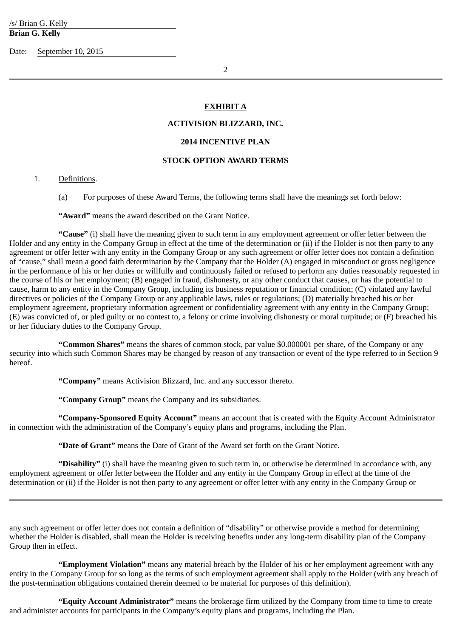/s/ Brian G. Kelly

**Brian G. Kelly**

Date: September 10, 2015

# **EXHIBIT A**

# **ACTIVISION BLIZZARD, INC.**

# **2014 INCENTIVE PLAN**

# **STOCK OPTION AWARD TERMS**

1. Definitions.

(a) For purposes of these Award Terms, the following terms shall have the meanings set forth below:

**"Award"** means the award described on the Grant Notice.

**"Cause"** (i) shall have the meaning given to such term in any employment agreement or offer letter between the Holder and any entity in the Company Group in effect at the time of the determination or (ii) if the Holder is not then party to any agreement or offer letter with any entity in the Company Group or any such agreement or offer letter does not contain a definition of "cause," shall mean a good faith determination by the Company that the Holder (A) engaged in misconduct or gross negligence in the performance of his or her duties or willfully and continuously failed or refused to perform any duties reasonably requested in the course of his or her employment; (B) engaged in fraud, dishonesty, or any other conduct that causes, or has the potential to cause, harm to any entity in the Company Group, including its business reputation or financial condition; (C) violated any lawful directives or policies of the Company Group or any applicable laws, rules or regulations; (D) materially breached his or her employment agreement, proprietary information agreement or confidentiality agreement with any entity in the Company Group; (E) was convicted of, or pled guilty or no contest to, a felony or crime involving dishonesty or moral turpitude; or (F) breached his or her fiduciary duties to the Company Group.

**"Common Shares"** means the shares of common stock, par value \$0.000001 per share, of the Company or any security into which such Common Shares may be changed by reason of any transaction or event of the type referred to in Section 9 hereof.

**"Company"** means Activision Blizzard, Inc. and any successor thereto.

**"Company Group"** means the Company and its subsidiaries.

**"Company-Sponsored Equity Account"** means an account that is created with the Equity Account Administrator in connection with the administration of the Company's equity plans and programs, including the Plan.

**"Date of Grant"** means the Date of Grant of the Award set forth on the Grant Notice.

**"Disability"** (i) shall have the meaning given to such term in, or otherwise be determined in accordance with, any employment agreement or offer letter between the Holder and any entity in the Company Group in effect at the time of the determination or (ii) if the Holder is not then party to any agreement or offer letter with any entity in the Company Group or

any such agreement or offer letter does not contain a definition of "disability" or otherwise provide a method for determining whether the Holder is disabled, shall mean the Holder is receiving benefits under any long-term disability plan of the Company Group then in effect.

**"Employment Violation"** means any material breach by the Holder of his or her employment agreement with any entity in the Company Group for so long as the terms of such employment agreement shall apply to the Holder (with any breach of the post-termination obligations contained therein deemed to be material for purposes of this definition).

**"Equity Account Administrator"** means the brokerage firm utilized by the Company from time to time to create and administer accounts for participants in the Company's equity plans and programs, including the Plan.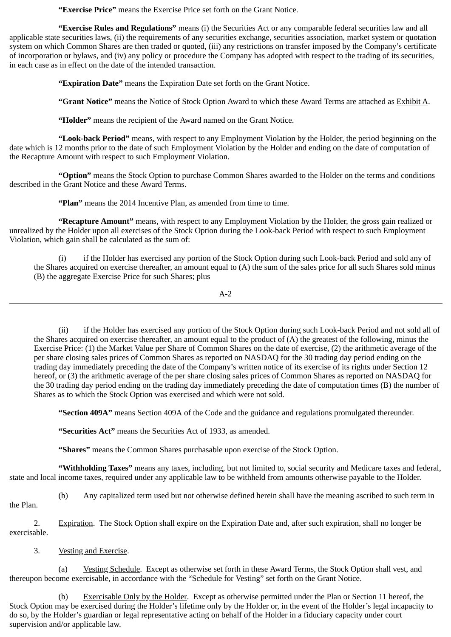**"Exercise Price"** means the Exercise Price set forth on the Grant Notice.

**"Exercise Rules and Regulations"** means (i) the Securities Act or any comparable federal securities law and all applicable state securities laws, (ii) the requirements of any securities exchange, securities association, market system or quotation system on which Common Shares are then traded or quoted, (iii) any restrictions on transfer imposed by the Company's certificate of incorporation or bylaws, and (iv) any policy or procedure the Company has adopted with respect to the trading of its securities, in each case as in effect on the date of the intended transaction.

**"Expiration Date"** means the Expiration Date set forth on the Grant Notice.

**"Grant Notice"** means the Notice of Stock Option Award to which these Award Terms are attached as Exhibit A.

**"Holder"** means the recipient of the Award named on the Grant Notice.

**"Look-back Period"** means, with respect to any Employment Violation by the Holder, the period beginning on the date which is 12 months prior to the date of such Employment Violation by the Holder and ending on the date of computation of the Recapture Amount with respect to such Employment Violation.

**"Option"** means the Stock Option to purchase Common Shares awarded to the Holder on the terms and conditions described in the Grant Notice and these Award Terms.

**"Plan"** means the 2014 Incentive Plan, as amended from time to time.

**"Recapture Amount"** means, with respect to any Employment Violation by the Holder, the gross gain realized or unrealized by the Holder upon all exercises of the Stock Option during the Look-back Period with respect to such Employment Violation, which gain shall be calculated as the sum of:

(i) if the Holder has exercised any portion of the Stock Option during such Look-back Period and sold any of the Shares acquired on exercise thereafter, an amount equal to (A) the sum of the sales price for all such Shares sold minus (B) the aggregate Exercise Price for such Shares; plus

A-2

(ii) if the Holder has exercised any portion of the Stock Option during such Look-back Period and not sold all of the Shares acquired on exercise thereafter, an amount equal to the product of (A) the greatest of the following, minus the Exercise Price: (1) the Market Value per Share of Common Shares on the date of exercise, (2) the arithmetic average of the per share closing sales prices of Common Shares as reported on NASDAQ for the 30 trading day period ending on the trading day immediately preceding the date of the Company's written notice of its exercise of its rights under Section 12 hereof, or (3) the arithmetic average of the per share closing sales prices of Common Shares as reported on NASDAQ for the 30 trading day period ending on the trading day immediately preceding the date of computation times (B) the number of Shares as to which the Stock Option was exercised and which were not sold.

**"Section 409A"** means Section 409A of the Code and the guidance and regulations promulgated thereunder.

**"Securities Act"** means the Securities Act of 1933, as amended.

**"Shares"** means the Common Shares purchasable upon exercise of the Stock Option.

**"Withholding Taxes"** means any taxes, including, but not limited to, social security and Medicare taxes and federal, state and local income taxes, required under any applicable law to be withheld from amounts otherwise payable to the Holder.

(b) Any capitalized term used but not otherwise defined herein shall have the meaning ascribed to such term in

the Plan.

2. Expiration. The Stock Option shall expire on the Expiration Date and, after such expiration, shall no longer be exercisable.

3. Vesting and Exercise.

(a) Vesting Schedule. Except as otherwise set forth in these Award Terms, the Stock Option shall vest, and thereupon become exercisable, in accordance with the "Schedule for Vesting" set forth on the Grant Notice.

(b) Exercisable Only by the Holder. Except as otherwise permitted under the Plan or Section 11 hereof, the Stock Option may be exercised during the Holder's lifetime only by the Holder or, in the event of the Holder's legal incapacity to do so, by the Holder's guardian or legal representative acting on behalf of the Holder in a fiduciary capacity under court supervision and/or applicable law.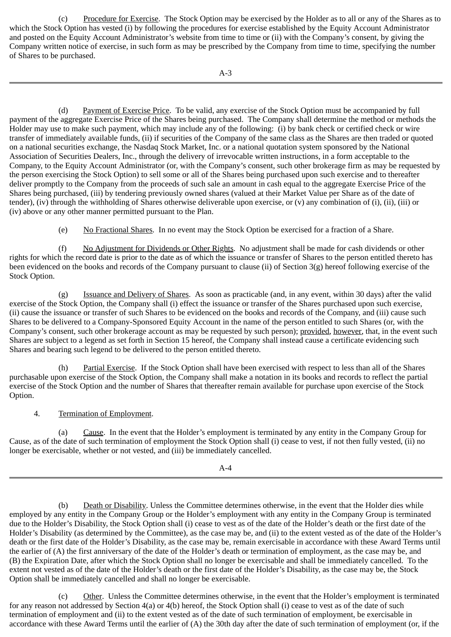(c) Procedure for Exercise. The Stock Option may be exercised by the Holder as to all or any of the Shares as to which the Stock Option has vested (i) by following the procedures for exercise established by the Equity Account Administrator and posted on the Equity Account Administrator's website from time to time or (ii) with the Company's consent, by giving the Company written notice of exercise, in such form as may be prescribed by the Company from time to time, specifying the number of Shares to be purchased.

(d) Payment of Exercise Price. To be valid, any exercise of the Stock Option must be accompanied by full payment of the aggregate Exercise Price of the Shares being purchased. The Company shall determine the method or methods the Holder may use to make such payment, which may include any of the following: (i) by bank check or certified check or wire transfer of immediately available funds, (ii) if securities of the Company of the same class as the Shares are then traded or quoted on a national securities exchange, the Nasdaq Stock Market, Inc. or a national quotation system sponsored by the National Association of Securities Dealers, Inc., through the delivery of irrevocable written instructions, in a form acceptable to the Company, to the Equity Account Administrator (or, with the Company's consent, such other brokerage firm as may be requested by the person exercising the Stock Option) to sell some or all of the Shares being purchased upon such exercise and to thereafter deliver promptly to the Company from the proceeds of such sale an amount in cash equal to the aggregate Exercise Price of the Shares being purchased, (iii) by tendering previously owned shares (valued at their Market Value per Share as of the date of tender), (iv) through the withholding of Shares otherwise deliverable upon exercise, or (v) any combination of (i), (ii), (iii) or (iv) above or any other manner permitted pursuant to the Plan.

(e) No Fractional Shares. In no event may the Stock Option be exercised for a fraction of a Share.

(f) No Adjustment for Dividends or Other Rights. No adjustment shall be made for cash dividends or other rights for which the record date is prior to the date as of which the issuance or transfer of Shares to the person entitled thereto has been evidenced on the books and records of the Company pursuant to clause (ii) of Section 3(g) hereof following exercise of the Stock Option.

(g) Issuance and Delivery of Shares. As soon as practicable (and, in any event, within 30 days) after the valid exercise of the Stock Option, the Company shall (i) effect the issuance or transfer of the Shares purchased upon such exercise, (ii) cause the issuance or transfer of such Shares to be evidenced on the books and records of the Company, and (iii) cause such Shares to be delivered to a Company-Sponsored Equity Account in the name of the person entitled to such Shares (or, with the Company's consent, such other brokerage account as may be requested by such person); provided, however, that, in the event such Shares are subject to a legend as set forth in Section 15 hereof, the Company shall instead cause a certificate evidencing such Shares and bearing such legend to be delivered to the person entitled thereto.

(h) Partial Exercise. If the Stock Option shall have been exercised with respect to less than all of the Shares purchasable upon exercise of the Stock Option, the Company shall make a notation in its books and records to reflect the partial exercise of the Stock Option and the number of Shares that thereafter remain available for purchase upon exercise of the Stock Option.

4. Termination of Employment.

(a) Cause. In the event that the Holder's employment is terminated by any entity in the Company Group for Cause, as of the date of such termination of employment the Stock Option shall (i) cease to vest, if not then fully vested, (ii) no longer be exercisable, whether or not vested, and (iii) be immediately cancelled.

# A-4

(b) Death or Disability. Unless the Committee determines otherwise, in the event that the Holder dies while employed by any entity in the Company Group or the Holder's employment with any entity in the Company Group is terminated due to the Holder's Disability, the Stock Option shall (i) cease to vest as of the date of the Holder's death or the first date of the Holder's Disability (as determined by the Committee), as the case may be, and (ii) to the extent vested as of the date of the Holder's death or the first date of the Holder's Disability, as the case may be, remain exercisable in accordance with these Award Terms until the earlier of (A) the first anniversary of the date of the Holder's death or termination of employment, as the case may be, and (B) the Expiration Date, after which the Stock Option shall no longer be exercisable and shall be immediately cancelled. To the extent not vested as of the date of the Holder's death or the first date of the Holder's Disability, as the case may be, the Stock Option shall be immediately cancelled and shall no longer be exercisable.

(c) Other. Unless the Committee determines otherwise, in the event that the Holder's employment is terminated for any reason not addressed by Section 4(a) or 4(b) hereof, the Stock Option shall (i) cease to vest as of the date of such termination of employment and (ii) to the extent vested as of the date of such termination of employment, be exercisable in accordance with these Award Terms until the earlier of (A) the 30th day after the date of such termination of employment (or, if the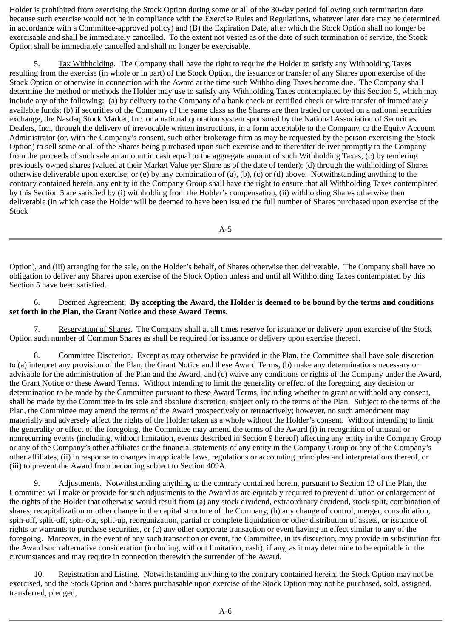Holder is prohibited from exercising the Stock Option during some or all of the 30-day period following such termination date because such exercise would not be in compliance with the Exercise Rules and Regulations, whatever later date may be determined in accordance with a Committee-approved policy) and (B) the Expiration Date, after which the Stock Option shall no longer be exercisable and shall be immediately cancelled. To the extent not vested as of the date of such termination of service, the Stock Option shall be immediately cancelled and shall no longer be exercisable.

5. Tax Withholding. The Company shall have the right to require the Holder to satisfy any Withholding Taxes resulting from the exercise (in whole or in part) of the Stock Option, the issuance or transfer of any Shares upon exercise of the Stock Option or otherwise in connection with the Award at the time such Withholding Taxes become due. The Company shall determine the method or methods the Holder may use to satisfy any Withholding Taxes contemplated by this Section 5, which may include any of the following: (a) by delivery to the Company of a bank check or certified check or wire transfer of immediately available funds; (b) if securities of the Company of the same class as the Shares are then traded or quoted on a national securities exchange, the Nasdaq Stock Market, Inc. or a national quotation system sponsored by the National Association of Securities Dealers, Inc., through the delivery of irrevocable written instructions, in a form acceptable to the Company, to the Equity Account Administrator (or, with the Company's consent, such other brokerage firm as may be requested by the person exercising the Stock Option) to sell some or all of the Shares being purchased upon such exercise and to thereafter deliver promptly to the Company from the proceeds of such sale an amount in cash equal to the aggregate amount of such Withholding Taxes; (c) by tendering previously owned shares (valued at their Market Value per Share as of the date of tender); (d) through the withholding of Shares otherwise deliverable upon exercise; or (e) by any combination of (a), (b), (c) or (d) above. Notwithstanding anything to the contrary contained herein, any entity in the Company Group shall have the right to ensure that all Withholding Taxes contemplated by this Section 5 are satisfied by (i) withholding from the Holder's compensation, (ii) withholding Shares otherwise then deliverable (in which case the Holder will be deemed to have been issued the full number of Shares purchased upon exercise of the Stock

A-5

Option), and (iii) arranging for the sale, on the Holder's behalf, of Shares otherwise then deliverable. The Company shall have no obligation to deliver any Shares upon exercise of the Stock Option unless and until all Withholding Taxes contemplated by this Section 5 have been satisfied.

# 6. Deemed Agreement. **By accepting the Award, the Holder is deemed to be bound by the terms and conditions set forth in the Plan, the Grant Notice and these Award Terms.**

7. Reservation of Shares. The Company shall at all times reserve for issuance or delivery upon exercise of the Stock Option such number of Common Shares as shall be required for issuance or delivery upon exercise thereof.

8. Committee Discretion. Except as may otherwise be provided in the Plan, the Committee shall have sole discretion to (a) interpret any provision of the Plan, the Grant Notice and these Award Terms, (b) make any determinations necessary or advisable for the administration of the Plan and the Award, and (c) waive any conditions or rights of the Company under the Award, the Grant Notice or these Award Terms. Without intending to limit the generality or effect of the foregoing, any decision or determination to be made by the Committee pursuant to these Award Terms, including whether to grant or withhold any consent, shall be made by the Committee in its sole and absolute discretion, subject only to the terms of the Plan. Subject to the terms of the Plan, the Committee may amend the terms of the Award prospectively or retroactively; however, no such amendment may materially and adversely affect the rights of the Holder taken as a whole without the Holder's consent. Without intending to limit the generality or effect of the foregoing, the Committee may amend the terms of the Award (i) in recognition of unusual or nonrecurring events (including, without limitation, events described in Section 9 hereof) affecting any entity in the Company Group or any of the Company's other affiliates or the financial statements of any entity in the Company Group or any of the Company's other affiliates, (ii) in response to changes in applicable laws, regulations or accounting principles and interpretations thereof, or (iii) to prevent the Award from becoming subject to Section 409A.

9. Adjustments. Notwithstanding anything to the contrary contained herein, pursuant to Section 13 of the Plan, the Committee will make or provide for such adjustments to the Award as are equitably required to prevent dilution or enlargement of the rights of the Holder that otherwise would result from (a) any stock dividend, extraordinary dividend, stock split, combination of shares, recapitalization or other change in the capital structure of the Company, (b) any change of control, merger, consolidation, spin-off, split-off, spin-out, split-up, reorganization, partial or complete liquidation or other distribution of assets, or issuance of rights or warrants to purchase securities, or (c) any other corporate transaction or event having an effect similar to any of the foregoing. Moreover, in the event of any such transaction or event, the Committee, in its discretion, may provide in substitution for the Award such alternative consideration (including, without limitation, cash), if any, as it may determine to be equitable in the circumstances and may require in connection therewith the surrender of the Award.

10. Registration and Listing. Notwithstanding anything to the contrary contained herein, the Stock Option may not be exercised, and the Stock Option and Shares purchasable upon exercise of the Stock Option may not be purchased, sold, assigned, transferred, pledged,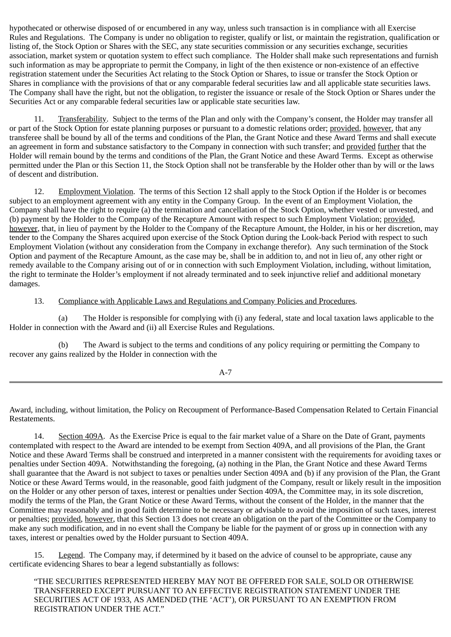hypothecated or otherwise disposed of or encumbered in any way, unless such transaction is in compliance with all Exercise Rules and Regulations. The Company is under no obligation to register, qualify or list, or maintain the registration, qualification or listing of, the Stock Option or Shares with the SEC, any state securities commission or any securities exchange, securities association, market system or quotation system to effect such compliance. The Holder shall make such representations and furnish such information as may be appropriate to permit the Company, in light of the then existence or non-existence of an effective registration statement under the Securities Act relating to the Stock Option or Shares, to issue or transfer the Stock Option or Shares in compliance with the provisions of that or any comparable federal securities law and all applicable state securities laws. The Company shall have the right, but not the obligation, to register the issuance or resale of the Stock Option or Shares under the Securities Act or any comparable federal securities law or applicable state securities law.

11. Transferability. Subject to the terms of the Plan and only with the Company's consent, the Holder may transfer all or part of the Stock Option for estate planning purposes or pursuant to a domestic relations order; provided, however, that any transferee shall be bound by all of the terms and conditions of the Plan, the Grant Notice and these Award Terms and shall execute an agreement in form and substance satisfactory to the Company in connection with such transfer; and provided further that the Holder will remain bound by the terms and conditions of the Plan, the Grant Notice and these Award Terms. Except as otherwise permitted under the Plan or this Section 11, the Stock Option shall not be transferable by the Holder other than by will or the laws of descent and distribution.

12. Employment Violation. The terms of this Section 12 shall apply to the Stock Option if the Holder is or becomes subject to an employment agreement with any entity in the Company Group. In the event of an Employment Violation, the Company shall have the right to require (a) the termination and cancellation of the Stock Option, whether vested or unvested, and (b) payment by the Holder to the Company of the Recapture Amount with respect to such Employment Violation; provided, however, that, in lieu of payment by the Holder to the Company of the Recapture Amount, the Holder, in his or her discretion, may tender to the Company the Shares acquired upon exercise of the Stock Option during the Look-back Period with respect to such Employment Violation (without any consideration from the Company in exchange therefor). Any such termination of the Stock Option and payment of the Recapture Amount, as the case may be, shall be in addition to, and not in lieu of, any other right or remedy available to the Company arising out of or in connection with such Employment Violation, including, without limitation, the right to terminate the Holder's employment if not already terminated and to seek injunctive relief and additional monetary damages.

# 13. Compliance with Applicable Laws and Regulations and Company Policies and Procedures.

(a) The Holder is responsible for complying with (i) any federal, state and local taxation laws applicable to the Holder in connection with the Award and (ii) all Exercise Rules and Regulations.

(b) The Award is subject to the terms and conditions of any policy requiring or permitting the Company to recover any gains realized by the Holder in connection with the

A-7

Award, including, without limitation, the Policy on Recoupment of Performance-Based Compensation Related to Certain Financial Restatements.

14. Section 409A. As the Exercise Price is equal to the fair market value of a Share on the Date of Grant, payments contemplated with respect to the Award are intended to be exempt from Section 409A, and all provisions of the Plan, the Grant Notice and these Award Terms shall be construed and interpreted in a manner consistent with the requirements for avoiding taxes or penalties under Section 409A. Notwithstanding the foregoing, (a) nothing in the Plan, the Grant Notice and these Award Terms shall guarantee that the Award is not subject to taxes or penalties under Section 409A and (b) if any provision of the Plan, the Grant Notice or these Award Terms would, in the reasonable, good faith judgment of the Company, result or likely result in the imposition on the Holder or any other person of taxes, interest or penalties under Section 409A, the Committee may, in its sole discretion, modify the terms of the Plan, the Grant Notice or these Award Terms, without the consent of the Holder, in the manner that the Committee may reasonably and in good faith determine to be necessary or advisable to avoid the imposition of such taxes, interest or penalties; provided, however, that this Section 13 does not create an obligation on the part of the Committee or the Company to make any such modification, and in no event shall the Company be liable for the payment of or gross up in connection with any taxes, interest or penalties owed by the Holder pursuant to Section 409A.

15. Legend. The Company may, if determined by it based on the advice of counsel to be appropriate, cause any certificate evidencing Shares to bear a legend substantially as follows:

"THE SECURITIES REPRESENTED HEREBY MAY NOT BE OFFERED FOR SALE, SOLD OR OTHERWISE TRANSFERRED EXCEPT PURSUANT TO AN EFFECTIVE REGISTRATION STATEMENT UNDER THE SECURITIES ACT OF 1933, AS AMENDED (THE 'ACT'), OR PURSUANT TO AN EXEMPTION FROM REGISTRATION UNDER THE ACT."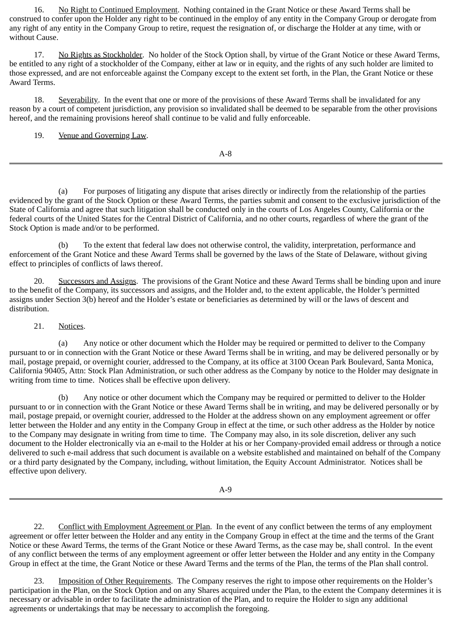16. No Right to Continued Employment. Nothing contained in the Grant Notice or these Award Terms shall be construed to confer upon the Holder any right to be continued in the employ of any entity in the Company Group or derogate from any right of any entity in the Company Group to retire, request the resignation of, or discharge the Holder at any time, with or without Cause.

17. No Rights as Stockholder. No holder of the Stock Option shall, by virtue of the Grant Notice or these Award Terms, be entitled to any right of a stockholder of the Company, either at law or in equity, and the rights of any such holder are limited to those expressed, and are not enforceable against the Company except to the extent set forth, in the Plan, the Grant Notice or these Award Terms.

18. Severability. In the event that one or more of the provisions of these Award Terms shall be invalidated for any reason by a court of competent jurisdiction, any provision so invalidated shall be deemed to be separable from the other provisions hereof, and the remaining provisions hereof shall continue to be valid and fully enforceable.

19. Venue and Governing Law.

A-8

(a) For purposes of litigating any dispute that arises directly or indirectly from the relationship of the parties evidenced by the grant of the Stock Option or these Award Terms, the parties submit and consent to the exclusive jurisdiction of the State of California and agree that such litigation shall be conducted only in the courts of Los Angeles County, California or the federal courts of the United States for the Central District of California, and no other courts, regardless of where the grant of the Stock Option is made and/or to be performed.

(b) To the extent that federal law does not otherwise control, the validity, interpretation, performance and enforcement of the Grant Notice and these Award Terms shall be governed by the laws of the State of Delaware, without giving effect to principles of conflicts of laws thereof.

20. Successors and Assigns. The provisions of the Grant Notice and these Award Terms shall be binding upon and inure to the benefit of the Company, its successors and assigns, and the Holder and, to the extent applicable, the Holder's permitted assigns under Section 3(b) hereof and the Holder's estate or beneficiaries as determined by will or the laws of descent and distribution.

21. Notices.

(a) Any notice or other document which the Holder may be required or permitted to deliver to the Company pursuant to or in connection with the Grant Notice or these Award Terms shall be in writing, and may be delivered personally or by mail, postage prepaid, or overnight courier, addressed to the Company, at its office at 3100 Ocean Park Boulevard, Santa Monica, California 90405, Attn: Stock Plan Administration, or such other address as the Company by notice to the Holder may designate in writing from time to time. Notices shall be effective upon delivery.

(b) Any notice or other document which the Company may be required or permitted to deliver to the Holder pursuant to or in connection with the Grant Notice or these Award Terms shall be in writing, and may be delivered personally or by mail, postage prepaid, or overnight courier, addressed to the Holder at the address shown on any employment agreement or offer letter between the Holder and any entity in the Company Group in effect at the time, or such other address as the Holder by notice to the Company may designate in writing from time to time. The Company may also, in its sole discretion, deliver any such document to the Holder electronically via an e-mail to the Holder at his or her Company-provided email address or through a notice delivered to such e-mail address that such document is available on a website established and maintained on behalf of the Company or a third party designated by the Company, including, without limitation, the Equity Account Administrator. Notices shall be effective upon delivery.

A-9

22. Conflict with Employment Agreement or Plan. In the event of any conflict between the terms of any employment agreement or offer letter between the Holder and any entity in the Company Group in effect at the time and the terms of the Grant Notice or these Award Terms, the terms of the Grant Notice or these Award Terms, as the case may be, shall control. In the event of any conflict between the terms of any employment agreement or offer letter between the Holder and any entity in the Company Group in effect at the time, the Grant Notice or these Award Terms and the terms of the Plan, the terms of the Plan shall control.

23. Imposition of Other Requirements. The Company reserves the right to impose other requirements on the Holder's participation in the Plan, on the Stock Option and on any Shares acquired under the Plan, to the extent the Company determines it is necessary or advisable in order to facilitate the administration of the Plan, and to require the Holder to sign any additional agreements or undertakings that may be necessary to accomplish the foregoing.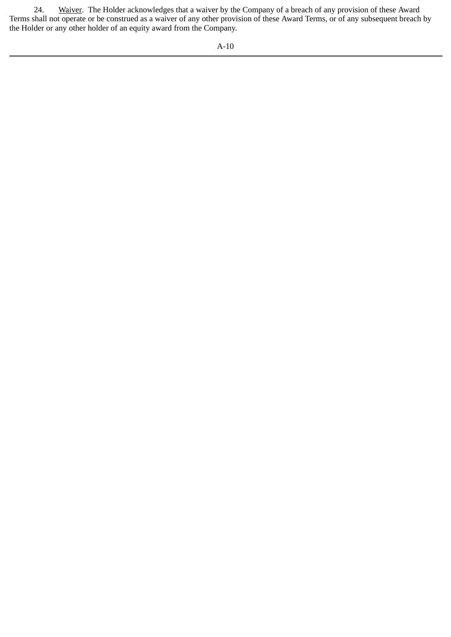24. Waiver. The Holder acknowledges that a waiver by the Company of a breach of any provision of these Award Terms shall not operate or be construed as a waiver of any other provision of these Award Terms, or of any subsequent breach by the Holder or any other holder of an equity award from the Company.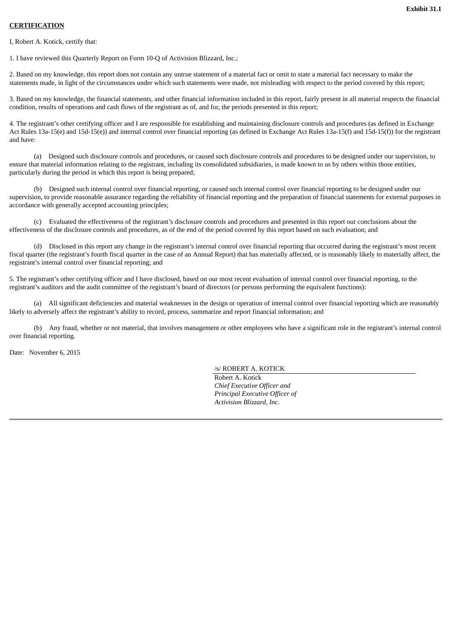# **CERTIFICATION**

I, Robert A. Kotick, certify that:

1. I have reviewed this Quarterly Report on Form 10-Q of Activision Blizzard, Inc.;

2. Based on my knowledge, this report does not contain any untrue statement of a material fact or omit to state a material fact necessary to make the statements made, in light of the circumstances under which such statements were made, not misleading with respect to the period covered by this report;

3. Based on my knowledge, the financial statements, and other financial information included in this report, fairly present in all material respects the financial condition, results of operations and cash flows of the registrant as of, and for, the periods presented in this report;

4. The registrant's other certifying officer and I are responsible for establishing and maintaining disclosure controls and procedures (as defined in Exchange Act Rules 13a-15(e) and 15d-15(e)) and internal control over financial reporting (as defined in Exchange Act Rules 13a-15(f) and 15d-15(f)) for the registrant and have:

(a) Designed such disclosure controls and procedures, or caused such disclosure controls and procedures to be designed under our supervision, to ensure that material information relating to the registrant, including its consolidated subsidiaries, is made known to us by others within those entities, particularly during the period in which this report is being prepared;

(b) Designed such internal control over financial reporting, or caused such internal control over financial reporting to be designed under our supervision, to provide reasonable assurance regarding the reliability of financial reporting and the preparation of financial statements for external purposes in accordance with generally accepted accounting principles;

(c) Evaluated the effectiveness of the registrant's disclosure controls and procedures and presented in this report our conclusions about the effectiveness of the disclosure controls and procedures, as of the end of the period covered by this report based on such evaluation; and

(d) Disclosed in this report any change in the registrant's internal control over financial reporting that occurred during the registrant's most recent fiscal quarter (the registrant's fourth fiscal quarter in the case of an Annual Report) that has materially affected, or is reasonably likely to materially affect, the registrant's internal control over financial reporting; and

5. The registrant's other certifying officer and I have disclosed, based on our most recent evaluation of internal control over financial reporting, to the registrant's auditors and the audit committee of the registrant's board of directors (or persons performing the equivalent functions):

(a) All significant deficiencies and material weaknesses in the design or operation of internal control over financial reporting which are reasonably likely to adversely affect the registrant's ability to record, process, summarize and report financial information; and

(b) Any fraud, whether or not material, that involves management or other employees who have a significant role in the registrant's internal control over financial reporting.

Date: November 6, 2015

/s/ ROBERT A. KOTICK

Robert A. Kotick *Chief Executive Officer and Principal Executive Officer of Activision Blizzard, Inc.*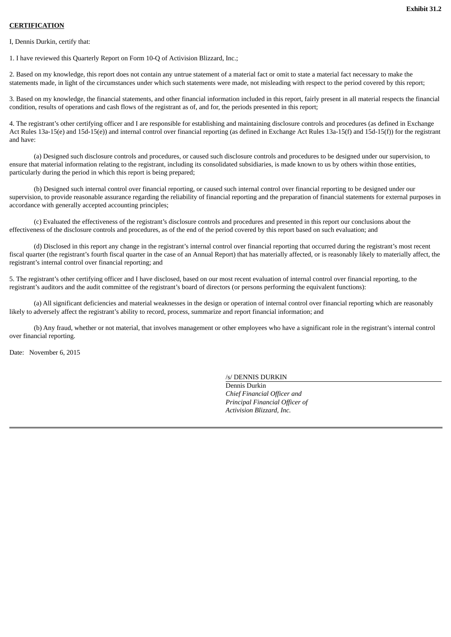# **CERTIFICATION**

I, Dennis Durkin, certify that:

1. I have reviewed this Quarterly Report on Form 10-Q of Activision Blizzard, Inc.;

2. Based on my knowledge, this report does not contain any untrue statement of a material fact or omit to state a material fact necessary to make the statements made, in light of the circumstances under which such statements were made, not misleading with respect to the period covered by this report;

3. Based on my knowledge, the financial statements, and other financial information included in this report, fairly present in all material respects the financial condition, results of operations and cash flows of the registrant as of, and for, the periods presented in this report;

4. The registrant's other certifying officer and I are responsible for establishing and maintaining disclosure controls and procedures (as defined in Exchange Act Rules 13a-15(e) and 15d-15(e)) and internal control over financial reporting (as defined in Exchange Act Rules 13a-15(f) and 15d-15(f)) for the registrant and have:

(a) Designed such disclosure controls and procedures, or caused such disclosure controls and procedures to be designed under our supervision, to ensure that material information relating to the registrant, including its consolidated subsidiaries, is made known to us by others within those entities, particularly during the period in which this report is being prepared;

(b) Designed such internal control over financial reporting, or caused such internal control over financial reporting to be designed under our supervision, to provide reasonable assurance regarding the reliability of financial reporting and the preparation of financial statements for external purposes in accordance with generally accepted accounting principles;

(c) Evaluated the effectiveness of the registrant's disclosure controls and procedures and presented in this report our conclusions about the effectiveness of the disclosure controls and procedures, as of the end of the period covered by this report based on such evaluation; and

(d) Disclosed in this report any change in the registrant's internal control over financial reporting that occurred during the registrant's most recent fiscal quarter (the registrant's fourth fiscal quarter in the case of an Annual Report) that has materially affected, or is reasonably likely to materially affect, the registrant's internal control over financial reporting; and

5. The registrant's other certifying officer and I have disclosed, based on our most recent evaluation of internal control over financial reporting, to the registrant's auditors and the audit committee of the registrant's board of directors (or persons performing the equivalent functions):

(a) All significant deficiencies and material weaknesses in the design or operation of internal control over financial reporting which are reasonably likely to adversely affect the registrant's ability to record, process, summarize and report financial information; and

(b) Any fraud, whether or not material, that involves management or other employees who have a significant role in the registrant's internal control over financial reporting.

Date: November 6, 2015

/s/ DENNIS DURKIN

Dennis Durkin *Chief Financial Officer and Principal Financial Officer of Activision Blizzard, Inc.*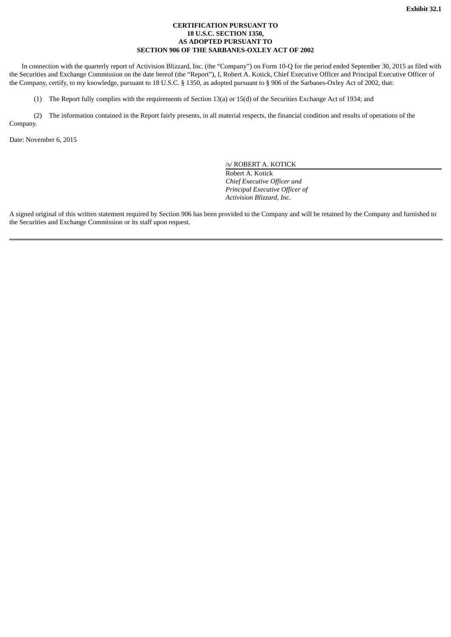# **CERTIFICATION PURSUANT TO 18 U.S.C. SECTION 1350, AS ADOPTED PURSUANT TO SECTION 906 OF THE SARBANES-OXLEY ACT OF 2002**

In connection with the quarterly report of Activision Blizzard, Inc. (the "Company") on Form 10-Q for the period ended September 30, 2015 as filed with the Securities and Exchange Commission on the date hereof (the "Report"), I, Robert A. Kotick, Chief Executive Officer and Principal Executive Officer of the Company, certify, to my knowledge, pursuant to 18 U.S.C. § 1350, as adopted pursuant to § 906 of the Sarbanes-Oxley Act of 2002, that:

(1) The Report fully complies with the requirements of Section 13(a) or 15(d) of the Securities Exchange Act of 1934; and

(2) The information contained in the Report fairly presents, in all material respects, the financial condition and results of operations of the Company.

Date: November 6, 2015

/s/ ROBERT A. KOTICK

Robert A. Kotick *Chief Executive Officer and Principal Executive Officer of Activision Blizzard, Inc.*

A signed original of this written statement required by Section 906 has been provided to the Company and will be retained by the Company and furnished to the Securities and Exchange Commission or its staff upon request.